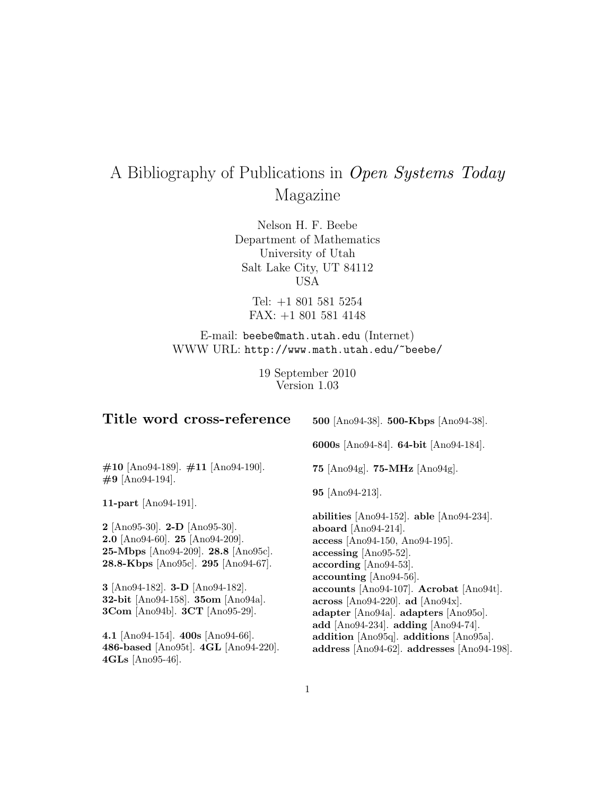# A Bibliography of Publications in Open Systems Today Magazine

Nelson H. F. Beebe Department of Mathematics University of Utah Salt Lake City, UT 84112 USA

Tel: +1 801 581 5254 FAX: +1 801 581 4148

E-mail: beebe@math.utah.edu (Internet) WWW URL: http://www.math.utah.edu/~beebe/

> 19 September 2010 Version 1.03

| Title word cross-reference                                    | 500 [Ano94-38]. 500-Kbps [Ano94-38].           |
|---------------------------------------------------------------|------------------------------------------------|
|                                                               | 6000s [Ano94-84]. 64-bit [Ano94-184].          |
| $\#10$ [Ano94-189]. $\#11$ [Ano94-190].<br>$\#9$ [Ano94-194]. | 75 [Ano94g]. 75-MHz [Ano94g].                  |
| 11-part $[Ano94-191]$ .                                       | $95$ [Ano $94-213$ ].                          |
|                                                               | abilities $[Ano94-152]$ . able $[Ano94-234]$ . |
| <b>2</b> [Ano95-30]. <b>2-D</b> [Ano95-30].                   | aboard $[Ano94-214]$ .                         |
| <b>2.0</b> [Ano94-60]. <b>25</b> [Ano94-209].                 | $\arccos$ [Ano94-150, Ano94-195].              |
| 25-Mbps [Ano94-209]. 28.8 [Ano95c].                           | $\arccessing$ [Ano95-52].                      |
| 28.8-Kbps [Ano95c]. 295 [Ano94-67].                           | $\arccording$ [Ano94-53].                      |
|                                                               | $\textbf{accounting}$ [Ano94-56].              |
| 3 [Ano94-182]. <b>3-D</b> [Ano94-182].                        | accounts [Ano94-107]. Acrobat [Ano94t].        |
| 32-bit [Ano94-158]. 35om [Ano94a].                            | across [Ano94-220]. ad [Ano94x].               |
| 3Com [Ano94b]. 3CT [Ano95-29].                                | adapter [Ano94a]. adapters [Ano95o].           |
|                                                               | add [Ano94-234]. adding [Ano94-74].            |
| 4.1 [Ano94-154]. 400s [Ano94-66].                             | addition [Ano95q]. additions [Ano95a].         |
| 486-based [Ano95t]. 4GL [Ano94-220].<br>$4GLs$ [Ano95-46].    | address [Ano94-62]. addresses [Ano94-198].     |

1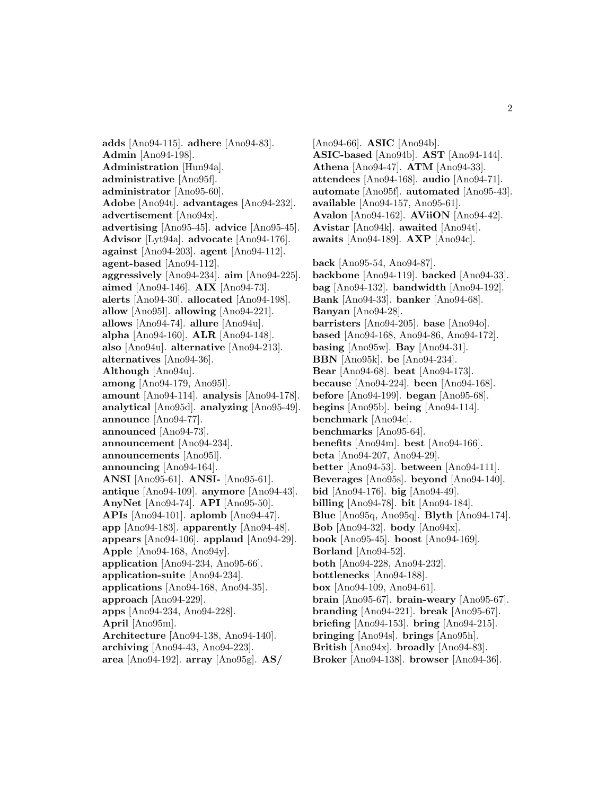**adds** [Ano94-115]. **adhere** [Ano94-83]. **Admin** [Ano94-198]. **Administration** [Hun94a]. **administrative** [Ano95f]. **administrator** [Ano95-60]. **Adobe** [Ano94t]. **advantages** [Ano94-232]. **advertisement** [Ano94x]. **advertising** [Ano95-45]. **advice** [Ano95-45]. **Advisor** [Lyt94a]. **advocate** [Ano94-176]. **against** [Ano94-203]. **agent** [Ano94-112]. **agent-based** [Ano94-112]. **aggressively** [Ano94-234]. **aim** [Ano94-225]. **aimed** [Ano94-146]. **AIX** [Ano94-73]. **alerts** [Ano94-30]. **allocated** [Ano94-198]. **allow** [Ano95l]. **allowing** [Ano94-221]. **allows** [Ano94-74]. **allure** [Ano94u]. **alpha** [Ano94-160]. **ALR** [Ano94-148]. **also** [Ano94u]. **alternative** [Ano94-213]. **alternatives** [Ano94-36]. **Although** [Ano94u]. **among** [Ano94-179, Ano95l]. **amount** [Ano94-114]. **analysis** [Ano94-178]. **analytical** [Ano95d]. **analyzing** [Ano95-49]. **announce** [Ano94-77]. **announced** [Ano94-73]. **announcement** [Ano94-234]. **announcements** [Ano95l]. **announcing** [Ano94-164]. **ANSI** [Ano95-61]. **ANSI-** [Ano95-61]. **antique** [Ano94-109]. **anymore** [Ano94-43]. **AnyNet** [Ano94-74]. **API** [Ano95-50]. **APIs** [Ano94-101]. **aplomb** [Ano94-47]. **app** [Ano94-183]. **apparently** [Ano94-48]. **appears** [Ano94-106]. **applaud** [Ano94-29]. **Apple** [Ano94-168, Ano94y]. **application** [Ano94-234, Ano95-66]. **application-suite** [Ano94-234]. **applications** [Ano94-168, Ano94-35]. **approach** [Ano94-229]. **apps** [Ano94-234, Ano94-228]. **April** [Ano95m]. **Architecture** [Ano94-138, Ano94-140]. **archiving** [Ano94-43, Ano94-223]. **area** [Ano94-192]. **array** [Ano95g]. **AS/**

[Ano94-66]. **ASIC** [Ano94b]. **ASIC-based** [Ano94b]. **AST** [Ano94-144]. **Athena** [Ano94-47]. **ATM** [Ano94-33]. **attendees** [Ano94-168]. **audio** [Ano94-71]. **automate** [Ano95f]. **automated** [Ano95-43]. **available** [Ano94-157, Ano95-61]. **Avalon** [Ano94-162]. **AViiON** [Ano94-42]. **Avistar** [Ano94k]. **awaited** [Ano94t]. **awaits** [Ano94-189]. **AXP** [Ano94c]. **back** [Ano95-54, Ano94-87]. **backbone** [Ano94-119]. **backed** [Ano94-33]. **bag** [Ano94-132]. **bandwidth** [Ano94-192]. **Bank** [Ano94-33]. **banker** [Ano94-68]. **Banyan** [Ano94-28]. **barristers** [Ano94-205]. **base** [Ano94o]. **based** [Ano94-168, Ano94-86, Ano94-172]. **basing** [Ano95w]. **Bay** [Ano94-31]. **BBN** [Ano95k]. **be** [Ano94-234]. **Bear** [Ano94-68]. **beat** [Ano94-173]. **because** [Ano94-224]. **been** [Ano94-168]. **before** [Ano94-199]. **began** [Ano95-68]. **begins** [Ano95b]. **being** [Ano94-114]. **benchmark** [Ano94c]. **benchmarks** [Ano95-64]. **benefits** [Ano94m]. **best** [Ano94-166]. **beta** [Ano94-207, Ano94-29]. **better** [Ano94-53]. **between** [Ano94-111]. **Beverages** [Ano95s]. **beyond** [Ano94-140]. **bid** [Ano94-176]. **big** [Ano94-49]. **billing** [Ano94-78]. **bit** [Ano94-184]. **Blue** [Ano95q, Ano95q]. **Blyth** [Ano94-174]. **Bob** [Ano94-32]. **body** [Ano94x]. **book** [Ano95-45]. **boost** [Ano94-169]. **Borland** [Ano94-52]. **both** [Ano94-228, Ano94-232]. **bottlenecks** [Ano94-188]. **box** [Ano94-109, Ano94-61]. **brain** [Ano95-67]. **brain-weary** [Ano95-67]. **branding** [Ano94-221]. **break** [Ano95-67]. **briefing** [Ano94-153]. **bring** [Ano94-215]. **bringing** [Ano94s]. **brings** [Ano95h]. **British** [Ano94x]. **broadly** [Ano94-83].

**Broker** [Ano94-138]. **browser** [Ano94-36].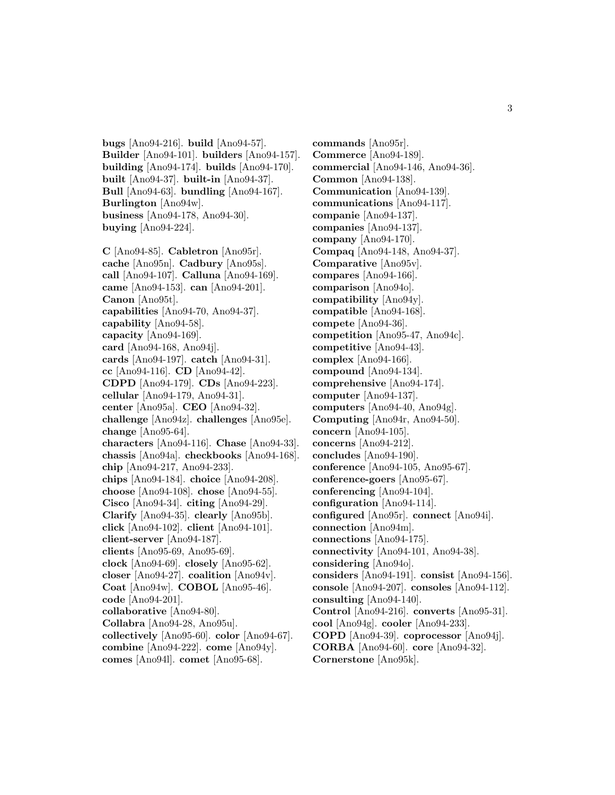**bugs** [Ano94-216]. **build** [Ano94-57]. **Builder** [Ano94-101]. **builders** [Ano94-157]. **building** [Ano94-174]. **builds** [Ano94-170]. **built** [Ano94-37]. **built-in** [Ano94-37]. **Bull** [Ano94-63]. **bundling** [Ano94-167]. **Burlington** [Ano94w]. **business** [Ano94-178, Ano94-30]. **buying** [Ano94-224].

**C** [Ano94-85]. **Cabletron** [Ano95r]. **cache** [Ano95n]. **Cadbury** [Ano95s]. **call** [Ano94-107]. **Calluna** [Ano94-169]. **came** [Ano94-153]. **can** [Ano94-201]. **Canon** [Ano95t]. **capabilities** [Ano94-70, Ano94-37]. **capability** [Ano94-58]. **capacity** [Ano94-169]. **card** [Ano94-168, Ano94j]. **cards** [Ano94-197]. **catch** [Ano94-31]. **cc** [Ano94-116]. **CD** [Ano94-42]. **CDPD** [Ano94-179]. **CDs** [Ano94-223]. **cellular** [Ano94-179, Ano94-31]. **center** [Ano95a]. **CEO** [Ano94-32]. **challenge** [Ano94z]. **challenges** [Ano95e]. **change** [Ano95-64]. **characters** [Ano94-116]. **Chase** [Ano94-33]. **chassis** [Ano94a]. **checkbooks** [Ano94-168]. **chip** [Ano94-217, Ano94-233]. **chips** [Ano94-184]. **choice** [Ano94-208]. **choose** [Ano94-108]. **chose** [Ano94-55]. **Cisco** [Ano94-34]. **citing** [Ano94-29]. **Clarify** [Ano94-35]. **clearly** [Ano95b]. **click** [Ano94-102]. **client** [Ano94-101]. **client-server** [Ano94-187]. **clients** [Ano95-69, Ano95-69]. **clock** [Ano94-69]. **closely** [Ano95-62]. **closer** [Ano94-27]. **coalition** [Ano94v]. **Coat** [Ano94w]. **COBOL** [Ano95-46]. **code** [Ano94-201]. **collaborative** [Ano94-80]. **Collabra** [Ano94-28, Ano95u]. **collectively** [Ano95-60]. **color** [Ano94-67]. **combine** [Ano94-222]. **come** [Ano94y]. **comes** [Ano94l]. **comet** [Ano95-68].

**commands** [Ano95r]. **Commerce** [Ano94-189]. **commercial** [Ano94-146, Ano94-36]. **Common** [Ano94-138]. **Communication** [Ano94-139]. **communications** [Ano94-117]. **companie** [Ano94-137]. **companies** [Ano94-137]. **company** [Ano94-170]. **Compaq** [Ano94-148, Ano94-37]. **Comparative** [Ano95v]. **compares** [Ano94-166]. **comparison** [Ano94o]. **compatibility** [Ano94y]. **compatible** [Ano94-168]. **compete** [Ano94-36]. **competition** [Ano95-47, Ano94c]. **competitive** [Ano94-43]. **complex** [Ano94-166]. **compound** [Ano94-134]. **comprehensive** [Ano94-174]. **computer** [Ano94-137]. **computers** [Ano94-40, Ano94g]. **Computing** [Ano94r, Ano94-50]. **concern** [Ano94-105]. **concerns** [Ano94-212]. **concludes** [Ano94-190]. **conference** [Ano94-105, Ano95-67]. **conference-goers** [Ano95-67]. **conferencing** [Ano94-104]. **configuration** [Ano94-114]. **configured** [Ano95r]. **connect** [Ano94i]. **connection** [Ano94m]. **connections** [Ano94-175]. **connectivity** [Ano94-101, Ano94-38]. **considering** [Ano94o]. **considers** [Ano94-191]. **consist** [Ano94-156]. **console** [Ano94-207]. **consoles** [Ano94-112]. **consulting** [Ano94-140]. **Control** [Ano94-216]. **converts** [Ano95-31]. **cool** [Ano94g]. **cooler** [Ano94-233]. **COPD** [Ano94-39]. **coprocessor** [Ano94j]. **CORBA** [Ano94-60]. **core** [Ano94-32]. **Cornerstone** [Ano95k].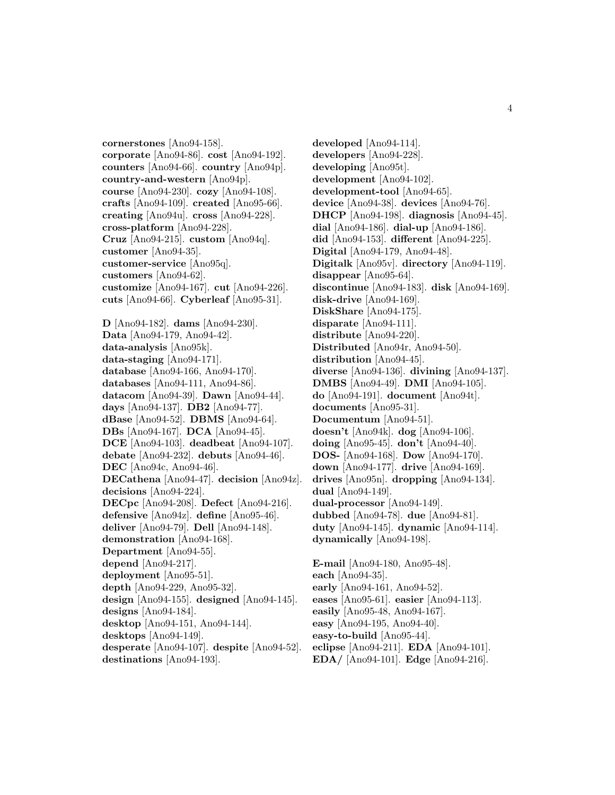**cornerstones** [Ano94-158]. **corporate** [Ano94-86]. **cost** [Ano94-192]. **counters** [Ano94-66]. **country** [Ano94p]. **country-and-western** [Ano94p]. **course** [Ano94-230]. **cozy** [Ano94-108]. **crafts** [Ano94-109]. **created** [Ano95-66]. **creating** [Ano94u]. **cross** [Ano94-228]. **cross-platform** [Ano94-228]. **Cruz** [Ano94-215]. **custom** [Ano94q]. **customer** [Ano94-35]. **customer-service** [Ano95q]. **customers** [Ano94-62]. **customize** [Ano94-167]. **cut** [Ano94-226]. **cuts** [Ano94-66]. **Cyberleaf** [Ano95-31]. **D** [Ano94-182]. **dams** [Ano94-230]. **Data** [Ano94-179, Ano94-42]. **data-analysis** [Ano95k]. **data-staging** [Ano94-171]. **database** [Ano94-166, Ano94-170]. **databases** [Ano94-111, Ano94-86]. **datacom** [Ano94-39]. **Dawn** [Ano94-44]. **days** [Ano94-137]. **DB2** [Ano94-77]. **dBase** [Ano94-52]. **DBMS** [Ano94-64]. **DBs** [Ano94-167]. **DCA** [Ano94-45]. **DCE** [Ano94-103]. **deadbeat** [Ano94-107]. **debate** [Ano94-232]. **debuts** [Ano94-46]. **DEC** [Ano94c, Ano94-46]. **DECathena** [Ano94-47]. **decision** [Ano94z]. **decisions** [Ano94-224]. **DECpc** [Ano94-208]. **Defect** [Ano94-216]. **defensive** [Ano94z]. **define** [Ano95-46]. **deliver** [Ano94-79]. **Dell** [Ano94-148]. **demonstration** [Ano94-168]. **Department** [Ano94-55]. **depend** [Ano94-217]. **deployment** [Ano95-51]. **depth** [Ano94-229, Ano95-32].

**design** [Ano94-155]. **designed** [Ano94-145].

**designs** [Ano94-184].

**desktop** [Ano94-151, Ano94-144].

**desktops** [Ano94-149].

**desperate** [Ano94-107]. **despite** [Ano94-52]. **destinations** [Ano94-193].

**developed** [Ano94-114]. **developers** [Ano94-228]. **developing** [Ano95t]. **development** [Ano94-102]. **development-tool** [Ano94-65]. **device** [Ano94-38]. **devices** [Ano94-76]. **DHCP** [Ano94-198]. **diagnosis** [Ano94-45]. **dial** [Ano94-186]. **dial-up** [Ano94-186]. **did** [Ano94-153]. **different** [Ano94-225]. **Digital** [Ano94-179, Ano94-48]. **Digitalk** [Ano95v]. **directory** [Ano94-119]. **disappear** [Ano95-64]. **discontinue** [Ano94-183]. **disk** [Ano94-169]. **disk-drive** [Ano94-169]. **DiskShare** [Ano94-175]. **disparate** [Ano94-111]. **distribute** [Ano94-220]. **Distributed** [Ano94r, Ano94-50]. **distribution** [Ano94-45]. **diverse** [Ano94-136]. **divining** [Ano94-137]. **DMBS** [Ano94-49]. **DMI** [Ano94-105]. **do** [Ano94-191]. **document** [Ano94t]. **documents** [Ano95-31]. **Documentum** [Ano94-51]. **doesn't** [Ano94k]. **dog** [Ano94-106]. **doing** [Ano95-45]. **don't** [Ano94-40]. **DOS-** [Ano94-168]. **Dow** [Ano94-170]. **down** [Ano94-177]. **drive** [Ano94-169]. **drives** [Ano95n]. **dropping** [Ano94-134]. **dual** [Ano94-149]. **dual-processor** [Ano94-149]. **dubbed** [Ano94-78]. **due** [Ano94-81]. **duty** [Ano94-145]. **dynamic** [Ano94-114]. **dynamically** [Ano94-198]. **E-mail** [Ano94-180, Ano95-48]. **each** [Ano94-35]. **early** [Ano94-161, Ano94-52]. **eases** [Ano95-61]. **easier** [Ano94-113]. **easily** [Ano95-48, Ano94-167].

**easy** [Ano94-195, Ano94-40].

**easy-to-build** [Ano95-44].

**eclipse** [Ano94-211]. **EDA** [Ano94-101].

**EDA/** [Ano94-101]. **Edge** [Ano94-216].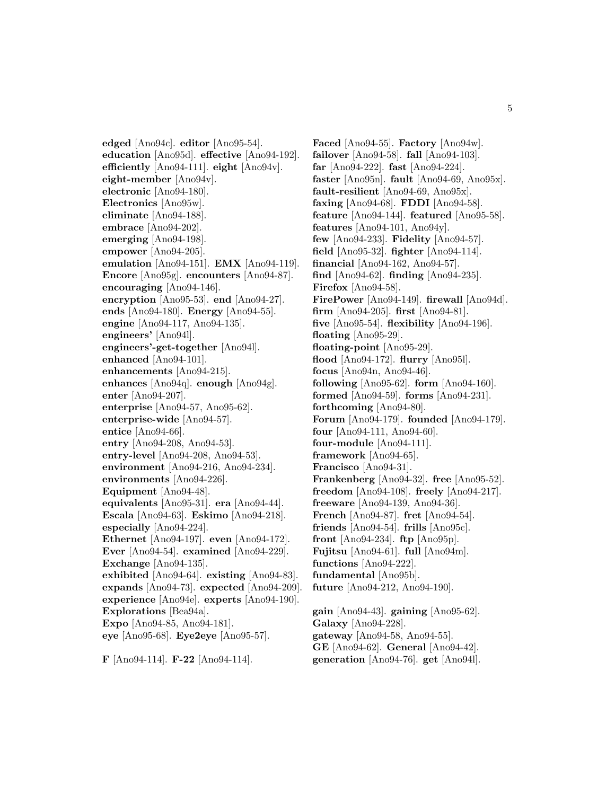**edged** [Ano94c]. **editor** [Ano95-54]. **education** [Ano95d]. **effective** [Ano94-192]. **efficiently** [Ano94-111]. **eight** [Ano94v]. **eight-member** [Ano94v]. **electronic** [Ano94-180]. **Electronics** [Ano95w]. **eliminate** [Ano94-188]. **embrace** [Ano94-202]. **emerging** [Ano94-198]. **empower** [Ano94-205]. **emulation** [Ano94-151]. **EMX** [Ano94-119]. **Encore** [Ano95g]. **encounters** [Ano94-87]. **encouraging** [Ano94-146]. **encryption** [Ano95-53]. **end** [Ano94-27]. **ends** [Ano94-180]. **Energy** [Ano94-55]. **engine** [Ano94-117, Ano94-135]. **engineers'** [Ano94l]. **engineers'-get-together** [Ano94l]. **enhanced** [Ano94-101]. **enhancements** [Ano94-215]. **enhances** [Ano94q]. **enough** [Ano94g]. **enter** [Ano94-207]. **enterprise** [Ano94-57, Ano95-62]. **enterprise-wide** [Ano94-57]. **entice** [Ano94-66]. **entry** [Ano94-208, Ano94-53]. **entry-level** [Ano94-208, Ano94-53]. **environment** [Ano94-216, Ano94-234]. **environments** [Ano94-226]. **Equipment** [Ano94-48]. **equivalents** [Ano95-31]. **era** [Ano94-44]. **Escala** [Ano94-63]. **Eskimo** [Ano94-218]. **especially** [Ano94-224]. **Ethernet** [Ano94-197]. **even** [Ano94-172]. **Ever** [Ano94-54]. **examined** [Ano94-229]. **Exchange** [Ano94-135]. **exhibited** [Ano94-64]. **existing** [Ano94-83]. **expands** [Ano94-73]. **expected** [Ano94-209]. **experience** [Ano94e]. **experts** [Ano94-190]. **Explorations** [Bea94a]. **Expo** [Ano94-85, Ano94-181]. **eye** [Ano95-68]. **Eye2eye** [Ano95-57].

**F** [Ano94-114]. **F-22** [Ano94-114].

**Faced** [Ano94-55]. **Factory** [Ano94w]. **failover** [Ano94-58]. **fall** [Ano94-103]. **far** [Ano94-222]. **fast** [Ano94-224]. **faster** [Ano95n]. **fault** [Ano94-69, Ano95x]. **fault-resilient** [Ano94-69, Ano95x]. **faxing** [Ano94-68]. **FDDI** [Ano94-58]. **feature** [Ano94-144]. **featured** [Ano95-58]. **features** [Ano94-101, Ano94y]. **few** [Ano94-233]. **Fidelity** [Ano94-57]. **field** [Ano95-32]. **fighter** [Ano94-114]. **financial** [Ano94-162, Ano94-57]. **find** [Ano94-62]. **finding** [Ano94-235]. **Firefox** [Ano94-58]. **FirePower** [Ano94-149]. **firewall** [Ano94d]. **firm** [Ano94-205]. **first** [Ano94-81]. **five** [Ano95-54]. **flexibility** [Ano94-196]. **floating** [Ano95-29]. **floating-point** [Ano95-29]. **flood** [Ano94-172]. **flurry** [Ano95l]. **focus** [Ano94n, Ano94-46]. **following** [Ano95-62]. **form** [Ano94-160]. **formed** [Ano94-59]. **forms** [Ano94-231]. **forthcoming** [Ano94-80]. **Forum** [Ano94-179]. **founded** [Ano94-179]. **four** [Ano94-111, Ano94-60]. **four-module** [Ano94-111]. **framework** [Ano94-65]. **Francisco** [Ano94-31]. **Frankenberg** [Ano94-32]. **free** [Ano95-52]. **freedom** [Ano94-108]. **freely** [Ano94-217]. **freeware** [Ano94-139, Ano94-36]. **French** [Ano94-87]. **fret** [Ano94-54]. **friends** [Ano94-54]. **frills** [Ano95c]. **front** [Ano94-234]. **ftp** [Ano95p]. **Fujitsu** [Ano94-61]. **full** [Ano94m]. **functions** [Ano94-222]. **fundamental** [Ano95b]. **future** [Ano94-212, Ano94-190]. **gain** [Ano94-43]. **gaining** [Ano95-62].

**Galaxy** [Ano94-228]. **gateway** [Ano94-58, Ano94-55]. **GE** [Ano94-62]. **General** [Ano94-42]. **generation** [Ano94-76]. **get** [Ano94l].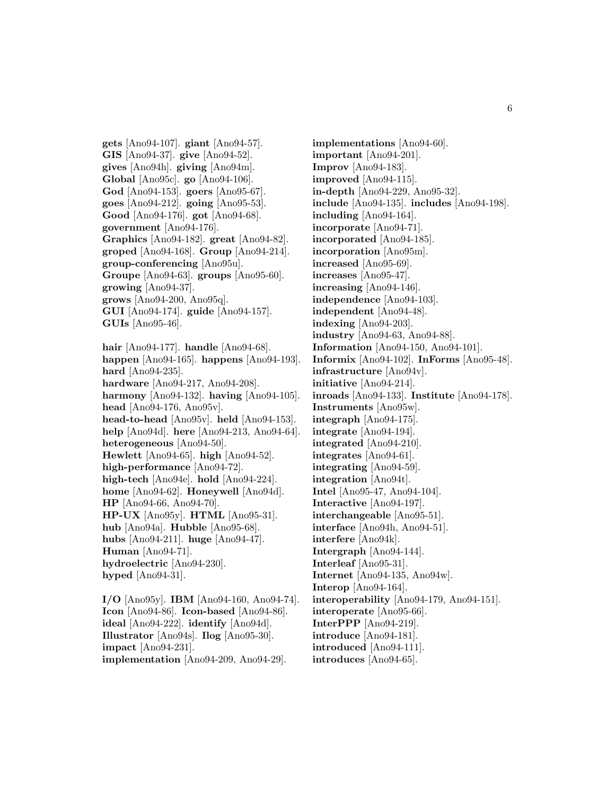**gets** [Ano94-107]. **giant** [Ano94-57]. **GIS** [Ano94-37]. **give** [Ano94-52]. **gives** [Ano94h]. **giving** [Ano94m]. **Global** [Ano95c]. **go** [Ano94-106]. **God** [Ano94-153]. **goers** [Ano95-67]. **goes** [Ano94-212]. **going** [Ano95-53]. **Good** [Ano94-176]. **got** [Ano94-68]. **government** [Ano94-176]. **Graphics** [Ano94-182]. **great** [Ano94-82]. **groped** [Ano94-168]. **Group** [Ano94-214]. **group-conferencing** [Ano95u]. **Groupe** [Ano94-63]. **groups** [Ano95-60]. **growing** [Ano94-37]. **grows** [Ano94-200, Ano95q]. **GUI** [Ano94-174]. **guide** [Ano94-157]. **GUIs** [Ano95-46]. **hair** [Ano94-177]. **handle** [Ano94-68]. **happen** [Ano94-165]. **happens** [Ano94-193]. **hard** [Ano94-235]. **hardware** [Ano94-217, Ano94-208]. **harmony** [Ano94-132]. **having** [Ano94-105]. **head** [Ano94-176, Ano95v]. **head-to-head** [Ano95v]. **held** [Ano94-153]. **help** [Ano94d]. **here** [Ano94-213, Ano94-64]. **heterogeneous** [Ano94-50]. **Hewlett** [Ano94-65]. **high** [Ano94-52]. **high-performance** [Ano94-72]. **high-tech** [Ano94e]. **hold** [Ano94-224]. **home** [Ano94-62]. **Honeywell** [Ano94d]. **HP** [Ano94-66, Ano94-70]. **HP-UX** [Ano95y]. **HTML** [Ano95-31]. **hub** [Ano94a]. **Hubble** [Ano95-68]. **hubs** [Ano94-211]. **huge** [Ano94-47]. **Human** [Ano94-71]. **hydroelectric** [Ano94-230]. **hyped** [Ano94-31].

**I/O** [Ano95y]. **IBM** [Ano94-160, Ano94-74]. **Icon** [Ano94-86]. **Icon-based** [Ano94-86]. **ideal** [Ano94-222]. **identify** [Ano94d]. **Illustrator** [Ano94s]. **Ilog** [Ano95-30]. **impact** [Ano94-231]. **implementation** [Ano94-209, Ano94-29].

**implementations** [Ano94-60]. **important** [Ano94-201]. **Improv** [Ano94-183]. **improved** [Ano94-115]. **in-depth** [Ano94-229, Ano95-32]. **include** [Ano94-135]. **includes** [Ano94-198]. **including** [Ano94-164]. **incorporate** [Ano94-71]. **incorporated** [Ano94-185]. **incorporation** [Ano95m]. **increased** [Ano95-69]. **increases** [Ano95-47]. **increasing** [Ano94-146]. **independence** [Ano94-103]. **independent** [Ano94-48]. **indexing** [Ano94-203]. **industry** [Ano94-63, Ano94-88]. **Information** [Ano94-150, Ano94-101]. **Informix** [Ano94-102]. **InForms** [Ano95-48]. **infrastructure** [Ano94v]. **initiative** [Ano94-214]. **inroads** [Ano94-133]. **Institute** [Ano94-178]. **Instruments** [Ano95w]. **integraph** [Ano94-175]. **integrate** [Ano94-194]. **integrated** [Ano94-210]. **integrates** [Ano94-61]. **integrating** [Ano94-59]. **integration** [Ano94t]. **Intel** [Ano95-47, Ano94-104]. **Interactive** [Ano94-197]. **interchangeable** [Ano95-51]. **interface** [Ano94h, Ano94-51]. **interfere** [Ano94k]. **Intergraph** [Ano94-144]. **Interleaf** [Ano95-31]. **Internet** [Ano94-135, Ano94w]. **Interop** [Ano94-164]. **interoperability** [Ano94-179, Ano94-151]. **interoperate** [Ano95-66]. **InterPPP** [Ano94-219]. **introduce** [Ano94-181]. **introduced** [Ano94-111]. **introduces** [Ano94-65].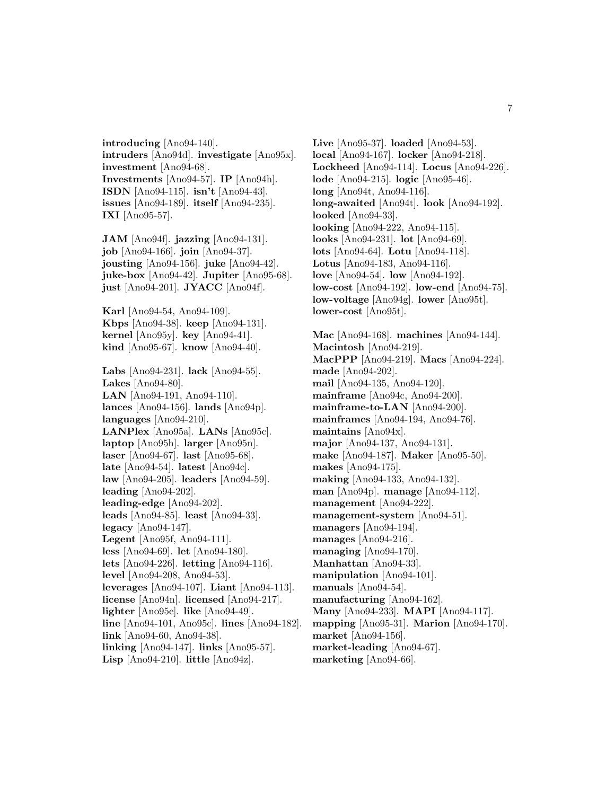**introducing** [Ano94-140]. **intruders** [Ano94d]. **investigate** [Ano95x]. **investment** [Ano94-68]. **Investments** [Ano94-57]. **IP** [Ano94h]. **ISDN** [Ano94-115]. **isn't** [Ano94-43]. **issues** [Ano94-189]. **itself** [Ano94-235]. **IXI** [Ano95-57].

**JAM** [Ano94f]. **jazzing** [Ano94-131]. **job** [Ano94-166]. **join** [Ano94-37]. **jousting** [Ano94-156]. **juke** [Ano94-42]. **juke-box** [Ano94-42]. **Jupiter** [Ano95-68]. **just** [Ano94-201]. **JYACC** [Ano94f].

**Karl** [Ano94-54, Ano94-109]. **Kbps** [Ano94-38]. **keep** [Ano94-131]. **kernel** [Ano95y]. **key** [Ano94-41]. **kind** [Ano95-67]. **know** [Ano94-40].

**Labs** [Ano94-231]. **lack** [Ano94-55]. **Lakes** [Ano94-80]. **LAN** [Ano94-191, Ano94-110]. **lances** [Ano94-156]. **lands** [Ano94p]. **languages** [Ano94-210]. **LANPlex** [Ano95a]. **LANs** [Ano95c]. **laptop** [Ano95h]. **larger** [Ano95n]. **laser** [Ano94-67]. **last** [Ano95-68]. **late** [Ano94-54]. **latest** [Ano94c]. **law** [Ano94-205]. **leaders** [Ano94-59]. **leading** [Ano94-202]. **leading-edge** [Ano94-202]. **leads** [Ano94-85]. **least** [Ano94-33]. **legacy** [Ano94-147]. **Legent** [Ano95f, Ano94-111]. **less** [Ano94-69]. **let** [Ano94-180]. **lets** [Ano94-226]. **letting** [Ano94-116]. **level** [Ano94-208, Ano94-53]. **leverages** [Ano94-107]. **Liant** [Ano94-113]. **license** [Ano94n]. **licensed** [Ano94-217]. **lighter** [Ano95e]. **like** [Ano94-49]. **line** [Ano94-101, Ano95c]. **lines** [Ano94-182]. **link** [Ano94-60, Ano94-38]. **linking** [Ano94-147]. **links** [Ano95-57].

**Lisp** [Ano94-210]. **little** [Ano94z].

**Live** [Ano95-37]. **loaded** [Ano94-53]. **local** [Ano94-167]. **locker** [Ano94-218]. **Lockheed** [Ano94-114]. **Locus** [Ano94-226]. **lode** [Ano94-215]. **logic** [Ano95-46]. **long** [Ano94t, Ano94-116]. **long-awaited** [Ano94t]. **look** [Ano94-192]. **looked** [Ano94-33]. **looking** [Ano94-222, Ano94-115]. **looks** [Ano94-231]. **lot** [Ano94-69]. **lots** [Ano94-64]. **Lotu** [Ano94-118]. **Lotus** [Ano94-183, Ano94-116]. **love** [Ano94-54]. **low** [Ano94-192]. **low-cost** [Ano94-192]. **low-end** [Ano94-75]. **low-voltage** [Ano94g]. **lower** [Ano95t]. **lower-cost** [Ano95t].

**Mac** [Ano94-168]. **machines** [Ano94-144]. **Macintosh** [Ano94-219]. **MacPPP** [Ano94-219]. **Macs** [Ano94-224]. **made** [Ano94-202]. **mail** [Ano94-135, Ano94-120]. **mainframe** [Ano94c, Ano94-200]. **mainframe-to-LAN** [Ano94-200]. **mainframes** [Ano94-194, Ano94-76]. **maintains** [Ano94x]. **major** [Ano94-137, Ano94-131]. **make** [Ano94-187]. **Maker** [Ano95-50]. **makes** [Ano94-175]. **making** [Ano94-133, Ano94-132]. **man** [Ano94p]. **manage** [Ano94-112]. **management** [Ano94-222]. **management-system** [Ano94-51]. **managers** [Ano94-194]. **manages** [Ano94-216]. **managing** [Ano94-170]. **Manhattan** [Ano94-33]. **manipulation** [Ano94-101]. **manuals** [Ano94-54]. **manufacturing** [Ano94-162]. **Many** [Ano94-233]. **MAPI** [Ano94-117]. **mapping** [Ano95-31]. **Marion** [Ano94-170]. **market** [Ano94-156]. **market-leading** [Ano94-67]. **marketing** [Ano94-66].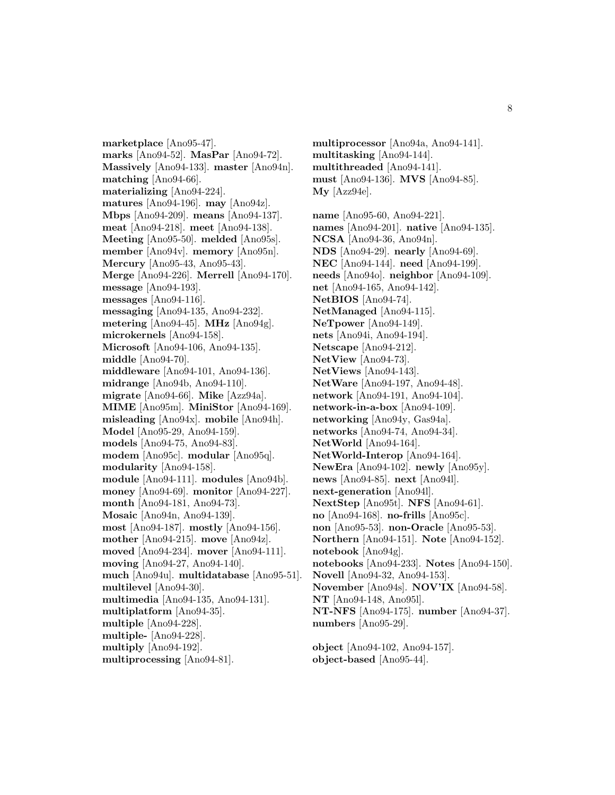**marketplace** [Ano95-47]. **marks** [Ano94-52]. **MasPar** [Ano94-72]. **Massively** [Ano94-133]. **master** [Ano94n]. **matching** [Ano94-66]. **materializing** [Ano94-224]. **matures** [Ano94-196]. **may** [Ano94z]. **Mbps** [Ano94-209]. **means** [Ano94-137]. **meat** [Ano94-218]. **meet** [Ano94-138]. **Meeting** [Ano95-50]. **melded** [Ano95s]. **member** [Ano94v]. **memory** [Ano95n]. **Mercury** [Ano95-43, Ano95-43]. **Merge** [Ano94-226]. **Merrell** [Ano94-170]. **message** [Ano94-193]. **messages** [Ano94-116]. **messaging** [Ano94-135, Ano94-232]. **metering** [Ano94-45]. **MHz** [Ano94g]. **microkernels** [Ano94-158]. **Microsoft** [Ano94-106, Ano94-135]. **middle** [Ano94-70]. **middleware** [Ano94-101, Ano94-136]. **midrange** [Ano94b, Ano94-110]. **migrate** [Ano94-66]. **Mike** [Azz94a]. **MIME** [Ano95m]. **MiniStor** [Ano94-169]. **misleading** [Ano94x]. **mobile** [Ano94h]. **Model** [Ano95-29, Ano94-159]. **models** [Ano94-75, Ano94-83]. **modem** [Ano95c]. **modular** [Ano95q]. **modularity** [Ano94-158]. **module** [Ano94-111]. **modules** [Ano94b]. **money** [Ano94-69]. **monitor** [Ano94-227]. **month** [Ano94-181, Ano94-73]. **Mosaic** [Ano94n, Ano94-139]. **most** [Ano94-187]. **mostly** [Ano94-156]. **mother** [Ano94-215]. **move** [Ano94z]. **moved** [Ano94-234]. **mover** [Ano94-111]. **moving** [Ano94-27, Ano94-140]. **much** [Ano94u]. **multidatabase** [Ano95-51]. **multilevel** [Ano94-30]. **multimedia** [Ano94-135, Ano94-131]. **multiplatform** [Ano94-35]. **multiple** [Ano94-228]. **multiple-** [Ano94-228]. **multiply** [Ano94-192]. **multiprocessing** [Ano94-81].

**multiprocessor** [Ano94a, Ano94-141]. **multitasking** [Ano94-144]. **multithreaded** [Ano94-141]. **must** [Ano94-136]. **MVS** [Ano94-85]. **My** [Azz94e].

**name** [Ano95-60, Ano94-221]. **names** [Ano94-201]. **native** [Ano94-135]. **NCSA** [Ano94-36, Ano94n]. **NDS** [Ano94-29]. **nearly** [Ano94-69]. **NEC** [Ano94-144]. **need** [Ano94-199]. **needs** [Ano94o]. **neighbor** [Ano94-109]. **net** [Ano94-165, Ano94-142]. **NetBIOS** [Ano94-74]. **NetManaged** [Ano94-115]. **NeTpower** [Ano94-149]. **nets** [Ano94i, Ano94-194]. **Netscape** [Ano94-212]. **NetView** [Ano94-73]. **NetViews** [Ano94-143]. **NetWare** [Ano94-197, Ano94-48]. **network** [Ano94-191, Ano94-104]. **network-in-a-box** [Ano94-109]. **networking** [Ano94y, Gas94a]. **networks** [Ano94-74, Ano94-34]. **NetWorld** [Ano94-164]. **NetWorld-Interop** [Ano94-164]. **NewEra** [Ano94-102]. **newly** [Ano95y]. **news** [Ano94-85]. **next** [Ano94l]. **next-generation** [Ano94l]. **NextStep** [Ano95t]. **NFS** [Ano94-61]. **no** [Ano94-168]. **no-frills** [Ano95c]. **non** [Ano95-53]. **non-Oracle** [Ano95-53]. **Northern** [Ano94-151]. **Note** [Ano94-152]. **notebook** [Ano94g]. **notebooks** [Ano94-233]. **Notes** [Ano94-150]. **Novell** [Ano94-32, Ano94-153]. **November** [Ano94s]. **NOV'IX** [Ano94-58]. **NT** [Ano94-148, Ano95l]. **NT-NFS** [Ano94-175]. **number** [Ano94-37]. **numbers** [Ano95-29].

**object** [Ano94-102, Ano94-157]. **object-based** [Ano95-44].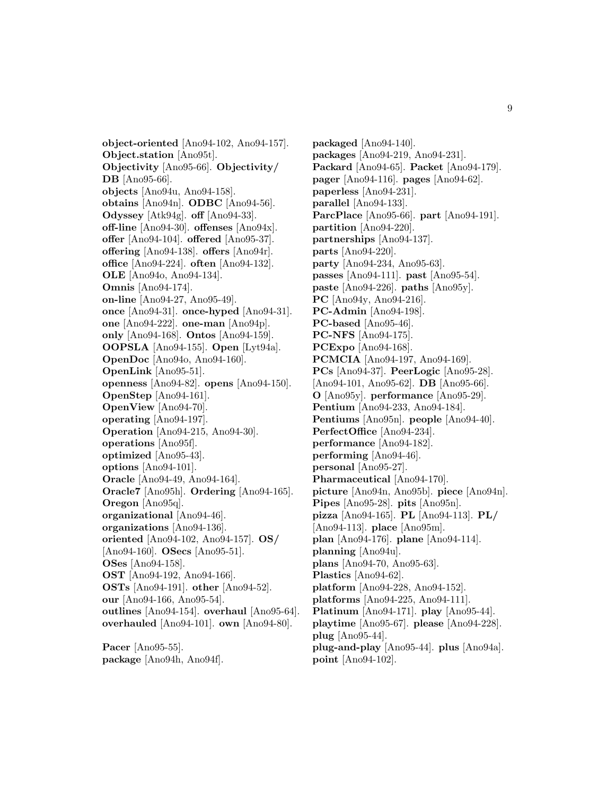**object-oriented** [Ano94-102, Ano94-157]. **Object.station** [Ano95t]. **Objectivity** [Ano95-66]. **Objectivity/ DB** [Ano95-66]. **objects** [Ano94u, Ano94-158]. **obtains** [Ano94n]. **ODBC** [Ano94-56]. **Odyssey** [Atk94g]. **off** [Ano94-33]. **off-line** [Ano94-30]. **offenses** [Ano94x]. **offer** [Ano94-104]. **offered** [Ano95-37]. **offering** [Ano94-138]. **offers** [Ano94r]. **office** [Ano94-224]. **often** [Ano94-132]. **OLE** [Ano94o, Ano94-134]. **Omnis** [Ano94-174]. **on-line** [Ano94-27, Ano95-49]. **once** [Ano94-31]. **once-hyped** [Ano94-31]. **one** [Ano94-222]. **one-man** [Ano94p]. **only** [Ano94-168]. **Ontos** [Ano94-159]. **OOPSLA** [Ano94-155]. **Open** [Lyt94a]. **OpenDoc** [Ano94o, Ano94-160]. **OpenLink** [Ano95-51]. **openness** [Ano94-82]. **opens** [Ano94-150]. **OpenStep** [Ano94-161]. **OpenView** [Ano94-70]. **operating** [Ano94-197]. **Operation** [Ano94-215, Ano94-30]. **operations** [Ano95f]. **optimized** [Ano95-43]. **options** [Ano94-101]. **Oracle** [Ano94-49, Ano94-164]. **Oracle7** [Ano95h]. **Ordering** [Ano94-165]. **Oregon** [Ano95q]. **organizational** [Ano94-46]. **organizations** [Ano94-136]. **oriented** [Ano94-102, Ano94-157]. **OS/** [Ano94-160]. **OSecs** [Ano95-51]. **OSes** [Ano94-158]. **OST** [Ano94-192, Ano94-166]. **OSTs** [Ano94-191]. **other** [Ano94-52]. **our** [Ano94-166, Ano95-54]. **outlines** [Ano94-154]. **overhaul** [Ano95-64]. **overhauled** [Ano94-101]. **own** [Ano94-80].

**Pacer** [Ano95-55]. **package** [Ano94h, Ano94f]. **packaged** [Ano94-140]. **packages** [Ano94-219, Ano94-231]. **Packard** [Ano94-65]. **Packet** [Ano94-179]. **pager** [Ano94-116]. **pages** [Ano94-62]. **paperless** [Ano94-231]. **parallel** [Ano94-133]. **ParcPlace** [Ano95-66]. **part** [Ano94-191]. **partition** [Ano94-220]. **partnerships** [Ano94-137]. **parts** [Ano94-220]. **party** [Ano94-234, Ano95-63]. **passes** [Ano94-111]. **past** [Ano95-54]. **paste** [Ano94-226]. **paths** [Ano95y]. **PC** [Ano94y, Ano94-216]. **PC-Admin** [Ano94-198]. **PC-based** [Ano95-46]. **PC-NFS** [Ano94-175]. **PCExpo** [Ano94-168]. **PCMCIA** [Ano94-197, Ano94-169]. **PCs** [Ano94-37]. **PeerLogic** [Ano95-28]. [Ano94-101, Ano95-62]. **DB** [Ano95-66]. **O** [Ano95y]. **performance** [Ano95-29]. **Pentium** [Ano94-233, Ano94-184]. **Pentiums** [Ano95n]. **people** [Ano94-40]. **PerfectOffice** [Ano94-234]. **performance** [Ano94-182]. **performing** [Ano94-46]. **personal** [Ano95-27]. **Pharmaceutical** [Ano94-170]. **picture** [Ano94n, Ano95b]. **piece** [Ano94n]. **Pipes** [Ano95-28]. **pits** [Ano95n]. **pizza** [Ano94-165]. **PL** [Ano94-113]. **PL/** [Ano94-113]. **place** [Ano95m]. **plan** [Ano94-176]. **plane** [Ano94-114]. **planning** [Ano94u]. **plans** [Ano94-70, Ano95-63]. **Plastics** [Ano94-62]. **platform** [Ano94-228, Ano94-152]. **platforms** [Ano94-225, Ano94-111]. **Platinum** [Ano94-171]. **play** [Ano95-44]. **playtime** [Ano95-67]. **please** [Ano94-228]. **plug** [Ano95-44]. **plug-and-play** [Ano95-44]. **plus** [Ano94a]. **point** [Ano94-102].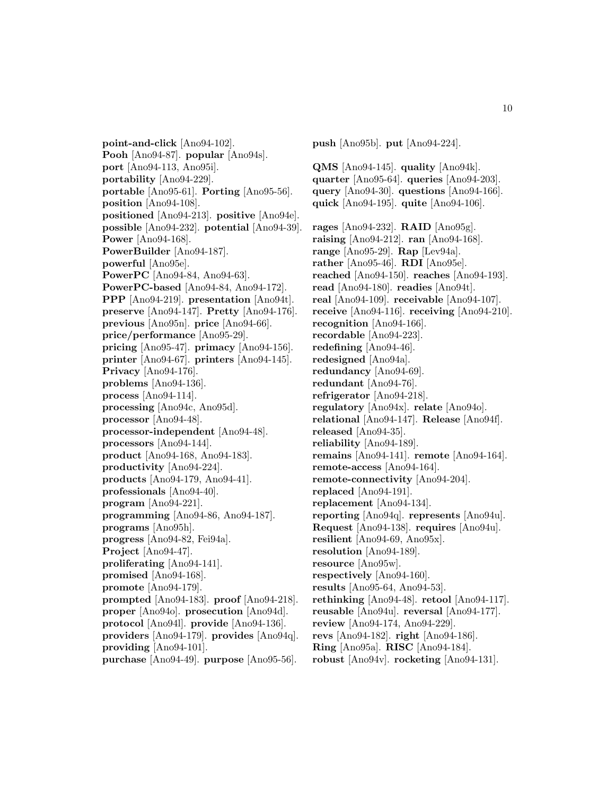**point-and-click** [Ano94-102]. **Pooh** [Ano94-87]. **popular** [Ano94s]. **port** [Ano94-113, Ano95i]. **portability** [Ano94-229]. **portable** [Ano95-61]. **Porting** [Ano95-56]. **position** [Ano94-108]. **positioned** [Ano94-213]. **positive** [Ano94e]. **possible** [Ano94-232]. **potential** [Ano94-39]. **Power** [Ano94-168]. **PowerBuilder** [Ano94-187]. **powerful** [Ano95e]. **PowerPC** [Ano94-84, Ano94-63]. **PowerPC-based** [Ano94-84, Ano94-172]. **PPP** [Ano94-219]. **presentation** [Ano94t]. **preserve** [Ano94-147]. **Pretty** [Ano94-176]. **previous** [Ano95n]. **price** [Ano94-66]. **price/performance** [Ano95-29]. **pricing** [Ano95-47]. **primacy** [Ano94-156]. **printer** [Ano94-67]. **printers** [Ano94-145]. **Privacy** [Ano94-176]. **problems** [Ano94-136]. **process** [Ano94-114]. **processing** [Ano94c, Ano95d]. **processor** [Ano94-48]. **processor-independent** [Ano94-48]. **processors** [Ano94-144]. **product** [Ano94-168, Ano94-183]. **productivity** [Ano94-224]. **products** [Ano94-179, Ano94-41]. **professionals** [Ano94-40]. **program** [Ano94-221]. **programming** [Ano94-86, Ano94-187]. **programs** [Ano95h]. **progress** [Ano94-82, Fei94a]. **Project** [Ano94-47]. **proliferating** [Ano94-141]. **promised** [Ano94-168]. **promote** [Ano94-179]. **prompted** [Ano94-183]. **proof** [Ano94-218]. **proper** [Ano94o]. **prosecution** [Ano94d]. **protocol** [Ano94l]. **provide** [Ano94-136]. **providers** [Ano94-179]. **provides** [Ano94q]. **providing** [Ano94-101]. **purchase** [Ano94-49]. **purpose** [Ano95-56].

**push** [Ano95b]. **put** [Ano94-224]. **QMS** [Ano94-145]. **quality** [Ano94k]. **quarter** [Ano95-64]. **queries** [Ano94-203]. **query** [Ano94-30]. **questions** [Ano94-166]. **quick** [Ano94-195]. **quite** [Ano94-106]. **rages** [Ano94-232]. **RAID** [Ano95g]. **raising** [Ano94-212]. **ran** [Ano94-168]. **range** [Ano95-29]. **Rap** [Lev94a]. **rather** [Ano95-46]. **RDI** [Ano95e]. **reached** [Ano94-150]. **reaches** [Ano94-193]. **read** [Ano94-180]. **readies** [Ano94t]. **real** [Ano94-109]. **receivable** [Ano94-107]. **receive** [Ano94-116]. **receiving** [Ano94-210]. **recognition** [Ano94-166]. **recordable** [Ano94-223]. **redefining** [Ano94-46]. **redesigned** [Ano94a]. **redundancy** [Ano94-69]. **redundant** [Ano94-76]. **refrigerator** [Ano94-218]. **regulatory** [Ano94x]. **relate** [Ano94o]. **relational** [Ano94-147]. **Release** [Ano94f]. **released** [Ano94-35]. **reliability** [Ano94-189]. **remains** [Ano94-141]. **remote** [Ano94-164]. **remote-access** [Ano94-164]. **remote-connectivity** [Ano94-204]. **replaced** [Ano94-191]. **replacement** [Ano94-134]. **reporting** [Ano94q]. **represents** [Ano94u]. **Request** [Ano94-138]. **requires** [Ano94u]. **resilient** [Ano94-69, Ano95x]. **resolution** [Ano94-189]. **resource** [Ano95w]. **respectively** [Ano94-160]. **results** [Ano95-64, Ano94-53]. **rethinking** [Ano94-48]. **retool** [Ano94-117]. **reusable** [Ano94u]. **reversal** [Ano94-177]. **review** [Ano94-174, Ano94-229]. **revs** [Ano94-182]. **right** [Ano94-186]. **Ring** [Ano95a]. **RISC** [Ano94-184].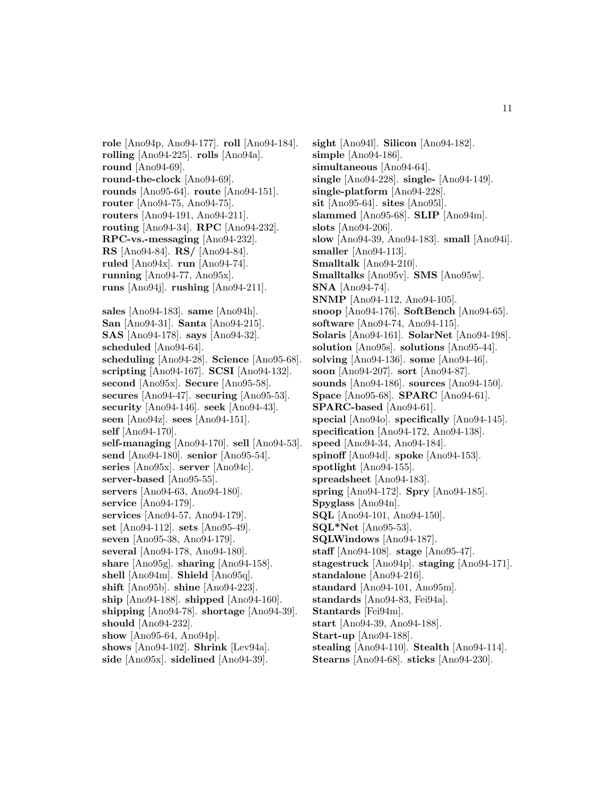**role** [Ano94p, Ano94-177]. **roll** [Ano94-184]. **rolling** [Ano94-225]. **rolls** [Ano94a]. **round** [Ano94-69]. **round-the-clock** [Ano94-69]. **rounds** [Ano95-64]. **route** [Ano94-151]. **router** [Ano94-75, Ano94-75]. **routers** [Ano94-191, Ano94-211]. **routing** [Ano94-34]. **RPC** [Ano94-232]. **RPC-vs.-messaging** [Ano94-232]. **RS** [Ano94-84]. **RS/** [Ano94-84]. **ruled** [Ano94x]. **run** [Ano94-74]. **running** [Ano94-77, Ano95x]. **runs** [Ano94j]. **rushing** [Ano94-211]. **sales** [Ano94-183]. **same** [Ano94h]. **San** [Ano94-31]. **Santa** [Ano94-215]. **SAS** [Ano94-178]. **says** [Ano94-32]. **scheduled** [Ano94-64]. **scheduling** [Ano94-28]. **Science** [Ano95-68]. **scripting** [Ano94-167]. **SCSI** [Ano94-132]. **second** [Ano95x]. **Secure** [Ano95-58]. **secures** [Ano94-47]. **securing** [Ano95-53]. **security** [Ano94-146]. **seek** [Ano94-43]. **seen** [Ano94z]. **sees** [Ano94-151]. **self** [Ano94-170]. **self-managing** [Ano94-170]. **sell** [Ano94-53]. **send** [Ano94-180]. **senior** [Ano95-54]. **series** [Ano95x]. **server** [Ano94c]. **server-based** [Ano95-55]. **servers** [Ano94-63, Ano94-180]. **service** [Ano94-179]. **services** [Ano94-57, Ano94-179]. **set** [Ano94-112]. **sets** [Ano95-49]. **seven** [Ano95-38, Ano94-179]. **several** [Ano94-178, Ano94-180]. **share** [Ano95g]. **sharing** [Ano94-158]. **shell** [Ano94m]. **Shield** [Ano95q]. **shift** [Ano95b]. **shine** [Ano94-223]. **ship** [Ano94-188]. **shipped** [Ano94-160]. **shipping** [Ano94-78]. **shortage** [Ano94-39]. **should** [Ano94-232]. **show** [Ano95-64, Ano94p]. **shows** [Ano94-102]. **Shrink** [Lev94a].

**side** [Ano95x]. **sidelined** [Ano94-39].

**sight** [Ano94l]. **Silicon** [Ano94-182]. **simple** [Ano94-186]. **simultaneous** [Ano94-64]. **single** [Ano94-228]. **single-** [Ano94-149]. **single-platform** [Ano94-228]. **sit** [Ano95-64]. **sites** [Ano95l]. **slammed** [Ano95-68]. **SLIP** [Ano94m]. **slots** [Ano94-206]. **slow** [Ano94-39, Ano94-183]. **small** [Ano94i]. **smaller** [Ano94-113]. **Smalltalk** [Ano94-210]. **Smalltalks** [Ano95v]. **SMS** [Ano95w]. **SNA** [Ano94-74]. **SNMP** [Ano94-112, Ano94-105]. **snoop** [Ano94-176]. **SoftBench** [Ano94-65]. **software** [Ano94-74, Ano94-115]. **Solaris** [Ano94-161]. **SolarNet** [Ano94-198]. **solution** [Ano95s]. **solutions** [Ano95-44]. **solving** [Ano94-136]. **some** [Ano94-46]. **soon** [Ano94-207]. **sort** [Ano94-87]. **sounds** [Ano94-186]. **sources** [Ano94-150]. **Space** [Ano95-68]. **SPARC** [Ano94-61]. **SPARC-based** [Ano94-61]. **special** [Ano94o]. **specifically** [Ano94-145]. **specification** [Ano94-172, Ano94-138]. **speed** [Ano94-34, Ano94-184]. **spinoff** [Ano94d]. **spoke** [Ano94-153]. **spotlight** [Ano94-155]. **spreadsheet** [Ano94-183]. **spring** [Ano94-172]. **Spry** [Ano94-185]. **Spyglass** [Ano94n]. **SQL** [Ano94-101, Ano94-150]. **SQL\*Net** [Ano95-53]. **SQLWindows** [Ano94-187]. **staff** [Ano94-108]. **stage** [Ano95-47]. **stagestruck** [Ano94p]. **staging** [Ano94-171]. **standalone** [Ano94-216]. **standard** [Ano94-101, Ano95m]. **standards** [Ano94-83, Fei94a]. **Stantards** [Fei94m]. **start** [Ano94-39, Ano94-188]. **Start-up** [Ano94-188]. **stealing** [Ano94-110]. **Stealth** [Ano94-114].

**Stearns** [Ano94-68]. **sticks** [Ano94-230].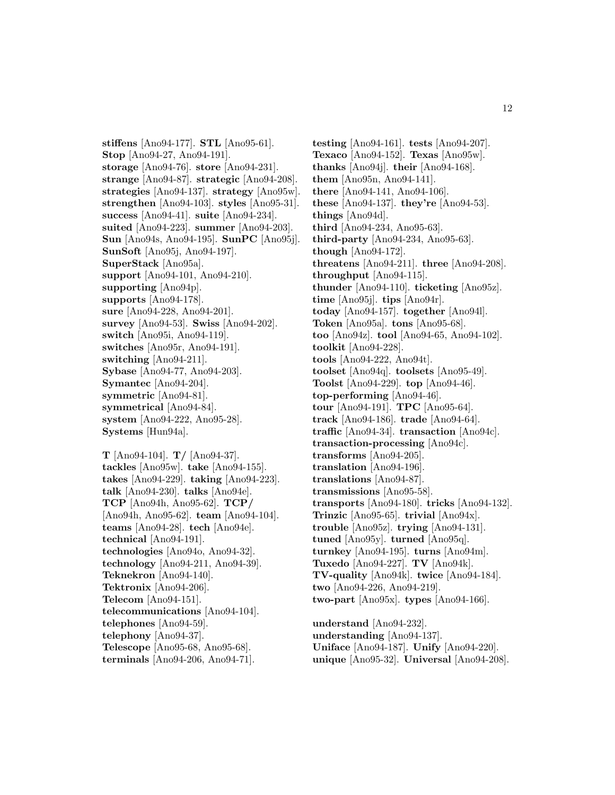**stiffens** [Ano94-177]. **STL** [Ano95-61]. **Stop** [Ano94-27, Ano94-191]. **storage** [Ano94-76]. **store** [Ano94-231]. **strange** [Ano94-87]. **strategic** [Ano94-208]. **strategies** [Ano94-137]. **strategy** [Ano95w]. **strengthen** [Ano94-103]. **styles** [Ano95-31]. **success** [Ano94-41]. **suite** [Ano94-234]. **suited** [Ano94-223]. **summer** [Ano94-203]. **Sun** [Ano94s, Ano94-195]. **SunPC** [Ano95j]. **SunSoft** [Ano95j, Ano94-197]. **SuperStack** [Ano95a]. **support** [Ano94-101, Ano94-210]. **supporting** [Ano94p]. **supports** [Ano94-178]. **sure** [Ano94-228, Ano94-201]. **survey** [Ano94-53]. **Swiss** [Ano94-202]. **switch** [Ano95i, Ano94-119]. **switches** [Ano95r, Ano94-191]. **switching** [Ano94-211]. **Sybase** [Ano94-77, Ano94-203]. **Symantec** [Ano94-204]. **symmetric** [Ano94-81]. **symmetrical** [Ano94-84]. **system** [Ano94-222, Ano95-28]. **Systems** [Hun94a].

**T** [Ano94-104]. **T/** [Ano94-37]. **tackles** [Ano95w]. **take** [Ano94-155]. **takes** [Ano94-229]. **taking** [Ano94-223]. **talk** [Ano94-230]. **talks** [Ano94e]. **TCP** [Ano94h, Ano95-62]. **TCP/** [Ano94h, Ano95-62]. **team** [Ano94-104]. **teams** [Ano94-28]. **tech** [Ano94e]. **technical** [Ano94-191]. **technologies** [Ano94o, Ano94-32]. **technology** [Ano94-211, Ano94-39]. **Teknekron** [Ano94-140]. **Tektronix** [Ano94-206]. **Telecom** [Ano94-151]. **telecommunications** [Ano94-104]. **telephones** [Ano94-59]. **telephony** [Ano94-37]. **Telescope** [Ano95-68, Ano95-68]. **terminals** [Ano94-206, Ano94-71].

**testing** [Ano94-161]. **tests** [Ano94-207]. **Texaco** [Ano94-152]. **Texas** [Ano95w]. **thanks** [Ano94j]. **their** [Ano94-168]. **them** [Ano95n, Ano94-141]. **there** [Ano94-141, Ano94-106]. **these** [Ano94-137]. **they're** [Ano94-53]. **things** [Ano94d]. **third** [Ano94-234, Ano95-63]. **third-party** [Ano94-234, Ano95-63]. **though** [Ano94-172]. **threatens** [Ano94-211]. **three** [Ano94-208]. **throughput** [Ano94-115]. **thunder** [Ano94-110]. **ticketing** [Ano95z]. **time** [Ano95j]. **tips** [Ano94r]. **today** [Ano94-157]. **together** [Ano94l]. **Token** [Ano95a]. **tons** [Ano95-68]. **too** [Ano94z]. **tool** [Ano94-65, Ano94-102]. **toolkit** [Ano94-228]. **tools** [Ano94-222, Ano94t]. **toolset** [Ano94q]. **toolsets** [Ano95-49]. **Toolst** [Ano94-229]. **top** [Ano94-46]. **top-performing** [Ano94-46]. **tour** [Ano94-191]. **TPC** [Ano95-64]. **track** [Ano94-186]. **trade** [Ano94-64]. **traffic** [Ano94-34]. **transaction** [Ano94c]. **transaction-processing** [Ano94c]. **transforms** [Ano94-205]. **translation** [Ano94-196]. **translations** [Ano94-87]. **transmissions** [Ano95-58]. **transports** [Ano94-180]. **tricks** [Ano94-132]. **Trinzic** [Ano95-65]. **trivial** [Ano94x]. **trouble** [Ano95z]. **trying** [Ano94-131]. **tuned** [Ano95y]. **turned** [Ano95q]. **turnkey** [Ano94-195]. **turns** [Ano94m]. **Tuxedo** [Ano94-227]. **TV** [Ano94k]. **TV-quality** [Ano94k]. **twice** [Ano94-184]. **two** [Ano94-226, Ano94-219]. **two-part** [Ano95x]. **types** [Ano94-166]. **understand** [Ano94-232].

**understanding** [Ano94-137]. **Uniface** [Ano94-187]. **Unify** [Ano94-220]. **unique** [Ano95-32]. **Universal** [Ano94-208].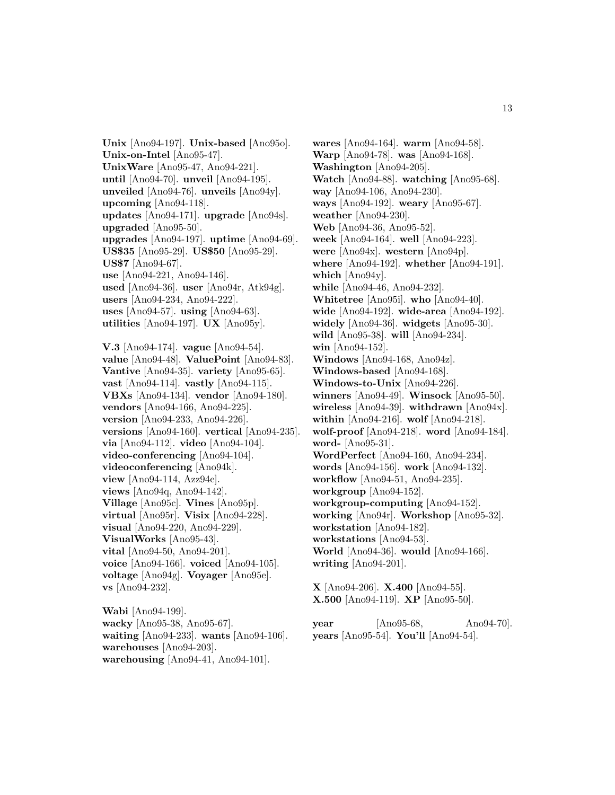**Unix** [Ano94-197]. **Unix-based** [Ano95o]. **Unix-on-Intel** [Ano95-47]. **UnixWare** [Ano95-47, Ano94-221]. **until** [Ano94-70]. **unveil** [Ano94-195]. **unveiled** [Ano94-76]. **unveils** [Ano94y]. **upcoming** [Ano94-118]. **updates** [Ano94-171]. **upgrade** [Ano94s]. **upgraded** [Ano95-50]. **upgrades** [Ano94-197]. **uptime** [Ano94-69]. **US\$35** [Ano95-29]. **US\$50** [Ano95-29]. **US\$7** [Ano94-67]. **use** [Ano94-221, Ano94-146]. **used** [Ano94-36]. **user** [Ano94r, Atk94g]. **users** [Ano94-234, Ano94-222]. **uses** [Ano94-57]. **using** [Ano94-63]. **utilities** [Ano94-197]. **UX** [Ano95y]. **V.3** [Ano94-174]. **vague** [Ano94-54]. **value** [Ano94-48]. **ValuePoint** [Ano94-83]. **Vantive** [Ano94-35]. **variety** [Ano95-65]. **vast** [Ano94-114]. **vastly** [Ano94-115]. **VBXs** [Ano94-134]. **vendor** [Ano94-180]. **vendors** [Ano94-166, Ano94-225]. **version** [Ano94-233, Ano94-226]. **versions** [Ano94-160]. **vertical** [Ano94-235]. **via** [Ano94-112]. **video** [Ano94-104]. **video-conferencing** [Ano94-104]. **videoconferencing** [Ano94k]. **view** [Ano94-114, Azz94e]. **views** [Ano94q, Ano94-142]. **Village** [Ano95c]. **Vines** [Ano95p]. **virtual** [Ano95r]. **Visix** [Ano94-228]. **visual** [Ano94-220, Ano94-229]. **VisualWorks** [Ano95-43]. **vital** [Ano94-50, Ano94-201]. **voice** [Ano94-166]. **voiced** [Ano94-105]. **voltage** [Ano94g]. **Voyager** [Ano95e].

**Wabi** [Ano94-199]. **wacky** [Ano95-38, Ano95-67]. **waiting** [Ano94-233]. **wants** [Ano94-106]. **warehouses** [Ano94-203]. **warehousing** [Ano94-41, Ano94-101].

**vs** [Ano94-232].

**wares** [Ano94-164]. **warm** [Ano94-58]. **Warp** [Ano94-78]. **was** [Ano94-168]. **Washington** [Ano94-205]. **Watch** [Ano94-88]. **watching** [Ano95-68]. **way** [Ano94-106, Ano94-230]. **ways** [Ano94-192]. **weary** [Ano95-67]. **weather** [Ano94-230]. **Web** [Ano94-36, Ano95-52]. **week** [Ano94-164]. **well** [Ano94-223]. **were** [Ano94x]. **western** [Ano94p]. **where** [Ano94-192]. **whether** [Ano94-191]. **which** [Ano94y]. **while** [Ano94-46, Ano94-232]. **Whitetree** [Ano95i]. **who** [Ano94-40]. **wide** [Ano94-192]. **wide-area** [Ano94-192]. **widely** [Ano94-36]. **widgets** [Ano95-30]. **wild** [Ano95-38]. **will** [Ano94-234]. **win** [Ano94-152]. **Windows** [Ano94-168, Ano94z]. **Windows-based** [Ano94-168]. **Windows-to-Unix** [Ano94-226]. **winners** [Ano94-49]. **Winsock** [Ano95-50]. **wireless** [Ano94-39]. **withdrawn** [Ano94x]. **within** [Ano94-216]. **wolf** [Ano94-218]. **wolf-proof** [Ano94-218]. **word** [Ano94-184]. **word-** [Ano95-31]. **WordPerfect** [Ano94-160, Ano94-234]. **words** [Ano94-156]. **work** [Ano94-132]. **workflow** [Ano94-51, Ano94-235]. **workgroup** [Ano94-152]. **workgroup-computing** [Ano94-152]. **working** [Ano94r]. **Workshop** [Ano95-32]. **workstation** [Ano94-182]. **workstations** [Ano94-53]. **World** [Ano94-36]. **would** [Ano94-166]. **writing** [Ano94-201].

**X** [Ano94-206]. **X.400** [Ano94-55]. **X.500** [Ano94-119]. **XP** [Ano95-50].

**year** [Ano95-68, Ano94-70]. **years** [Ano95-54]. **You'll** [Ano94-54].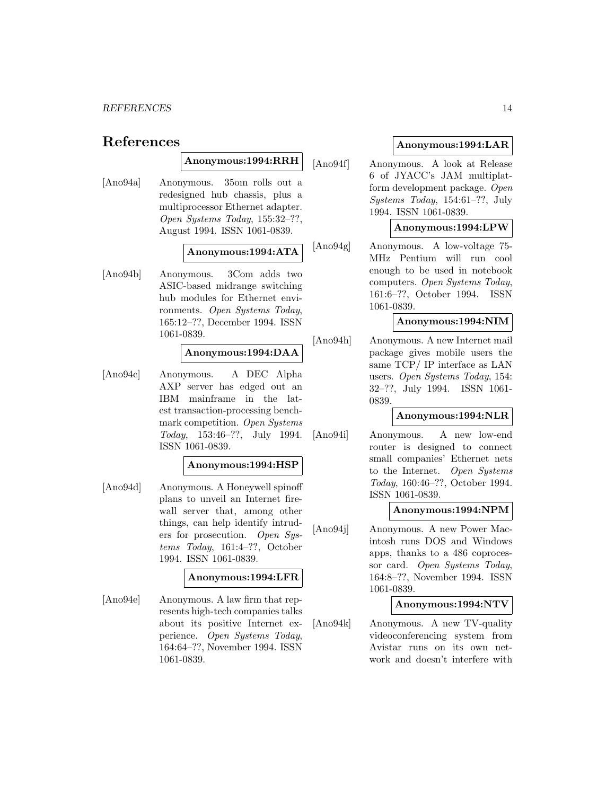# **References**

### **Anonymous:1994:RRH**

[Ano94a] Anonymous. 35om rolls out a redesigned hub chassis, plus a multiprocessor Ethernet adapter. Open Systems Today, 155:32–??, August 1994. ISSN 1061-0839.

#### **Anonymous:1994:ATA**

[Ano94b] Anonymous. 3Com adds two ASIC-based midrange switching hub modules for Ethernet environments. Open Systems Today, 165:12–??, December 1994. ISSN 1061-0839.

### **Anonymous:1994:DAA**

[Ano94c] Anonymous. A DEC Alpha AXP server has edged out an IBM mainframe in the latest transaction-processing benchmark competition. Open Systems Today, 153:46–??, July 1994. ISSN 1061-0839.

### **Anonymous:1994:HSP**

[Ano94d] Anonymous. A Honeywell spinoff plans to unveil an Internet firewall server that, among other things, can help identify intruders for prosecution. Open Systems Today, 161:4–??, October 1994. ISSN 1061-0839.

### **Anonymous:1994:LFR**

[Ano94e] Anonymous. A law firm that represents high-tech companies talks about its positive Internet experience. Open Systems Today, 164:64–??, November 1994. ISSN 1061-0839.

### **Anonymous:1994:LAR**

[Ano94f] Anonymous. A look at Release 6 of JYACC's JAM multiplatform development package. Open Systems Today, 154:61–??, July 1994. ISSN 1061-0839.

#### **Anonymous:1994:LPW**

[Ano94g] Anonymous. A low-voltage 75- MHz Pentium will run cool enough to be used in notebook computers. Open Systems Today, 161:6–??, October 1994. ISSN 1061-0839.

#### **Anonymous:1994:NIM**

[Ano94h] Anonymous. A new Internet mail package gives mobile users the same TCP/ IP interface as LAN users. Open Systems Today, 154: 32–??, July 1994. ISSN 1061- 0839.

### **Anonymous:1994:NLR**

[Ano94i] Anonymous. A new low-end router is designed to connect small companies' Ethernet nets to the Internet. Open Systems Today, 160:46–??, October 1994. ISSN 1061-0839.

#### **Anonymous:1994:NPM**

[Ano94j] Anonymous. A new Power Macintosh runs DOS and Windows apps, thanks to a 486 coprocessor card. Open Systems Today, 164:8–??, November 1994. ISSN 1061-0839.

### **Anonymous:1994:NTV**

[Ano94k] Anonymous. A new TV-quality videoconferencing system from Avistar runs on its own network and doesn't interfere with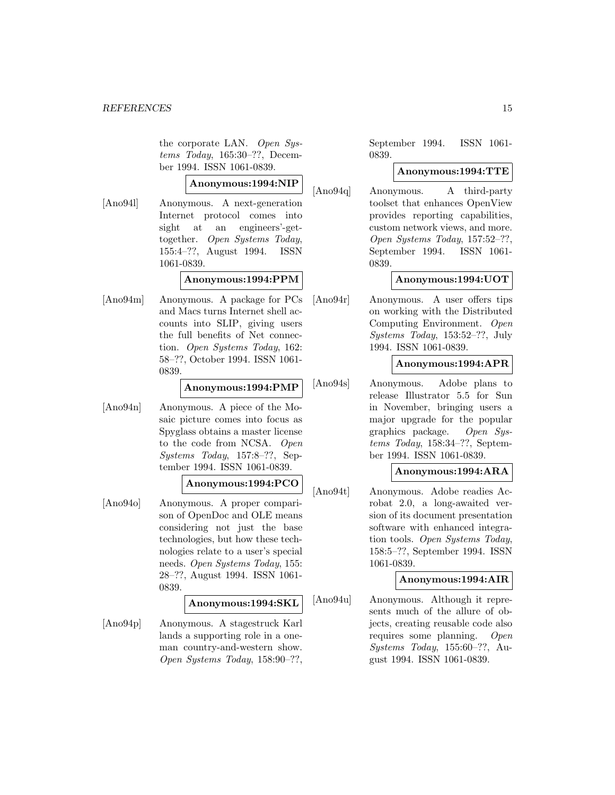the corporate LAN. Open Systems Today, 165:30–??, December 1994. ISSN 1061-0839.

### **Anonymous:1994:NIP**

[Ano94l] Anonymous. A next-generation Internet protocol comes into sight at an engineers'-gettogether. Open Systems Today, 155:4–??, August 1994. ISSN 1061-0839.

### **Anonymous:1994:PPM**

[Ano94m] Anonymous. A package for PCs and Macs turns Internet shell accounts into SLIP, giving users the full benefits of Net connection. Open Systems Today, 162: 58–??, October 1994. ISSN 1061- 0839.

### **Anonymous:1994:PMP**

[Ano94n] Anonymous. A piece of the Mosaic picture comes into focus as Spyglass obtains a master license to the code from NCSA. Open Systems Today, 157:8–??, September 1994. ISSN 1061-0839.

### **Anonymous:1994:PCO**

[Ano94o] Anonymous. A proper comparison of OpenDoc and OLE means considering not just the base technologies, but how these technologies relate to a user's special needs. Open Systems Today, 155: 28–??, August 1994. ISSN 1061- 0839.

### **Anonymous:1994:SKL**

[Ano94p] Anonymous. A stagestruck Karl lands a supporting role in a oneman country-and-western show. Open Systems Today, 158:90–??,

September 1994. ISSN 1061- 0839.

### **Anonymous:1994:TTE**

[Ano94q] Anonymous. A third-party toolset that enhances OpenView provides reporting capabilities, custom network views, and more. Open Systems Today, 157:52–??, September 1994. ISSN 1061- 0839.

### **Anonymous:1994:UOT**

[Ano94r] Anonymous. A user offers tips on working with the Distributed Computing Environment. Open Systems Today, 153:52–??, July 1994. ISSN 1061-0839.

### **Anonymous:1994:APR**

[Ano94s] Anonymous. Adobe plans to release Illustrator 5.5 for Sun in November, bringing users a major upgrade for the popular graphics package. Open Systems Today, 158:34–??, September 1994. ISSN 1061-0839.

### **Anonymous:1994:ARA**

[Ano94t] Anonymous. Adobe readies Acrobat 2.0, a long-awaited version of its document presentation software with enhanced integration tools. Open Systems Today, 158:5–??, September 1994. ISSN 1061-0839.

### **Anonymous:1994:AIR**

[Ano94u] Anonymous. Although it represents much of the allure of objects, creating reusable code also requires some planning. Open Systems Today, 155:60–??, August 1994. ISSN 1061-0839.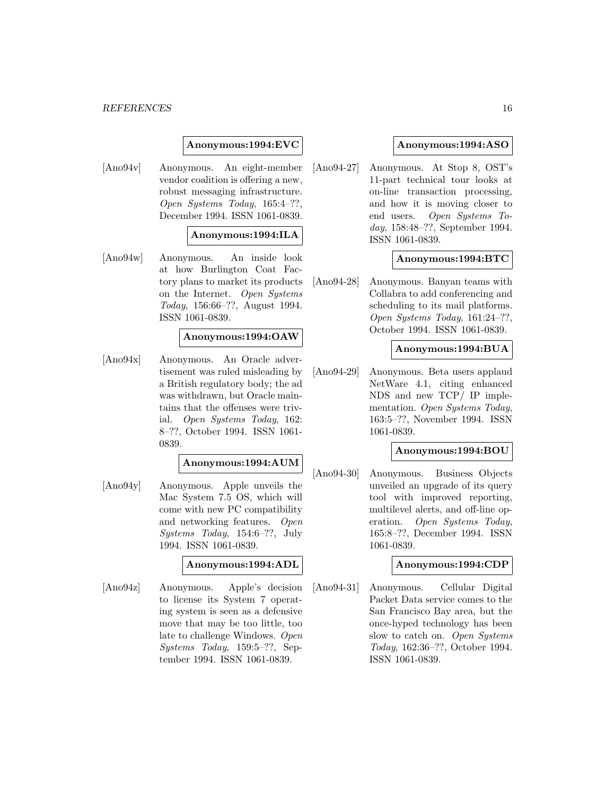### **Anonymous:1994:EVC**

[Ano94v] Anonymous. An eight-member vendor coalition is offering a new, robust messaging infrastructure. Open Systems Today, 165:4–??, December 1994. ISSN 1061-0839.

### **Anonymous:1994:ILA**

[Ano94w] Anonymous. An inside look at how Burlington Coat Factory plans to market its products on the Internet. Open Systems Today, 156:66–??, August 1994. ISSN 1061-0839.

#### **Anonymous:1994:OAW**

[Ano94x] Anonymous. An Oracle advertisement was ruled misleading by a British regulatory body; the ad was withdrawn, but Oracle maintains that the offenses were trivial. Open Systems Today, 162: 8–??, October 1994. ISSN 1061- 0839.

### **Anonymous:1994:AUM**

[Ano94y] Anonymous. Apple unveils the Mac System 7.5 OS, which will come with new PC compatibility and networking features. Open Systems Today, 154:6–??, July 1994. ISSN 1061-0839.

#### **Anonymous:1994:ADL**

[Ano94z] Anonymous. Apple's decision to license its System 7 operating system is seen as a defensive move that may be too little, too late to challenge Windows. Open Systems Today, 159:5–??, September 1994. ISSN 1061-0839.

#### **Anonymous:1994:ASO**

[Ano94-27] Anonymous. At Stop 8, OST's 11-part technical tour looks at on-line transaction processing, and how it is moving closer to end users. Open Systems Today, 158:48–??, September 1994. ISSN 1061-0839.

#### **Anonymous:1994:BTC**

[Ano94-28] Anonymous. Banyan teams with Collabra to add conferencing and scheduling to its mail platforms. Open Systems Today, 161:24–??, October 1994. ISSN 1061-0839.

### **Anonymous:1994:BUA**

[Ano94-29] Anonymous. Beta users applaud NetWare 4.1, citing enhanced NDS and new TCP/ IP implementation. Open Systems Today, 163:5–??, November 1994. ISSN 1061-0839.

### **Anonymous:1994:BOU**

[Ano94-30] Anonymous. Business Objects unveiled an upgrade of its query tool with improved reporting, multilevel alerts, and off-line operation. Open Systems Today, 165:8–??, December 1994. ISSN 1061-0839.

#### **Anonymous:1994:CDP**

[Ano94-31] Anonymous. Cellular Digital Packet Data service comes to the San Francisco Bay area, but the once-hyped technology has been slow to catch on. Open Systems Today, 162:36–??, October 1994. ISSN 1061-0839.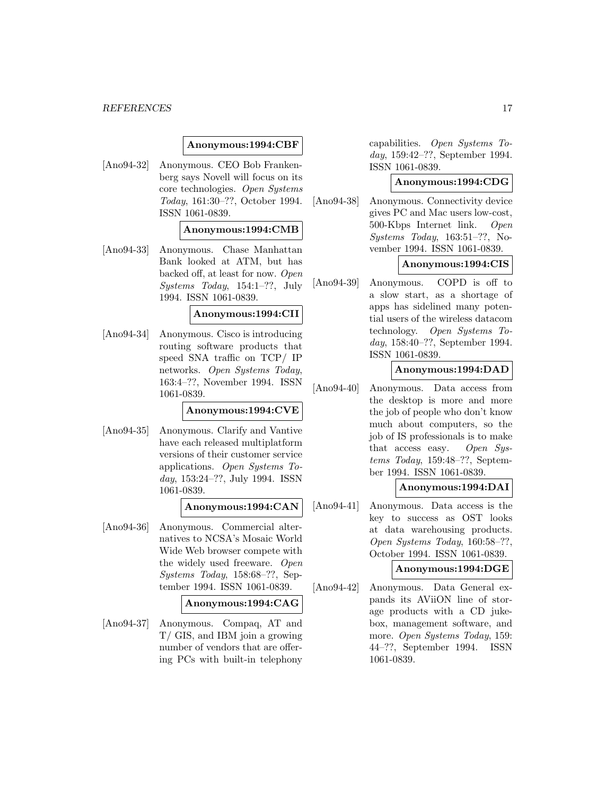### **Anonymous:1994:CBF**

[Ano94-32] Anonymous. CEO Bob Frankenberg says Novell will focus on its core technologies. Open Systems Today, 161:30–??, October 1994. ISSN 1061-0839.

#### **Anonymous:1994:CMB**

[Ano94-33] Anonymous. Chase Manhattan Bank looked at ATM, but has backed off, at least for now. Open Systems Today, 154:1–??, July 1994. ISSN 1061-0839.

### **Anonymous:1994:CII**

[Ano94-34] Anonymous. Cisco is introducing routing software products that speed SNA traffic on TCP/ IP networks. Open Systems Today, 163:4–??, November 1994. ISSN 1061-0839.

#### **Anonymous:1994:CVE**

[Ano94-35] Anonymous. Clarify and Vantive have each released multiplatform versions of their customer service applications. Open Systems Today, 153:24–??, July 1994. ISSN 1061-0839.

#### **Anonymous:1994:CAN**

[Ano94-36] Anonymous. Commercial alternatives to NCSA's Mosaic World Wide Web browser compete with the widely used freeware. Open Systems Today, 158:68–??, September 1994. ISSN 1061-0839.

#### **Anonymous:1994:CAG**

[Ano94-37] Anonymous. Compaq, AT and T/ GIS, and IBM join a growing number of vendors that are offering PCs with built-in telephony

capabilities. Open Systems Today, 159:42–??, September 1994. ISSN 1061-0839.

### **Anonymous:1994:CDG**

[Ano94-38] Anonymous. Connectivity device gives PC and Mac users low-cost, 500-Kbps Internet link. Open Systems Today, 163:51–??, November 1994. ISSN 1061-0839.

### **Anonymous:1994:CIS**

[Ano94-39] Anonymous. COPD is off to a slow start, as a shortage of apps has sidelined many potential users of the wireless datacom technology. Open Systems Today, 158:40–??, September 1994. ISSN 1061-0839.

### **Anonymous:1994:DAD**

[Ano94-40] Anonymous. Data access from the desktop is more and more the job of people who don't know much about computers, so the job of IS professionals is to make that access easy. Open Systems Today, 159:48–??, September 1994. ISSN 1061-0839.

#### **Anonymous:1994:DAI**

[Ano94-41] Anonymous. Data access is the key to success as OST looks at data warehousing products. Open Systems Today, 160:58–??, October 1994. ISSN 1061-0839.

#### **Anonymous:1994:DGE**

[Ano94-42] Anonymous. Data General expands its AViiON line of storage products with a CD jukebox, management software, and more. Open Systems Today, 159: 44–??, September 1994. ISSN 1061-0839.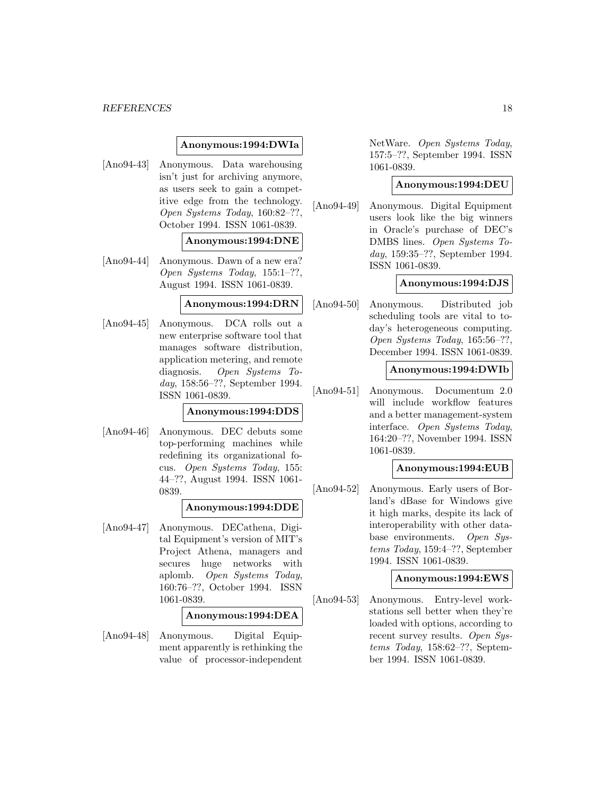#### **Anonymous:1994:DWIa**

[Ano94-43] Anonymous. Data warehousing isn't just for archiving anymore, as users seek to gain a competitive edge from the technology. Open Systems Today, 160:82–??, October 1994. ISSN 1061-0839.

#### **Anonymous:1994:DNE**

[Ano94-44] Anonymous. Dawn of a new era? Open Systems Today, 155:1–??, August 1994. ISSN 1061-0839.

#### **Anonymous:1994:DRN**

[Ano94-45] Anonymous. DCA rolls out a new enterprise software tool that manages software distribution, application metering, and remote diagnosis. Open Systems Today, 158:56–??, September 1994. ISSN 1061-0839.

### **Anonymous:1994:DDS**

[Ano94-46] Anonymous. DEC debuts some top-performing machines while redefining its organizational focus. Open Systems Today, 155: 44–??, August 1994. ISSN 1061- 0839.

### **Anonymous:1994:DDE**

[Ano94-47] Anonymous. DECathena, Digital Equipment's version of MIT's Project Athena, managers and secures huge networks with aplomb. Open Systems Today, 160:76–??, October 1994. ISSN 1061-0839.

#### **Anonymous:1994:DEA**

[Ano94-48] Anonymous. Digital Equipment apparently is rethinking the value of processor-independent

NetWare. Open Systems Today, 157:5–??, September 1994. ISSN 1061-0839.

#### **Anonymous:1994:DEU**

[Ano94-49] Anonymous. Digital Equipment users look like the big winners in Oracle's purchase of DEC's DMBS lines. Open Systems Today, 159:35–??, September 1994. ISSN 1061-0839.

#### **Anonymous:1994:DJS**

[Ano94-50] Anonymous. Distributed job scheduling tools are vital to today's heterogeneous computing. Open Systems Today, 165:56–??, December 1994. ISSN 1061-0839.

#### **Anonymous:1994:DWIb**

[Ano94-51] Anonymous. Documentum 2.0 will include workflow features and a better management-system interface. Open Systems Today, 164:20–??, November 1994. ISSN 1061-0839.

### **Anonymous:1994:EUB**

[Ano94-52] Anonymous. Early users of Borland's dBase for Windows give it high marks, despite its lack of interoperability with other database environments. Open Systems Today, 159:4–??, September 1994. ISSN 1061-0839.

#### **Anonymous:1994:EWS**

[Ano94-53] Anonymous. Entry-level workstations sell better when they're loaded with options, according to recent survey results. Open Systems Today, 158:62–??, September 1994. ISSN 1061-0839.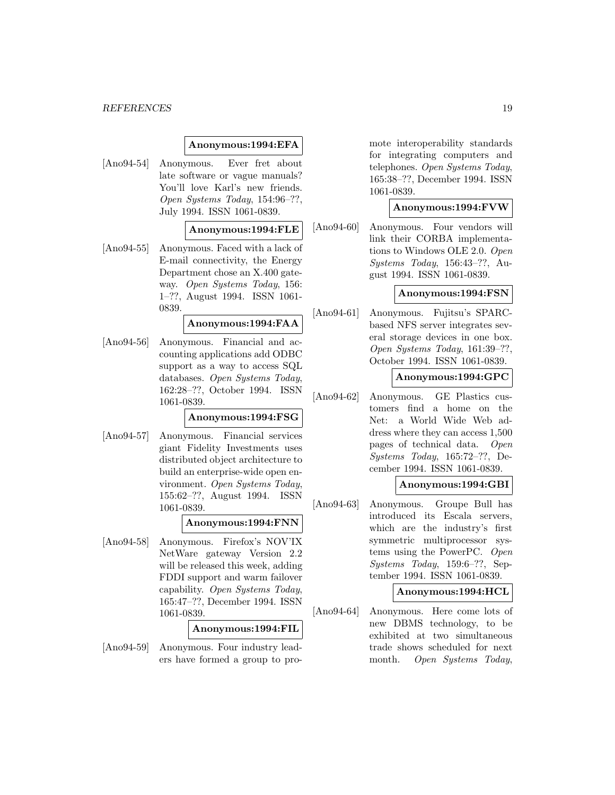#### **Anonymous:1994:EFA**

[Ano94-54] Anonymous. Ever fret about late software or vague manuals? You'll love Karl's new friends. Open Systems Today, 154:96–??, July 1994. ISSN 1061-0839.

#### **Anonymous:1994:FLE**

[Ano94-55] Anonymous. Faced with a lack of E-mail connectivity, the Energy Department chose an X.400 gateway. Open Systems Today, 156: 1–??, August 1994. ISSN 1061- 0839.

#### **Anonymous:1994:FAA**

[Ano94-56] Anonymous. Financial and accounting applications add ODBC support as a way to access SQL databases. Open Systems Today, 162:28–??, October 1994. ISSN 1061-0839.

### **Anonymous:1994:FSG**

[Ano94-57] Anonymous. Financial services giant Fidelity Investments uses distributed object architecture to build an enterprise-wide open environment. Open Systems Today, 155:62–??, August 1994. ISSN 1061-0839.

### **Anonymous:1994:FNN**

[Ano94-58] Anonymous. Firefox's NOV'IX NetWare gateway Version 2.2 will be released this week, adding FDDI support and warm failover capability. Open Systems Today, 165:47–??, December 1994. ISSN 1061-0839.

#### **Anonymous:1994:FIL**

[Ano94-59] Anonymous. Four industry leaders have formed a group to promote interoperability standards for integrating computers and telephones. Open Systems Today, 165:38–??, December 1994. ISSN 1061-0839.

#### **Anonymous:1994:FVW**

[Ano94-60] Anonymous. Four vendors will link their CORBA implementations to Windows OLE 2.0. Open Systems Today, 156:43–??, August 1994. ISSN 1061-0839.

#### **Anonymous:1994:FSN**

[Ano94-61] Anonymous. Fujitsu's SPARCbased NFS server integrates several storage devices in one box. Open Systems Today, 161:39–??, October 1994. ISSN 1061-0839.

#### **Anonymous:1994:GPC**

[Ano94-62] Anonymous. GE Plastics customers find a home on the Net: a World Wide Web address where they can access 1,500 pages of technical data. Open Systems Today, 165:72–??, December 1994. ISSN 1061-0839.

#### **Anonymous:1994:GBI**

[Ano94-63] Anonymous. Groupe Bull has introduced its Escala servers, which are the industry's first symmetric multiprocessor systems using the PowerPC. Open Systems Today, 159:6–??, September 1994. ISSN 1061-0839.

#### **Anonymous:1994:HCL**

[Ano94-64] Anonymous. Here come lots of new DBMS technology, to be exhibited at two simultaneous trade shows scheduled for next month. Open Systems Today,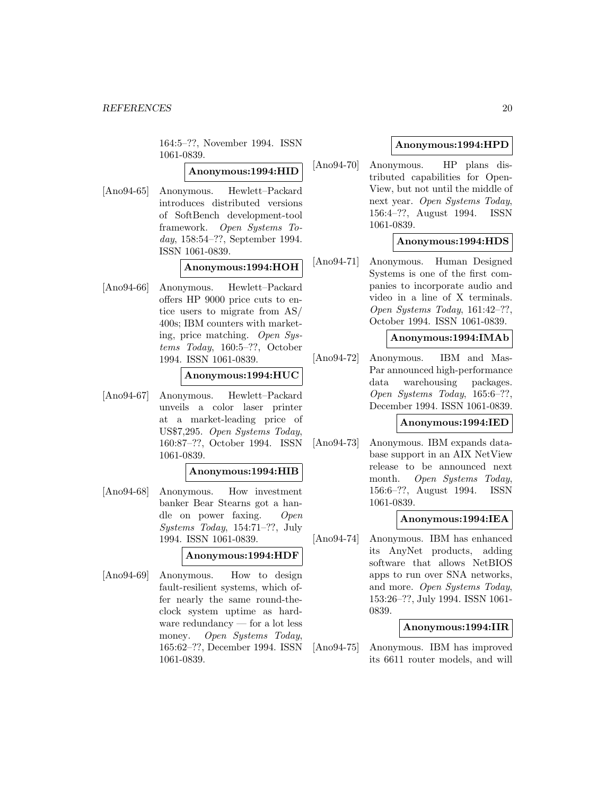164:5–??, November 1994. ISSN 1061-0839.

### **Anonymous:1994:HID**

[Ano94-65] Anonymous. Hewlett–Packard introduces distributed versions of SoftBench development-tool framework. Open Systems Today, 158:54–??, September 1994. ISSN 1061-0839.

### **Anonymous:1994:HOH**

[Ano94-66] Anonymous. Hewlett–Packard offers HP 9000 price cuts to entice users to migrate from AS/ 400s; IBM counters with marketing, price matching. Open Systems Today, 160:5–??, October 1994. ISSN 1061-0839.

#### **Anonymous:1994:HUC**

[Ano94-67] Anonymous. Hewlett–Packard unveils a color laser printer at a market-leading price of US\$7,295. Open Systems Today, 160:87–??, October 1994. ISSN 1061-0839.

#### **Anonymous:1994:HIB**

[Ano94-68] Anonymous. How investment banker Bear Stearns got a handle on power faxing. Open Systems Today, 154:71–??, July 1994. ISSN 1061-0839.

### **Anonymous:1994:HDF**

[Ano94-69] Anonymous. How to design fault-resilient systems, which offer nearly the same round-theclock system uptime as hardware redundancy — for a lot less money. Open Systems Today, 165:62–??, December 1994. ISSN 1061-0839.

### **Anonymous:1994:HPD**

[Ano94-70] Anonymous. HP plans distributed capabilities for Open-View, but not until the middle of next year. Open Systems Today, 156:4–??, August 1994. ISSN 1061-0839.

### **Anonymous:1994:HDS**

[Ano94-71] Anonymous. Human Designed Systems is one of the first companies to incorporate audio and video in a line of X terminals. Open Systems Today, 161:42–??, October 1994. ISSN 1061-0839.

### **Anonymous:1994:IMAb**

[Ano94-72] Anonymous. IBM and Mas-Par announced high-performance data warehousing packages. Open Systems Today, 165:6–??, December 1994. ISSN 1061-0839.

#### **Anonymous:1994:IED**

[Ano94-73] Anonymous. IBM expands database support in an AIX NetView release to be announced next month. Open Systems Today, 156:6–??, August 1994. ISSN 1061-0839.

### **Anonymous:1994:IEA**

[Ano94-74] Anonymous. IBM has enhanced its AnyNet products, adding software that allows NetBIOS apps to run over SNA networks, and more. Open Systems Today, 153:26–??, July 1994. ISSN 1061- 0839.

### **Anonymous:1994:IIR**

[Ano94-75] Anonymous. IBM has improved its 6611 router models, and will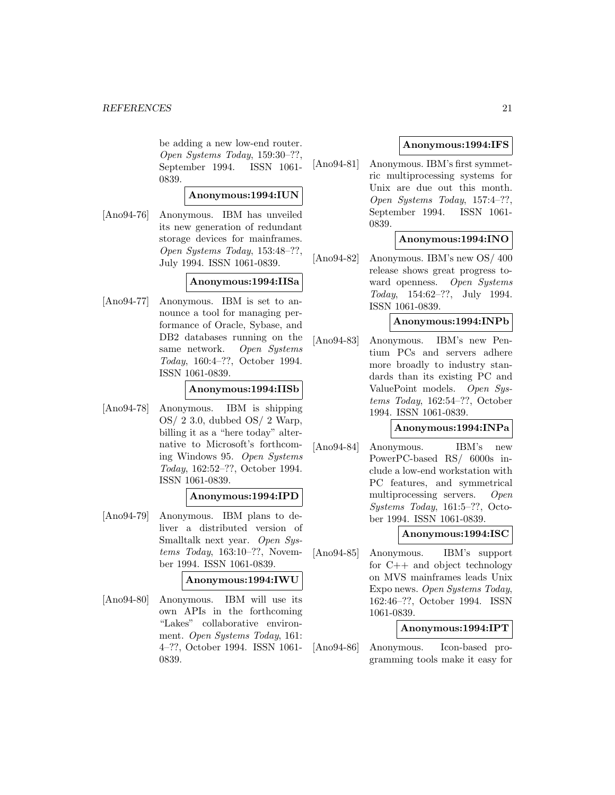be adding a new low-end router. Open Systems Today, 159:30–??, September 1994. ISSN 1061- 0839.

### **Anonymous:1994:IUN**

[Ano94-76] Anonymous. IBM has unveiled its new generation of redundant storage devices for mainframes. Open Systems Today, 153:48–??, July 1994. ISSN 1061-0839.

### **Anonymous:1994:IISa**

[Ano94-77] Anonymous. IBM is set to announce a tool for managing performance of Oracle, Sybase, and DB2 databases running on the same network. Open Systems Today, 160:4–??, October 1994. ISSN 1061-0839.

### **Anonymous:1994:IISb**

[Ano94-78] Anonymous. IBM is shipping OS/ 2 3.0, dubbed OS/ 2 Warp, billing it as a "here today" alternative to Microsoft's forthcoming Windows 95. Open Systems Today, 162:52–??, October 1994. ISSN 1061-0839.

### **Anonymous:1994:IPD**

[Ano94-79] Anonymous. IBM plans to deliver a distributed version of Smalltalk next year. Open Systems Today, 163:10–??, November 1994. ISSN 1061-0839.

#### **Anonymous:1994:IWU**

[Ano94-80] Anonymous. IBM will use its own APIs in the forthcoming "Lakes" collaborative environment. Open Systems Today, 161: 4–??, October 1994. ISSN 1061- 0839.

### **Anonymous:1994:IFS**

[Ano94-81] Anonymous. IBM's first symmetric multiprocessing systems for Unix are due out this month. Open Systems Today, 157:4–??, September 1994. ISSN 1061- 0839.

### **Anonymous:1994:INO**

[Ano94-82] Anonymous. IBM's new OS/ 400 release shows great progress toward openness. Open Systems Today, 154:62–??, July 1994. ISSN 1061-0839.

#### **Anonymous:1994:INPb**

[Ano94-83] Anonymous. IBM's new Pentium PCs and servers adhere more broadly to industry standards than its existing PC and ValuePoint models. Open Systems Today, 162:54–??, October 1994. ISSN 1061-0839.

#### **Anonymous:1994:INPa**

[Ano94-84] Anonymous. IBM's new PowerPC-based RS/ 6000s include a low-end workstation with PC features, and symmetrical multiprocessing servers. Open Systems Today, 161:5–??, October 1994. ISSN 1061-0839.

### **Anonymous:1994:ISC**

[Ano94-85] Anonymous. IBM's support for C++ and object technology on MVS mainframes leads Unix Expo news. Open Systems Today, 162:46–??, October 1994. ISSN 1061-0839.

#### **Anonymous:1994:IPT**

[Ano94-86] Anonymous. Icon-based programming tools make it easy for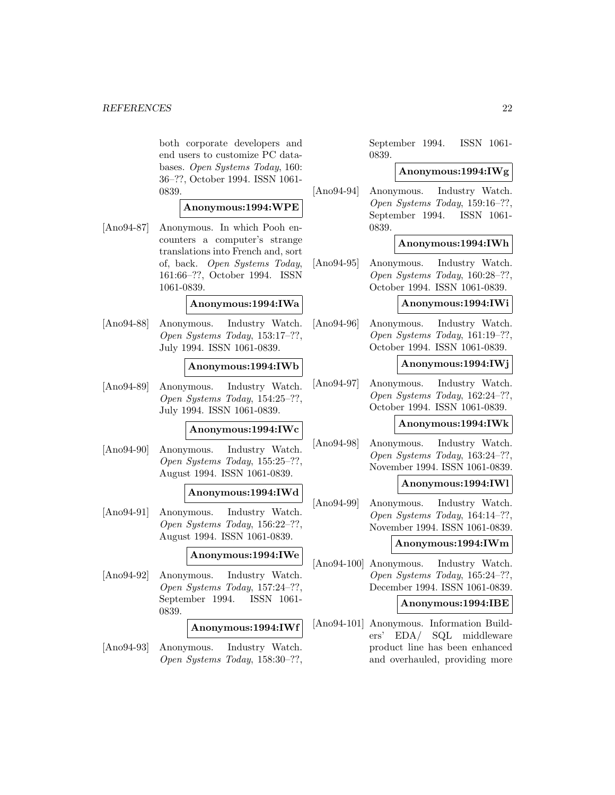both corporate developers and end users to customize PC databases. Open Systems Today, 160: 36–??, October 1994. ISSN 1061- 0839.

#### **Anonymous:1994:WPE**

[Ano94-87] Anonymous. In which Pooh encounters a computer's strange translations into French and, sort of, back. Open Systems Today, 161:66–??, October 1994. ISSN 1061-0839.

### **Anonymous:1994:IWa**

[Ano94-88] Anonymous. Industry Watch. Open Systems Today, 153:17–??, July 1994. ISSN 1061-0839.

#### **Anonymous:1994:IWb**

[Ano94-89] Anonymous. Industry Watch. Open Systems Today, 154:25–??, July 1994. ISSN 1061-0839.

#### **Anonymous:1994:IWc**

[Ano94-90] Anonymous. Industry Watch. Open Systems Today, 155:25–??, August 1994. ISSN 1061-0839.

#### **Anonymous:1994:IWd**

[Ano94-91] Anonymous. Industry Watch. Open Systems Today, 156:22–??, August 1994. ISSN 1061-0839.

### **Anonymous:1994:IWe**

[Ano94-92] Anonymous. Industry Watch. Open Systems Today, 157:24–??, September 1994. ISSN 1061- 0839.

#### **Anonymous:1994:IWf**

[Ano94-93] Anonymous. Industry Watch. Open Systems Today, 158:30–??, September 1994. ISSN 1061- 0839.

#### **Anonymous:1994:IWg**

[Ano94-94] Anonymous. Industry Watch. Open Systems Today, 159:16–??, September 1994. ISSN 1061- 0839.

#### **Anonymous:1994:IWh**

[Ano94-95] Anonymous. Industry Watch. Open Systems Today, 160:28–??, October 1994. ISSN 1061-0839.

#### **Anonymous:1994:IWi**

[Ano94-96] Anonymous. Industry Watch. Open Systems Today, 161:19–??, October 1994. ISSN 1061-0839.

### **Anonymous:1994:IWj**

[Ano94-97] Anonymous. Industry Watch. Open Systems Today, 162:24–??, October 1994. ISSN 1061-0839.

#### **Anonymous:1994:IWk**

[Ano94-98] Anonymous. Industry Watch. Open Systems Today, 163:24–??, November 1994. ISSN 1061-0839.

#### **Anonymous:1994:IWl**

[Ano94-99] Anonymous. Industry Watch. Open Systems Today, 164:14–??, November 1994. ISSN 1061-0839.

### **Anonymous:1994:IWm**

[Ano94-100] Anonymous. Industry Watch. Open Systems Today, 165:24–??, December 1994. ISSN 1061-0839.

#### **Anonymous:1994:IBE**

[Ano94-101] Anonymous. Information Builders' EDA/ SQL middleware product line has been enhanced and overhauled, providing more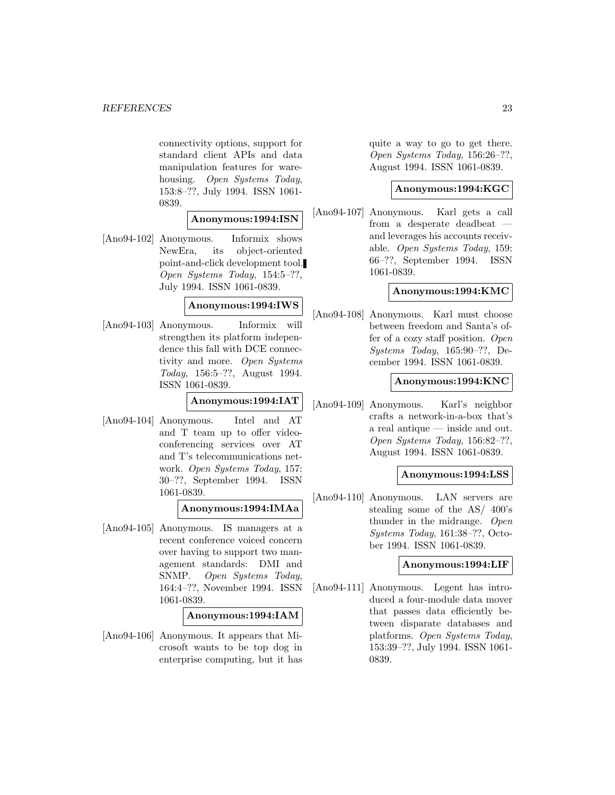connectivity options, support for standard client APIs and data manipulation features for warehousing. Open Systems Today, 153:8–??, July 1994. ISSN 1061- 0839.

### **Anonymous:1994:ISN**

[Ano94-102] Anonymous. Informix shows NewEra, its object-oriented point-and-click development tool. Open Systems Today, 154:5–??, July 1994. ISSN 1061-0839.

### **Anonymous:1994:IWS**

[Ano94-103] Anonymous. Informix will strengthen its platform independence this fall with DCE connectivity and more. Open Systems Today, 156:5–??, August 1994. ISSN 1061-0839.

### **Anonymous:1994:IAT**

[Ano94-104] Anonymous. Intel and AT and T team up to offer videoconferencing services over AT and T's telecommunications network. Open Systems Today, 157: 30–??, September 1994. ISSN 1061-0839.

### **Anonymous:1994:IMAa**

[Ano94-105] Anonymous. IS managers at a recent conference voiced concern over having to support two management standards: DMI and SNMP. Open Systems Today, 164:4–??, November 1994. ISSN 1061-0839.

#### **Anonymous:1994:IAM**

[Ano94-106] Anonymous. It appears that Microsoft wants to be top dog in enterprise computing, but it has quite a way to go to get there. Open Systems Today, 156:26–??, August 1994. ISSN 1061-0839.

### **Anonymous:1994:KGC**

[Ano94-107] Anonymous. Karl gets a call from a desperate deadbeat and leverages his accounts receivable. Open Systems Today, 159: 66–??, September 1994. ISSN 1061-0839.

### **Anonymous:1994:KMC**

[Ano94-108] Anonymous. Karl must choose between freedom and Santa's offer of a cozy staff position. Open Systems Today, 165:90–??, December 1994. ISSN 1061-0839.

### **Anonymous:1994:KNC**

[Ano94-109] Anonymous. Karl's neighbor crafts a network-in-a-box that's a real antique — inside and out. Open Systems Today, 156:82–??, August 1994. ISSN 1061-0839.

#### **Anonymous:1994:LSS**

[Ano94-110] Anonymous. LAN servers are stealing some of the AS/ 400's thunder in the midrange. Open Systems Today, 161:38–??, October 1994. ISSN 1061-0839.

### **Anonymous:1994:LIF**

[Ano94-111] Anonymous. Legent has introduced a four-module data mover that passes data efficiently between disparate databases and platforms. Open Systems Today, 153:39–??, July 1994. ISSN 1061- 0839.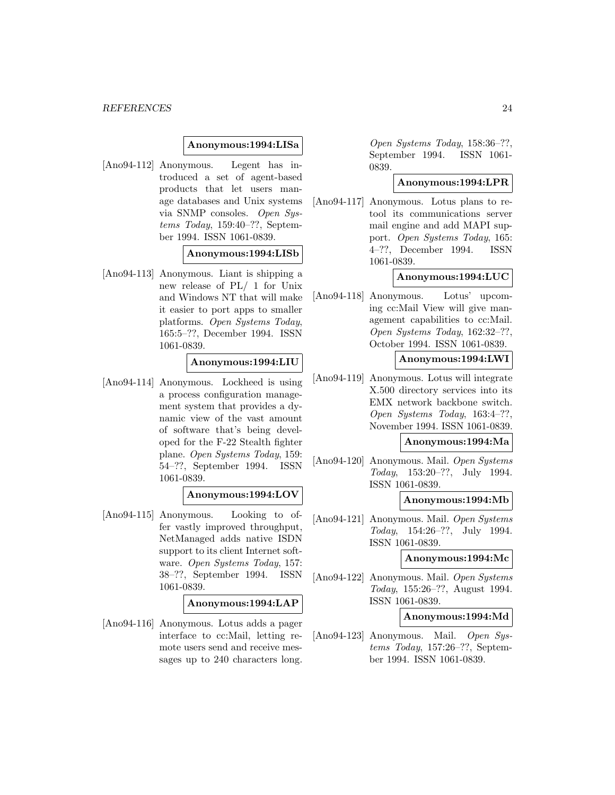#### **Anonymous:1994:LISa**

[Ano94-112] Anonymous. Legent has introduced a set of agent-based products that let users manage databases and Unix systems via SNMP consoles. Open Systems Today, 159:40–??, September 1994. ISSN 1061-0839.

#### **Anonymous:1994:LISb**

[Ano94-113] Anonymous. Liant is shipping a new release of PL/ 1 for Unix and Windows NT that will make it easier to port apps to smaller platforms. Open Systems Today, 165:5–??, December 1994. ISSN 1061-0839.

#### **Anonymous:1994:LIU**

[Ano94-114] Anonymous. Lockheed is using a process configuration management system that provides a dynamic view of the vast amount of software that's being developed for the F-22 Stealth fighter plane. Open Systems Today, 159: 54–??, September 1994. ISSN 1061-0839.

#### **Anonymous:1994:LOV**

[Ano94-115] Anonymous. Looking to offer vastly improved throughput, NetManaged adds native ISDN support to its client Internet software. Open Systems Today, 157: 38–??, September 1994. ISSN 1061-0839.

#### **Anonymous:1994:LAP**

[Ano94-116] Anonymous. Lotus adds a pager interface to cc:Mail, letting remote users send and receive messages up to 240 characters long.

Open Systems Today, 158:36–??, September 1994. ISSN 1061- 0839.

### **Anonymous:1994:LPR**

[Ano94-117] Anonymous. Lotus plans to retool its communications server mail engine and add MAPI support. Open Systems Today, 165: 4–??, December 1994. ISSN 1061-0839.

### **Anonymous:1994:LUC**

[Ano94-118] Anonymous. Lotus' upcoming cc:Mail View will give management capabilities to cc:Mail. Open Systems Today, 162:32–??, October 1994. ISSN 1061-0839.

#### **Anonymous:1994:LWI**

[Ano94-119] Anonymous. Lotus will integrate X.500 directory services into its EMX network backbone switch. Open Systems Today, 163:4–??, November 1994. ISSN 1061-0839.

#### **Anonymous:1994:Ma**

[Ano94-120] Anonymous. Mail. Open Systems Today, 153:20–??, July 1994. ISSN 1061-0839.

#### **Anonymous:1994:Mb**

[Ano94-121] Anonymous. Mail. Open Systems Today, 154:26–??, July 1994. ISSN 1061-0839.

### **Anonymous:1994:Mc**

[Ano94-122] Anonymous. Mail. Open Systems Today, 155:26–??, August 1994. ISSN 1061-0839.

#### **Anonymous:1994:Md**

[Ano94-123] Anonymous. Mail. Open Systems Today, 157:26–??, September 1994. ISSN 1061-0839.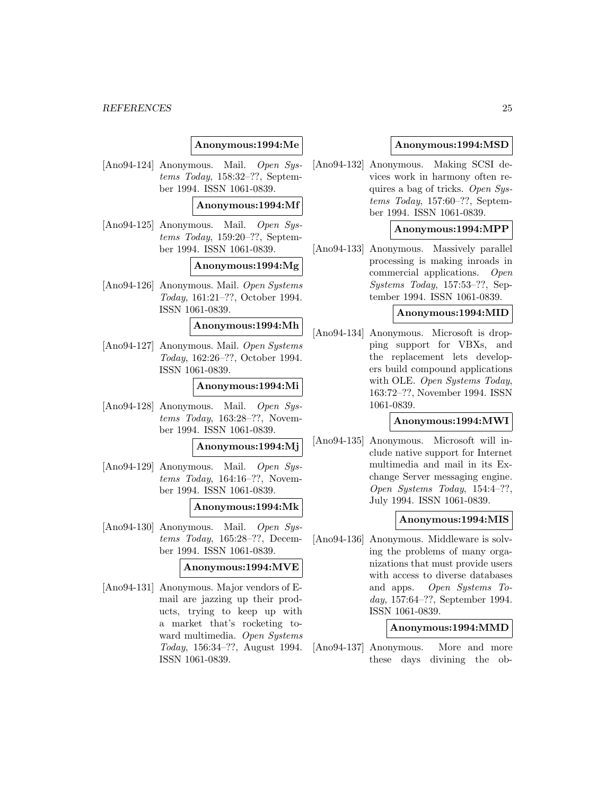### **Anonymous:1994:Me**

[Ano94-124] Anonymous. Mail. Open Systems Today, 158:32–??, September 1994. ISSN 1061-0839.

#### **Anonymous:1994:Mf**

[Ano94-125] Anonymous. Mail. Open Systems Today, 159:20–??, September 1994. ISSN 1061-0839.

#### **Anonymous:1994:Mg**

[Ano94-126] Anonymous. Mail. Open Systems Today, 161:21–??, October 1994. ISSN 1061-0839.

### **Anonymous:1994:Mh**

[Ano94-127] Anonymous. Mail. Open Systems Today, 162:26–??, October 1994. ISSN 1061-0839.

#### **Anonymous:1994:Mi**

[Ano94-128] Anonymous. Mail. Open Systems Today, 163:28–??, November 1994. ISSN 1061-0839.

#### **Anonymous:1994:Mj**

[Ano94-129] Anonymous. Mail. Open Systems Today, 164:16–??, November 1994. ISSN 1061-0839.

#### **Anonymous:1994:Mk**

[Ano94-130] Anonymous. Mail. Open Systems Today, 165:28–??, December 1994. ISSN 1061-0839.

#### **Anonymous:1994:MVE**

[Ano94-131] Anonymous. Major vendors of Email are jazzing up their products, trying to keep up with a market that's rocketing toward multimedia. Open Systems Today, 156:34–??, August 1994. ISSN 1061-0839.

#### **Anonymous:1994:MSD**

[Ano94-132] Anonymous. Making SCSI devices work in harmony often requires a bag of tricks. Open Systems Today, 157:60–??, September 1994. ISSN 1061-0839.

#### **Anonymous:1994:MPP**

[Ano94-133] Anonymous. Massively parallel processing is making inroads in commercial applications. Open Systems Today, 157:53–??, September 1994. ISSN 1061-0839.

### **Anonymous:1994:MID**

[Ano94-134] Anonymous. Microsoft is dropping support for VBXs, and the replacement lets developers build compound applications with OLE. Open Systems Today, 163:72–??, November 1994. ISSN 1061-0839.

#### **Anonymous:1994:MWI**

[Ano94-135] Anonymous. Microsoft will include native support for Internet multimedia and mail in its Exchange Server messaging engine. Open Systems Today, 154:4–??, July 1994. ISSN 1061-0839.

### **Anonymous:1994:MIS**

[Ano94-136] Anonymous. Middleware is solving the problems of many organizations that must provide users with access to diverse databases and apps. Open Systems Today, 157:64–??, September 1994. ISSN 1061-0839.

#### **Anonymous:1994:MMD**

[Ano94-137] Anonymous. More and more these days divining the ob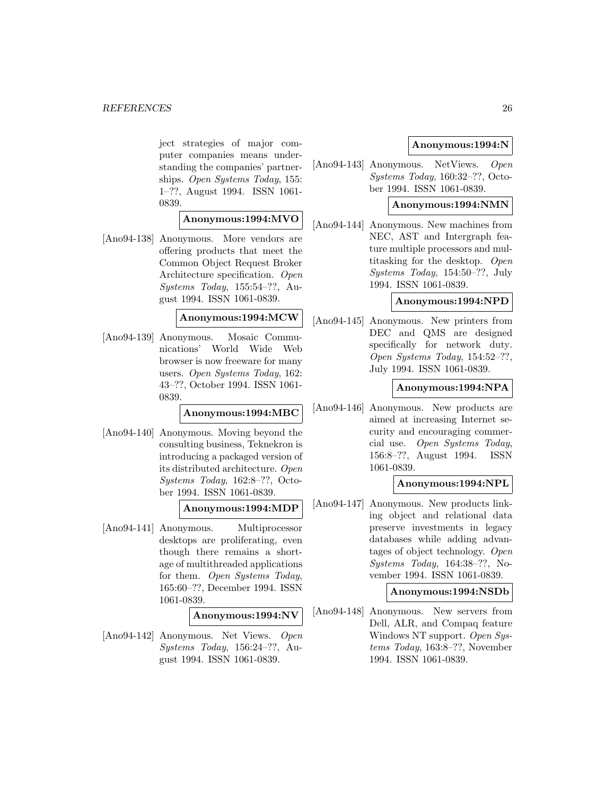ject strategies of major computer companies means understanding the companies' partnerships. Open Systems Today, 155: 1–??, August 1994. ISSN 1061- 0839.

### **Anonymous:1994:MVO**

[Ano94-138] Anonymous. More vendors are offering products that meet the Common Object Request Broker Architecture specification. Open Systems Today, 155:54–??, August 1994. ISSN 1061-0839.

### **Anonymous:1994:MCW**

[Ano94-139] Anonymous. Mosaic Communications' World Wide Web browser is now freeware for many users. Open Systems Today, 162: 43–??, October 1994. ISSN 1061- 0839.

#### **Anonymous:1994:MBC**

[Ano94-140] Anonymous. Moving beyond the consulting business, Teknekron is introducing a packaged version of its distributed architecture. Open Systems Today, 162:8–??, October 1994. ISSN 1061-0839.

#### **Anonymous:1994:MDP**

[Ano94-141] Anonymous. Multiprocessor desktops are proliferating, even though there remains a shortage of multithreaded applications for them. Open Systems Today, 165:60–??, December 1994. ISSN 1061-0839.

#### **Anonymous:1994:NV**

[Ano94-142] Anonymous. Net Views. Open Systems Today, 156:24–??, August 1994. ISSN 1061-0839.

### **Anonymous:1994:N**

[Ano94-143] Anonymous. NetViews. Open Systems Today, 160:32–??, October 1994. ISSN 1061-0839.

### **Anonymous:1994:NMN**

[Ano94-144] Anonymous. New machines from NEC, AST and Intergraph feature multiple processors and multitasking for the desktop. Open Systems Today, 154:50–??, July 1994. ISSN 1061-0839.

### **Anonymous:1994:NPD**

[Ano94-145] Anonymous. New printers from DEC and QMS are designed specifically for network duty. Open Systems Today, 154:52–??, July 1994. ISSN 1061-0839.

### **Anonymous:1994:NPA**

[Ano94-146] Anonymous. New products are aimed at increasing Internet security and encouraging commercial use. Open Systems Today, 156:8–??, August 1994. ISSN 1061-0839.

#### **Anonymous:1994:NPL**

[Ano94-147] Anonymous. New products linking object and relational data preserve investments in legacy databases while adding advantages of object technology. Open Systems Today, 164:38–??, November 1994. ISSN 1061-0839.

#### **Anonymous:1994:NSDb**

[Ano94-148] Anonymous. New servers from Dell, ALR, and Compaq feature Windows NT support. Open Systems Today, 163:8–??, November 1994. ISSN 1061-0839.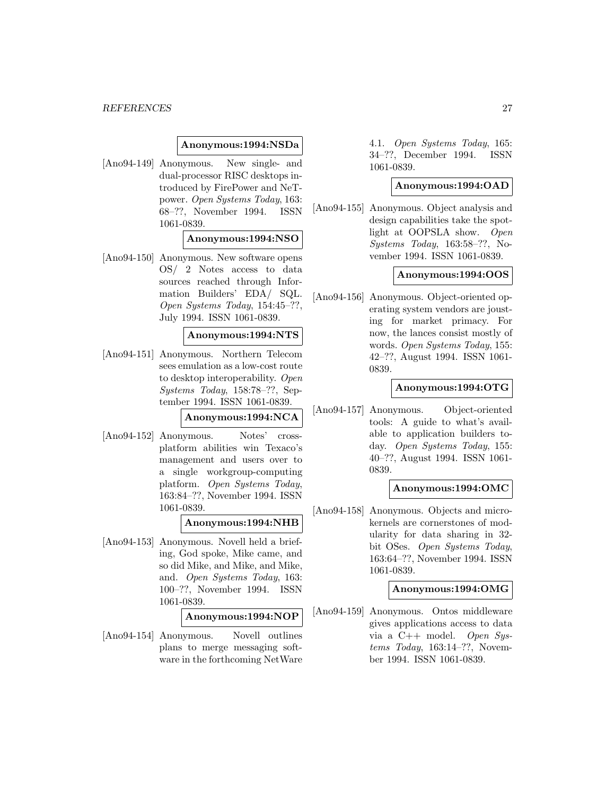#### **Anonymous:1994:NSDa**

[Ano94-149] Anonymous. New single- and dual-processor RISC desktops introduced by FirePower and NeTpower. Open Systems Today, 163: 68–??, November 1994. ISSN 1061-0839.

#### **Anonymous:1994:NSO**

[Ano94-150] Anonymous. New software opens OS/ 2 Notes access to data sources reached through Information Builders' EDA/ SQL. Open Systems Today, 154:45–??, July 1994. ISSN 1061-0839.

#### **Anonymous:1994:NTS**

[Ano94-151] Anonymous. Northern Telecom sees emulation as a low-cost route to desktop interoperability. Open Systems Today, 158:78–??, September 1994. ISSN 1061-0839.

### **Anonymous:1994:NCA**

[Ano94-152] Anonymous. Notes' crossplatform abilities win Texaco's management and users over to a single workgroup-computing platform. Open Systems Today, 163:84–??, November 1994. ISSN 1061-0839.

# **Anonymous:1994:NHB**

[Ano94-153] Anonymous. Novell held a briefing, God spoke, Mike came, and so did Mike, and Mike, and Mike, and. Open Systems Today, 163: 100–??, November 1994. ISSN 1061-0839.

#### **Anonymous:1994:NOP**

[Ano94-154] Anonymous. Novell outlines plans to merge messaging software in the forthcoming NetWare 4.1. Open Systems Today, 165: 34–??, December 1994. ISSN 1061-0839.

### **Anonymous:1994:OAD**

[Ano94-155] Anonymous. Object analysis and design capabilities take the spotlight at OOPSLA show. Open Systems Today, 163:58–??, November 1994. ISSN 1061-0839.

#### **Anonymous:1994:OOS**

[Ano94-156] Anonymous. Object-oriented operating system vendors are jousting for market primacy. For now, the lances consist mostly of words. Open Systems Today, 155: 42–??, August 1994. ISSN 1061- 0839.

### **Anonymous:1994:OTG**

[Ano94-157] Anonymous. Object-oriented tools: A guide to what's available to application builders today. Open Systems Today, 155: 40–??, August 1994. ISSN 1061- 0839.

### **Anonymous:1994:OMC**

[Ano94-158] Anonymous. Objects and microkernels are cornerstones of modularity for data sharing in 32 bit OSes. Open Systems Today, 163:64–??, November 1994. ISSN 1061-0839.

#### **Anonymous:1994:OMG**

[Ano94-159] Anonymous. Ontos middleware gives applications access to data via a  $C++$  model. Open Systems Today, 163:14–??, November 1994. ISSN 1061-0839.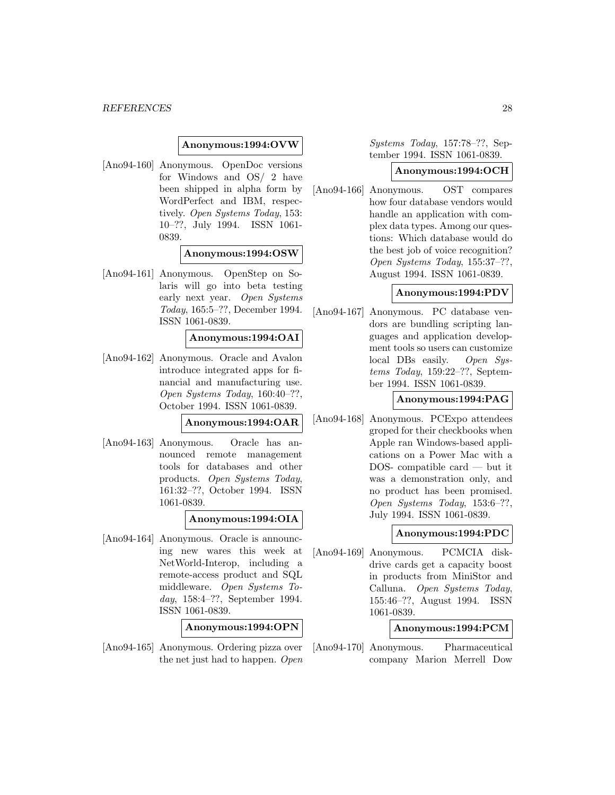#### **Anonymous:1994:OVW**

[Ano94-160] Anonymous. OpenDoc versions for Windows and OS/ 2 have been shipped in alpha form by WordPerfect and IBM, respectively. Open Systems Today, 153: 10–??, July 1994. ISSN 1061- 0839.

#### **Anonymous:1994:OSW**

[Ano94-161] Anonymous. OpenStep on Solaris will go into beta testing early next year. Open Systems Today, 165:5–??, December 1994. ISSN 1061-0839.

#### **Anonymous:1994:OAI**

[Ano94-162] Anonymous. Oracle and Avalon introduce integrated apps for financial and manufacturing use. Open Systems Today, 160:40–??, October 1994. ISSN 1061-0839.

#### **Anonymous:1994:OAR**

[Ano94-163] Anonymous. Oracle has announced remote management tools for databases and other products. Open Systems Today, 161:32–??, October 1994. ISSN 1061-0839.

#### **Anonymous:1994:OIA**

[Ano94-164] Anonymous. Oracle is announcing new wares this week at NetWorld-Interop, including a remote-access product and SQL middleware. Open Systems Today, 158:4–??, September 1994. ISSN 1061-0839.

**Anonymous:1994:OPN**

[Ano94-165] Anonymous. Ordering pizza over the net just had to happen. Open Systems Today, 157:78–??, September 1994. ISSN 1061-0839.

#### **Anonymous:1994:OCH**

[Ano94-166] Anonymous. OST compares how four database vendors would handle an application with complex data types. Among our questions: Which database would do the best job of voice recognition? Open Systems Today, 155:37–??, August 1994. ISSN 1061-0839.

#### **Anonymous:1994:PDV**

[Ano94-167] Anonymous. PC database vendors are bundling scripting languages and application development tools so users can customize local DBs easily. Open Systems Today, 159:22–??, September 1994. ISSN 1061-0839.

#### **Anonymous:1994:PAG**

[Ano94-168] Anonymous. PCExpo attendees groped for their checkbooks when Apple ran Windows-based applications on a Power Mac with a DOS- compatible card — but it was a demonstration only, and no product has been promised. Open Systems Today, 153:6–??, July 1994. ISSN 1061-0839.

### **Anonymous:1994:PDC**

[Ano94-169] Anonymous. PCMCIA diskdrive cards get a capacity boost in products from MiniStor and Calluna. Open Systems Today, 155:46–??, August 1994. ISSN 1061-0839.

### **Anonymous:1994:PCM**

[Ano94-170] Anonymous. Pharmaceutical company Marion Merrell Dow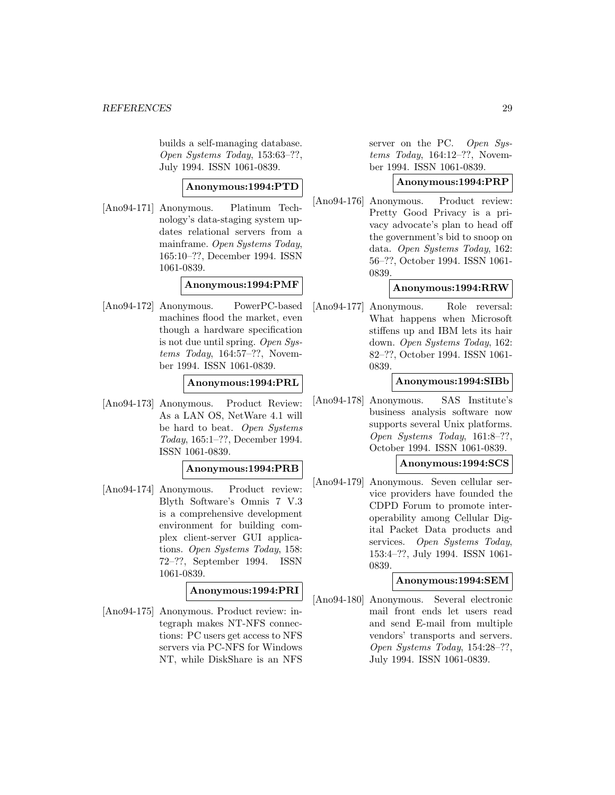builds a self-managing database. Open Systems Today, 153:63–??, July 1994. ISSN 1061-0839.

### **Anonymous:1994:PTD**

[Ano94-171] Anonymous. Platinum Technology's data-staging system updates relational servers from a mainframe. Open Systems Today, 165:10–??, December 1994. ISSN 1061-0839.

### **Anonymous:1994:PMF**

[Ano94-172] Anonymous. PowerPC-based machines flood the market, even though a hardware specification is not due until spring. Open Systems Today, 164:57–??, November 1994. ISSN 1061-0839.

### **Anonymous:1994:PRL**

[Ano94-173] Anonymous. Product Review: As a LAN OS, NetWare 4.1 will be hard to beat. Open Systems Today, 165:1–??, December 1994. ISSN 1061-0839.

### **Anonymous:1994:PRB**

[Ano94-174] Anonymous. Product review: Blyth Software's Omnis 7 V.3 is a comprehensive development environment for building complex client-server GUI applications. Open Systems Today, 158: 72–??, September 1994. ISSN 1061-0839.

### **Anonymous:1994:PRI**

[Ano94-175] Anonymous. Product review: integraph makes NT-NFS connections: PC users get access to NFS servers via PC-NFS for Windows NT, while DiskShare is an NFS server on the PC. Open Systems Today, 164:12–??, November 1994. ISSN 1061-0839.

### **Anonymous:1994:PRP**

[Ano94-176] Anonymous. Product review: Pretty Good Privacy is a privacy advocate's plan to head off the government's bid to snoop on data. Open Systems Today, 162: 56–??, October 1994. ISSN 1061- 0839.

### **Anonymous:1994:RRW**

[Ano94-177] Anonymous. Role reversal: What happens when Microsoft stiffens up and IBM lets its hair down. Open Systems Today, 162: 82–??, October 1994. ISSN 1061- 0839.

### **Anonymous:1994:SIBb**

[Ano94-178] Anonymous. SAS Institute's business analysis software now supports several Unix platforms. Open Systems Today, 161:8–??, October 1994. ISSN 1061-0839.

### **Anonymous:1994:SCS**

[Ano94-179] Anonymous. Seven cellular service providers have founded the CDPD Forum to promote interoperability among Cellular Digital Packet Data products and services. Open Systems Today, 153:4–??, July 1994. ISSN 1061- 0839.

### **Anonymous:1994:SEM**

[Ano94-180] Anonymous. Several electronic mail front ends let users read and send E-mail from multiple vendors' transports and servers. Open Systems Today, 154:28–??, July 1994. ISSN 1061-0839.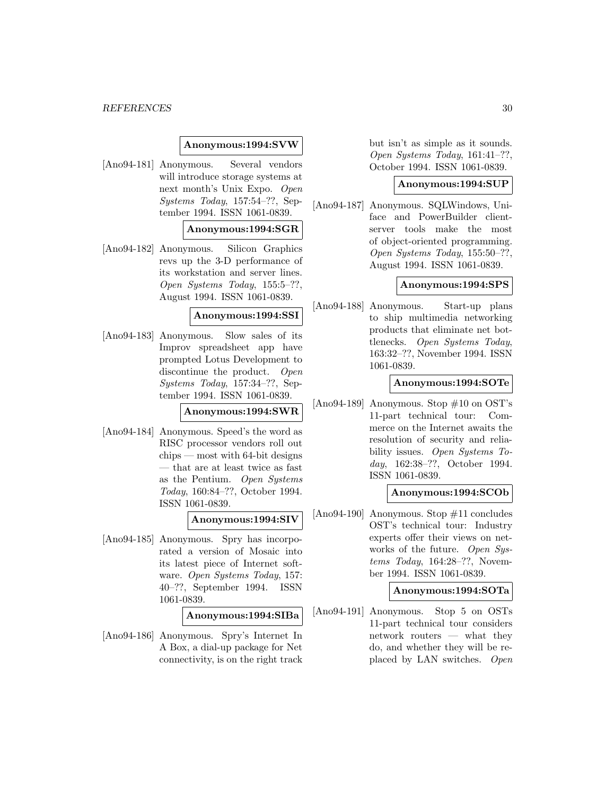#### **Anonymous:1994:SVW**

[Ano94-181] Anonymous. Several vendors will introduce storage systems at next month's Unix Expo. Open Systems Today, 157:54–??, September 1994. ISSN 1061-0839.

### **Anonymous:1994:SGR**

[Ano94-182] Anonymous. Silicon Graphics revs up the 3-D performance of its workstation and server lines. Open Systems Today, 155:5–??, August 1994. ISSN 1061-0839.

### **Anonymous:1994:SSI**

[Ano94-183] Anonymous. Slow sales of its Improv spreadsheet app have prompted Lotus Development to discontinue the product. Open Systems Today, 157:34–??, September 1994. ISSN 1061-0839.

**Anonymous:1994:SWR**

[Ano94-184] Anonymous. Speed's the word as RISC processor vendors roll out chips — most with 64-bit designs — that are at least twice as fast as the Pentium. Open Systems Today, 160:84–??, October 1994. ISSN 1061-0839.

### **Anonymous:1994:SIV**

[Ano94-185] Anonymous. Spry has incorporated a version of Mosaic into its latest piece of Internet software. Open Systems Today, 157: 40–??, September 1994. ISSN 1061-0839.

#### **Anonymous:1994:SIBa**

[Ano94-186] Anonymous. Spry's Internet In A Box, a dial-up package for Net connectivity, is on the right track but isn't as simple as it sounds. Open Systems Today, 161:41–??, October 1994. ISSN 1061-0839.

#### **Anonymous:1994:SUP**

[Ano94-187] Anonymous. SQLWindows, Uniface and PowerBuilder clientserver tools make the most of object-oriented programming. Open Systems Today, 155:50–??, August 1994. ISSN 1061-0839.

#### **Anonymous:1994:SPS**

[Ano94-188] Anonymous. Start-up plans to ship multimedia networking products that eliminate net bottlenecks. Open Systems Today, 163:32–??, November 1994. ISSN 1061-0839.

#### **Anonymous:1994:SOTe**

[Ano94-189] Anonymous. Stop #10 on OST's 11-part technical tour: Commerce on the Internet awaits the resolution of security and reliability issues. Open Systems Today, 162:38–??, October 1994. ISSN 1061-0839.

### **Anonymous:1994:SCOb**

[Ano94-190] Anonymous. Stop #11 concludes OST's technical tour: Industry experts offer their views on networks of the future. Open Systems Today, 164:28–??, November 1994. ISSN 1061-0839.

#### **Anonymous:1994:SOTa**

[Ano94-191] Anonymous. Stop 5 on OSTs 11-part technical tour considers network routers — what they do, and whether they will be replaced by LAN switches. Open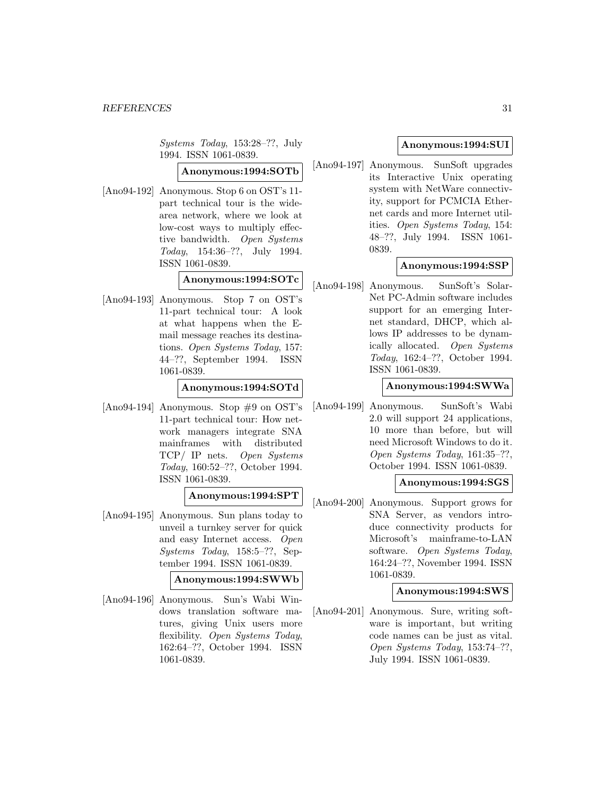Systems Today, 153:28–??, July 1994. ISSN 1061-0839.

### **Anonymous:1994:SOTb**

[Ano94-192] Anonymous. Stop 6 on OST's 11part technical tour is the widearea network, where we look at low-cost ways to multiply effective bandwidth. Open Systems Today, 154:36–??, July 1994. ISSN 1061-0839.

### **Anonymous:1994:SOTc**

[Ano94-193] Anonymous. Stop 7 on OST's 11-part technical tour: A look at what happens when the Email message reaches its destinations. Open Systems Today, 157: 44–??, September 1994. ISSN 1061-0839.

### **Anonymous:1994:SOTd**

[Ano94-194] Anonymous. Stop #9 on OST's 11-part technical tour: How network managers integrate SNA mainframes with distributed TCP/ IP nets. Open Systems Today, 160:52–??, October 1994. ISSN 1061-0839.

### **Anonymous:1994:SPT**

[Ano94-195] Anonymous. Sun plans today to unveil a turnkey server for quick and easy Internet access. Open Systems Today, 158:5–??, September 1994. ISSN 1061-0839.

### **Anonymous:1994:SWWb**

[Ano94-196] Anonymous. Sun's Wabi Windows translation software matures, giving Unix users more flexibility. Open Systems Today, 162:64–??, October 1994. ISSN 1061-0839.

### **Anonymous:1994:SUI**

[Ano94-197] Anonymous. SunSoft upgrades its Interactive Unix operating system with NetWare connectivity, support for PCMCIA Ethernet cards and more Internet utilities. Open Systems Today, 154: 48–??, July 1994. ISSN 1061- 0839.

### **Anonymous:1994:SSP**

[Ano94-198] Anonymous. SunSoft's Solar-Net PC-Admin software includes support for an emerging Internet standard, DHCP, which allows IP addresses to be dynamically allocated. Open Systems Today, 162:4–??, October 1994. ISSN 1061-0839.

#### **Anonymous:1994:SWWa**

[Ano94-199] Anonymous. SunSoft's Wabi 2.0 will support 24 applications, 10 more than before, but will need Microsoft Windows to do it. Open Systems Today, 161:35–??, October 1994. ISSN 1061-0839.

### **Anonymous:1994:SGS**

[Ano94-200] Anonymous. Support grows for SNA Server, as vendors introduce connectivity products for Microsoft's mainframe-to-LAN software. Open Systems Today, 164:24–??, November 1994. ISSN 1061-0839.

### **Anonymous:1994:SWS**

[Ano94-201] Anonymous. Sure, writing software is important, but writing code names can be just as vital. Open Systems Today, 153:74–??, July 1994. ISSN 1061-0839.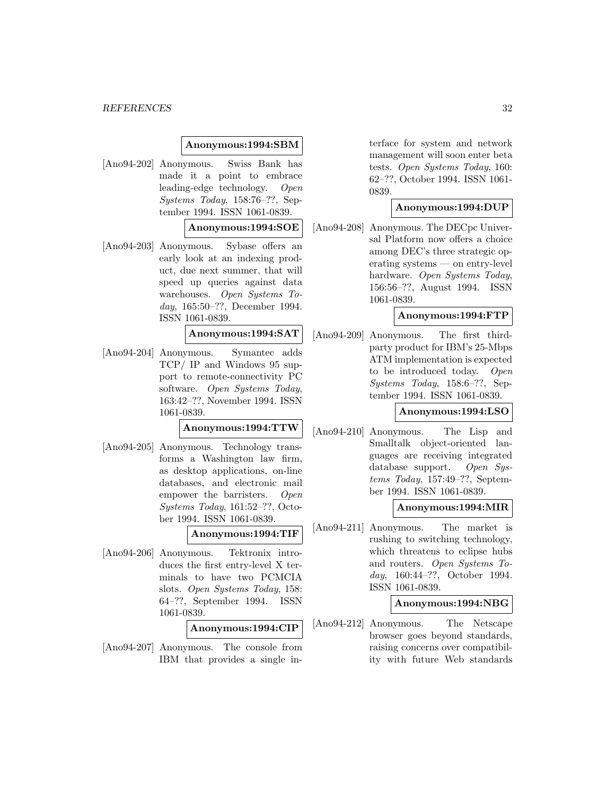#### **Anonymous:1994:SBM**

[Ano94-202] Anonymous. Swiss Bank has made it a point to embrace leading-edge technology. Open Systems Today, 158:76–??, September 1994. ISSN 1061-0839.

### **Anonymous:1994:SOE**

[Ano94-203] Anonymous. Sybase offers an early look at an indexing product, due next summer, that will speed up queries against data warehouses. Open Systems Today, 165:50–??, December 1994. ISSN 1061-0839.

### **Anonymous:1994:SAT**

[Ano94-204] Anonymous. Symantec adds TCP/ IP and Windows 95 support to remote-connectivity PC software. Open Systems Today, 163:42–??, November 1994. ISSN 1061-0839.

### **Anonymous:1994:TTW**

[Ano94-205] Anonymous. Technology transforms a Washington law firm, as desktop applications, on-line databases, and electronic mail empower the barristers. Open Systems Today, 161:52–??, October 1994. ISSN 1061-0839.

### **Anonymous:1994:TIF**

[Ano94-206] Anonymous. Tektronix introduces the first entry-level X terminals to have two PCMCIA slots. Open Systems Today, 158: 64–??, September 1994. ISSN 1061-0839.

### **Anonymous:1994:CIP**

[Ano94-207] Anonymous. The console from IBM that provides a single interface for system and network management will soon enter beta tests. Open Systems Today, 160: 62–??, October 1994. ISSN 1061- 0839.

#### **Anonymous:1994:DUP**

[Ano94-208] Anonymous. The DECpc Universal Platform now offers a choice among DEC's three strategic operating systems — on entry-level hardware. Open Systems Today, 156:56–??, August 1994. ISSN 1061-0839.

### **Anonymous:1994:FTP**

[Ano94-209] Anonymous. The first thirdparty product for IBM's 25-Mbps ATM implementation is expected to be introduced today. Open Systems Today, 158:6–??, September 1994. ISSN 1061-0839.

### **Anonymous:1994:LSO**

[Ano94-210] Anonymous. The Lisp and Smalltalk object-oriented languages are receiving integrated database support. Open Systems Today, 157:49–??, September 1994. ISSN 1061-0839.

#### **Anonymous:1994:MIR**

[Ano94-211] Anonymous. The market is rushing to switching technology, which threatens to eclipse hubs and routers. Open Systems Today, 160:44–??, October 1994. ISSN 1061-0839.

#### **Anonymous:1994:NBG**

[Ano94-212] Anonymous. The Netscape browser goes beyond standards, raising concerns over compatibility with future Web standards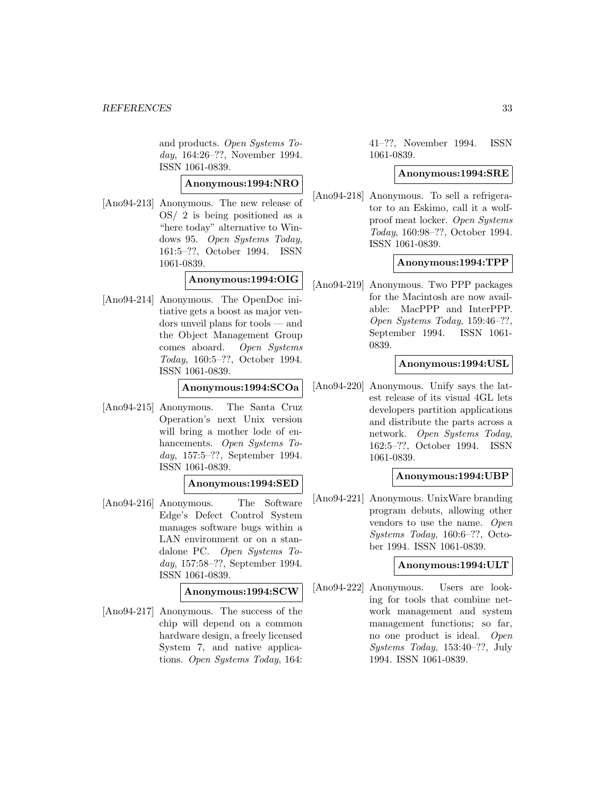and products. Open Systems Today, 164:26–??, November 1994. ISSN 1061-0839.

### **Anonymous:1994:NRO**

[Ano94-213] Anonymous. The new release of OS/ 2 is being positioned as a "here today" alternative to Windows 95. Open Systems Today, 161:5–??, October 1994. ISSN 1061-0839.

### **Anonymous:1994:OIG**

[Ano94-214] Anonymous. The OpenDoc initiative gets a boost as major vendors unveil plans for tools — and the Object Management Group comes aboard. Open Systems Today, 160:5–??, October 1994. ISSN 1061-0839.

#### **Anonymous:1994:SCOa**

[Ano94-215] Anonymous. The Santa Cruz Operation's next Unix version will bring a mother lode of enhancements. Open Systems Today, 157:5–??, September 1994. ISSN 1061-0839.

### **Anonymous:1994:SED**

[Ano94-216] Anonymous. The Software Edge's Defect Control System manages software bugs within a LAN environment or on a standalone PC. Open Systems Today, 157:58–??, September 1994. ISSN 1061-0839.

#### **Anonymous:1994:SCW**

[Ano94-217] Anonymous. The success of the chip will depend on a common hardware design, a freely licensed System 7, and native applications. Open Systems Today, 164: 41–??, November 1994. ISSN 1061-0839.

#### **Anonymous:1994:SRE**

[Ano94-218] Anonymous. To sell a refrigerator to an Eskimo, call it a wolfproof meat locker. Open Systems Today, 160:98–??, October 1994. ISSN 1061-0839.

#### **Anonymous:1994:TPP**

[Ano94-219] Anonymous. Two PPP packages for the Macintosh are now available: MacPPP and InterPPP. Open Systems Today, 159:46–??, September 1994. ISSN 1061- 0839.

### **Anonymous:1994:USL**

[Ano94-220] Anonymous. Unify says the latest release of its visual 4GL lets developers partition applications and distribute the parts across a network. Open Systems Today, 162:5–??, October 1994. ISSN 1061-0839.

### **Anonymous:1994:UBP**

[Ano94-221] Anonymous. UnixWare branding program debuts, allowing other vendors to use the name. Open Systems Today, 160:6–??, October 1994. ISSN 1061-0839.

#### **Anonymous:1994:ULT**

[Ano94-222] Anonymous. Users are looking for tools that combine network management and system management functions; so far, no one product is ideal. Open Systems Today, 153:40–??, July 1994. ISSN 1061-0839.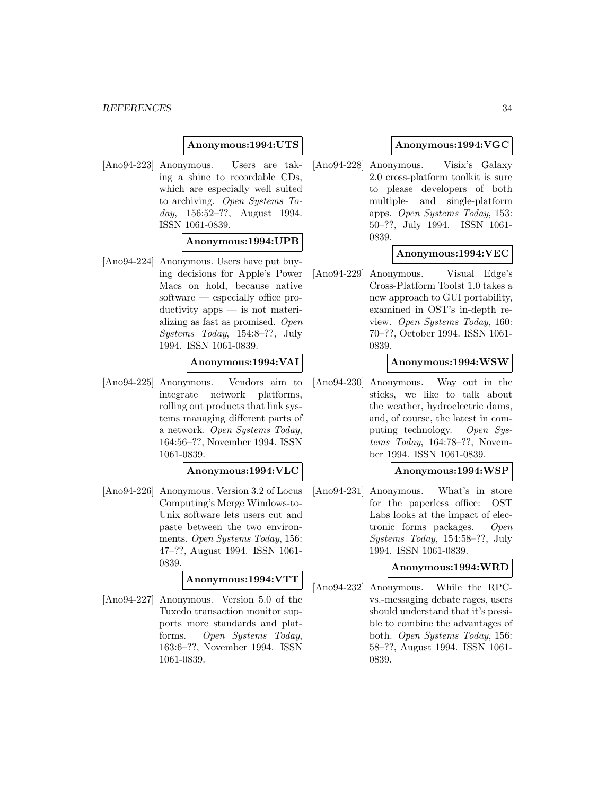### **Anonymous:1994:UTS**

[Ano94-223] Anonymous. Users are taking a shine to recordable CDs, which are especially well suited to archiving. Open Systems Today, 156:52–??, August 1994. ISSN 1061-0839.

#### **Anonymous:1994:UPB**

[Ano94-224] Anonymous. Users have put buying decisions for Apple's Power Macs on hold, because native software — especially office productivity apps — is not materializing as fast as promised. Open Systems Today, 154:8–??, July 1994. ISSN 1061-0839.

**Anonymous:1994:VAI**

[Ano94-225] Anonymous. Vendors aim to integrate network platforms, rolling out products that link systems managing different parts of a network. Open Systems Today, 164:56–??, November 1994. ISSN 1061-0839.

### **Anonymous:1994:VLC**

[Ano94-226] Anonymous. Version 3.2 of Locus Computing's Merge Windows-to-Unix software lets users cut and paste between the two environments. Open Systems Today, 156: 47–??, August 1994. ISSN 1061- 0839.

### **Anonymous:1994:VTT**

[Ano94-227] Anonymous. Version 5.0 of the Tuxedo transaction monitor supports more standards and platforms. Open Systems Today, 163:6–??, November 1994. ISSN 1061-0839.

### **Anonymous:1994:VGC**

[Ano94-228] Anonymous. Visix's Galaxy 2.0 cross-platform toolkit is sure to please developers of both multiple- and single-platform apps. Open Systems Today, 153: 50–??, July 1994. ISSN 1061- 0839.

### **Anonymous:1994:VEC**

[Ano94-229] Anonymous. Visual Edge's Cross-Platform Toolst 1.0 takes a new approach to GUI portability, examined in OST's in-depth review. Open Systems Today, 160: 70–??, October 1994. ISSN 1061- 0839.

#### **Anonymous:1994:WSW**

[Ano94-230] Anonymous. Way out in the sticks, we like to talk about the weather, hydroelectric dams, and, of course, the latest in computing technology. Open Systems Today, 164:78–??, November 1994. ISSN 1061-0839.

#### **Anonymous:1994:WSP**

[Ano94-231] Anonymous. What's in store for the paperless office: OST Labs looks at the impact of electronic forms packages. Open Systems Today, 154:58–??, July 1994. ISSN 1061-0839.

#### **Anonymous:1994:WRD**

[Ano94-232] Anonymous. While the RPCvs.-messaging debate rages, users should understand that it's possible to combine the advantages of both. Open Systems Today, 156: 58–??, August 1994. ISSN 1061- 0839.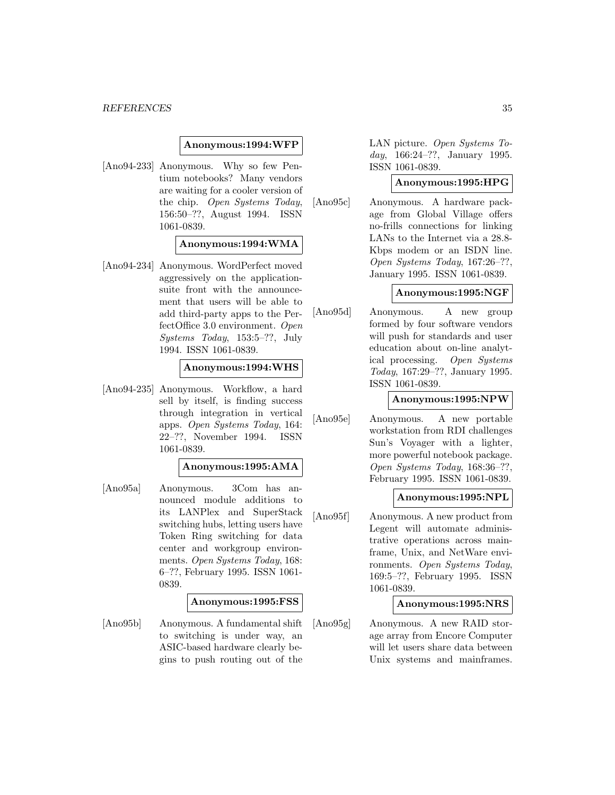#### **Anonymous:1994:WFP**

[Ano94-233] Anonymous. Why so few Pentium notebooks? Many vendors are waiting for a cooler version of the chip. Open Systems Today, 156:50–??, August 1994. ISSN 1061-0839.

#### **Anonymous:1994:WMA**

[Ano94-234] Anonymous. WordPerfect moved aggressively on the applicationsuite front with the announcement that users will be able to add third-party apps to the PerfectOffice 3.0 environment. Open Systems Today, 153:5–??, July 1994. ISSN 1061-0839.

### **Anonymous:1994:WHS**

[Ano94-235] Anonymous. Workflow, a hard sell by itself, is finding success through integration in vertical apps. Open Systems Today, 164: 22–??, November 1994. ISSN 1061-0839.

### **Anonymous:1995:AMA**

[Ano95a] Anonymous. 3Com has announced module additions to its LANPlex and SuperStack switching hubs, letting users have Token Ring switching for data center and workgroup environments. Open Systems Today, 168: 6–??, February 1995. ISSN 1061- 0839.

#### **Anonymous:1995:FSS**

[Ano95b] Anonymous. A fundamental shift to switching is under way, an ASIC-based hardware clearly begins to push routing out of the

LAN picture. Open Systems Today, 166:24–??, January 1995. ISSN 1061-0839.

### **Anonymous:1995:HPG**

[Ano95c] Anonymous. A hardware package from Global Village offers no-frills connections for linking LANs to the Internet via a 28.8- Kbps modem or an ISDN line. Open Systems Today, 167:26–??, January 1995. ISSN 1061-0839.

### **Anonymous:1995:NGF**

[Ano95d] Anonymous. A new group formed by four software vendors will push for standards and user education about on-line analytical processing. Open Systems Today, 167:29–??, January 1995. ISSN 1061-0839.

### **Anonymous:1995:NPW**

[Ano95e] Anonymous. A new portable workstation from RDI challenges Sun's Voyager with a lighter, more powerful notebook package. Open Systems Today, 168:36–??, February 1995. ISSN 1061-0839.

### **Anonymous:1995:NPL**

[Ano95f] Anonymous. A new product from Legent will automate administrative operations across mainframe, Unix, and NetWare environments. Open Systems Today, 169:5–??, February 1995. ISSN 1061-0839.

#### **Anonymous:1995:NRS**

[Ano95g] Anonymous. A new RAID storage array from Encore Computer will let users share data between Unix systems and mainframes.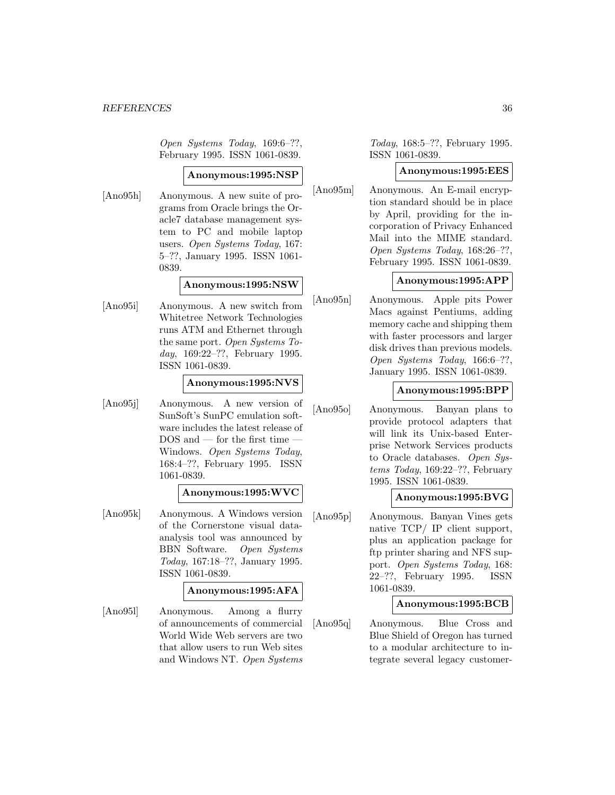Open Systems Today, 169:6–??, February 1995. ISSN 1061-0839.

### **Anonymous:1995:NSP**

[Ano95h] Anonymous. A new suite of programs from Oracle brings the Oracle7 database management system to PC and mobile laptop users. Open Systems Today, 167: 5–??, January 1995. ISSN 1061- 0839.

### **Anonymous:1995:NSW**

[Ano95i] Anonymous. A new switch from Whitetree Network Technologies runs ATM and Ethernet through the same port. Open Systems Today, 169:22–??, February 1995. ISSN 1061-0839.

### **Anonymous:1995:NVS**

[Ano95j] Anonymous. A new version of SunSoft's SunPC emulation software includes the latest release of DOS and — for the first time — Windows. Open Systems Today, 168:4–??, February 1995. ISSN 1061-0839.

### **Anonymous:1995:WVC**

[Ano95k] Anonymous. A Windows version of the Cornerstone visual dataanalysis tool was announced by BBN Software. Open Systems Today, 167:18–??, January 1995. ISSN 1061-0839.

### **Anonymous:1995:AFA**

[Ano95l] Anonymous. Among a flurry of announcements of commercial World Wide Web servers are two that allow users to run Web sites and Windows NT. Open Systems

Today, 168:5–??, February 1995. ISSN 1061-0839.

#### **Anonymous:1995:EES**

[Ano95m] Anonymous. An E-mail encryption standard should be in place by April, providing for the incorporation of Privacy Enhanced Mail into the MIME standard. Open Systems Today, 168:26–??, February 1995. ISSN 1061-0839.

### **Anonymous:1995:APP**

[Ano95n] Anonymous. Apple pits Power Macs against Pentiums, adding memory cache and shipping them with faster processors and larger disk drives than previous models. Open Systems Today, 166:6–??, January 1995. ISSN 1061-0839.

#### **Anonymous:1995:BPP**

[Ano95o] Anonymous. Banyan plans to provide protocol adapters that will link its Unix-based Enterprise Network Services products to Oracle databases. Open Systems Today, 169:22–??, February 1995. ISSN 1061-0839.

### **Anonymous:1995:BVG**

[Ano95p] Anonymous. Banyan Vines gets native TCP/ IP client support, plus an application package for ftp printer sharing and NFS support. Open Systems Today, 168: 22–??, February 1995. ISSN 1061-0839.

### **Anonymous:1995:BCB**

[Ano95q] Anonymous. Blue Cross and Blue Shield of Oregon has turned to a modular architecture to integrate several legacy customer-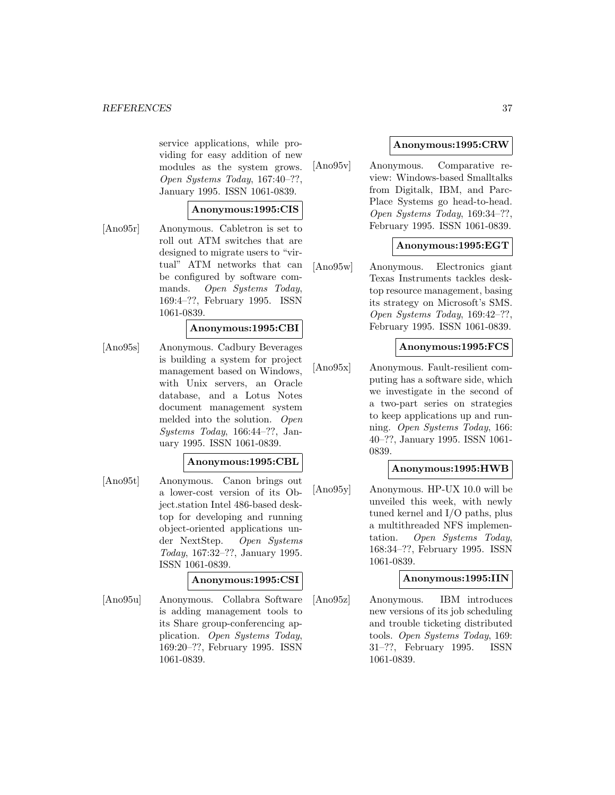service applications, while providing for easy addition of new modules as the system grows. Open Systems Today, 167:40–??, January 1995. ISSN 1061-0839.

### **Anonymous:1995:CIS**

[Ano95r] Anonymous. Cabletron is set to roll out ATM switches that are designed to migrate users to "virtual" ATM networks that can be configured by software commands. Open Systems Today, 169:4–??, February 1995. ISSN 1061-0839.

### **Anonymous:1995:CBI**

[Ano95s] Anonymous. Cadbury Beverages is building a system for project management based on Windows, with Unix servers, an Oracle database, and a Lotus Notes document management system melded into the solution. Open Systems Today, 166:44–??, January 1995. ISSN 1061-0839.

#### **Anonymous:1995:CBL**

[Ano95t] Anonymous. Canon brings out a lower-cost version of its Object.station Intel 486-based desktop for developing and running object-oriented applications under NextStep. Open Systems Today, 167:32–??, January 1995. ISSN 1061-0839.

### **Anonymous:1995:CSI**

[Ano95u] Anonymous. Collabra Software is adding management tools to its Share group-conferencing application. Open Systems Today, 169:20–??, February 1995. ISSN 1061-0839.

### **Anonymous:1995:CRW**

[Ano95v] Anonymous. Comparative review: Windows-based Smalltalks from Digitalk, IBM, and Parc-Place Systems go head-to-head. Open Systems Today, 169:34–??, February 1995. ISSN 1061-0839.

### **Anonymous:1995:EGT**

[Ano95w] Anonymous. Electronics giant Texas Instruments tackles desktop resource management, basing its strategy on Microsoft's SMS. Open Systems Today, 169:42–??, February 1995. ISSN 1061-0839.

### **Anonymous:1995:FCS**

[Ano95x] Anonymous. Fault-resilient computing has a software side, which we investigate in the second of a two-part series on strategies to keep applications up and running. Open Systems Today, 166: 40–??, January 1995. ISSN 1061- 0839.

### **Anonymous:1995:HWB**

[Ano95y] Anonymous. HP-UX 10.0 will be unveiled this week, with newly tuned kernel and I/O paths, plus a multithreaded NFS implementation. Open Systems Today, 168:34–??, February 1995. ISSN 1061-0839.

### **Anonymous:1995:IIN**

[Ano95z] Anonymous. IBM introduces new versions of its job scheduling and trouble ticketing distributed tools. Open Systems Today, 169: 31–??, February 1995. ISSN 1061-0839.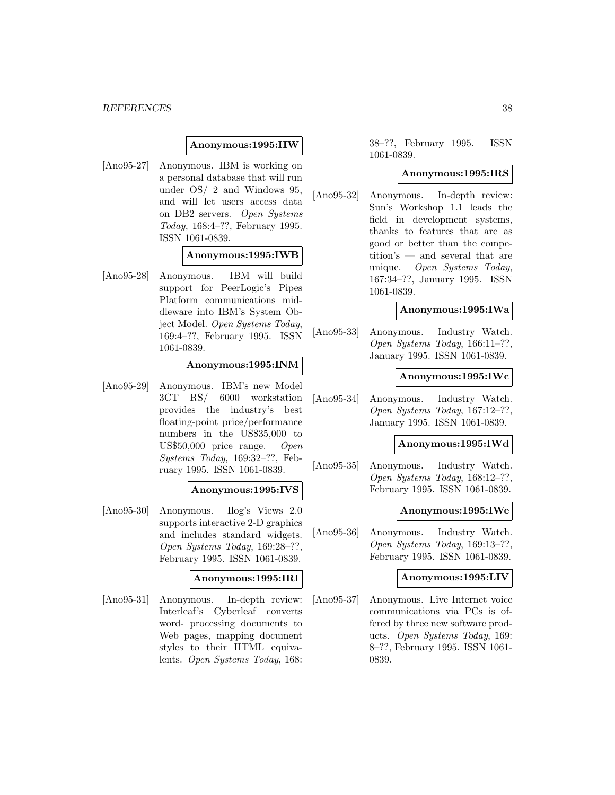### **Anonymous:1995:IIW**

[Ano95-27] Anonymous. IBM is working on a personal database that will run under OS/ 2 and Windows 95, and will let users access data on DB2 servers. Open Systems Today, 168:4–??, February 1995. ISSN 1061-0839.

#### **Anonymous:1995:IWB**

[Ano95-28] Anonymous. IBM will build support for PeerLogic's Pipes Platform communications middleware into IBM's System Object Model. Open Systems Today, 169:4–??, February 1995. ISSN 1061-0839.

### **Anonymous:1995:INM**

[Ano95-29] Anonymous. IBM's new Model 3CT RS/ 6000 workstation provides the industry's best floating-point price/performance numbers in the US\$35,000 to US\$50,000 price range. Open Systems Today, 169:32–??, February 1995. ISSN 1061-0839.

### **Anonymous:1995:IVS**

[Ano95-30] Anonymous. Ilog's Views 2.0 supports interactive 2-D graphics and includes standard widgets. Open Systems Today, 169:28–??, February 1995. ISSN 1061-0839.

### **Anonymous:1995:IRI**

[Ano95-31] Anonymous. In-depth review: Interleaf's Cyberleaf converts word- processing documents to Web pages, mapping document styles to their HTML equivalents. Open Systems Today, 168:

38–??, February 1995. ISSN 1061-0839.

#### **Anonymous:1995:IRS**

[Ano95-32] Anonymous. In-depth review: Sun's Workshop 1.1 leads the field in development systems, thanks to features that are as good or better than the competition's — and several that are unique. Open Systems Today, 167:34–??, January 1995. ISSN 1061-0839.

#### **Anonymous:1995:IWa**

[Ano95-33] Anonymous. Industry Watch. Open Systems Today, 166:11–??, January 1995. ISSN 1061-0839.

#### **Anonymous:1995:IWc**

[Ano95-34] Anonymous. Industry Watch. Open Systems Today, 167:12–??, January 1995. ISSN 1061-0839.

#### **Anonymous:1995:IWd**

[Ano95-35] Anonymous. Industry Watch. Open Systems Today, 168:12–??, February 1995. ISSN 1061-0839.

#### **Anonymous:1995:IWe**

[Ano95-36] Anonymous. Industry Watch. Open Systems Today, 169:13–??, February 1995. ISSN 1061-0839.

#### **Anonymous:1995:LIV**

[Ano95-37] Anonymous. Live Internet voice communications via PCs is offered by three new software products. Open Systems Today, 169: 8–??, February 1995. ISSN 1061- 0839.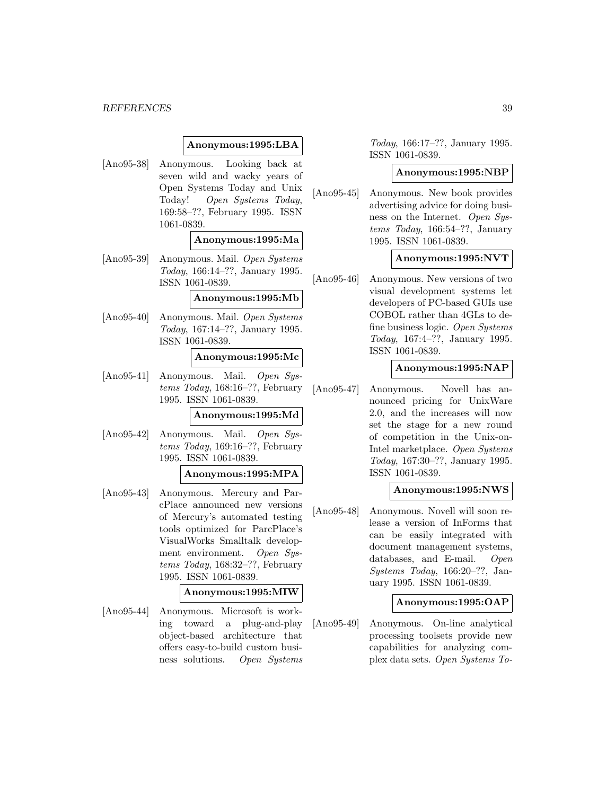### **Anonymous:1995:LBA**

[Ano95-38] Anonymous. Looking back at seven wild and wacky years of Open Systems Today and Unix Today! Open Systems Today, 169:58–??, February 1995. ISSN 1061-0839.

#### **Anonymous:1995:Ma**

[Ano95-39] Anonymous. Mail. Open Systems Today, 166:14–??, January 1995. ISSN 1061-0839.

#### **Anonymous:1995:Mb**

[Ano95-40] Anonymous. Mail. Open Systems Today, 167:14–??, January 1995. ISSN 1061-0839.

#### **Anonymous:1995:Mc**

[Ano95-41] Anonymous. Mail. Open Systems Today, 168:16–??, February 1995. ISSN 1061-0839.

### **Anonymous:1995:Md**

[Ano95-42] Anonymous. Mail. Open Systems Today, 169:16–??, February 1995. ISSN 1061-0839.

#### **Anonymous:1995:MPA**

[Ano95-43] Anonymous. Mercury and ParcPlace announced new versions of Mercury's automated testing tools optimized for ParcPlace's VisualWorks Smalltalk development environment. Open Systems Today, 168:32–??, February 1995. ISSN 1061-0839.

#### **Anonymous:1995:MIW**

[Ano95-44] Anonymous. Microsoft is working toward a plug-and-play object-based architecture that offers easy-to-build custom business solutions. Open Systems

Today, 166:17–??, January 1995. ISSN 1061-0839.

#### **Anonymous:1995:NBP**

[Ano95-45] Anonymous. New book provides advertising advice for doing business on the Internet. Open Sustems Today, 166:54–??, January 1995. ISSN 1061-0839.

### **Anonymous:1995:NVT**

[Ano95-46] Anonymous. New versions of two visual development systems let developers of PC-based GUIs use COBOL rather than 4GLs to define business logic. Open Systems Today, 167:4–??, January 1995. ISSN 1061-0839.

### **Anonymous:1995:NAP**

[Ano95-47] Anonymous. Novell has announced pricing for UnixWare 2.0, and the increases will now set the stage for a new round of competition in the Unix-on-Intel marketplace. Open Systems Today, 167:30–??, January 1995. ISSN 1061-0839.

#### **Anonymous:1995:NWS**

[Ano95-48] Anonymous. Novell will soon release a version of InForms that can be easily integrated with document management systems, databases, and E-mail. Open Systems Today, 166:20–??, January 1995. ISSN 1061-0839.

#### **Anonymous:1995:OAP**

[Ano95-49] Anonymous. On-line analytical processing toolsets provide new capabilities for analyzing complex data sets. Open Systems To-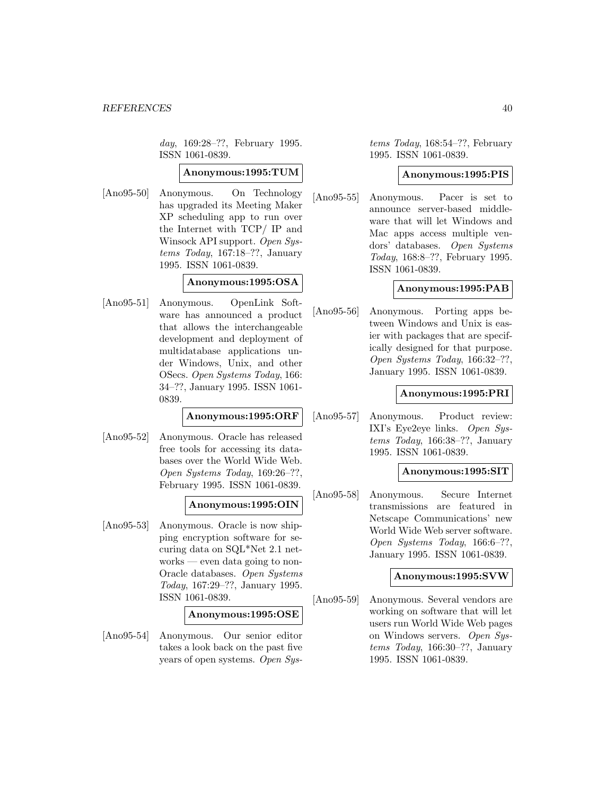day, 169:28–??, February 1995. ISSN 1061-0839.

#### **Anonymous:1995:TUM**

[Ano95-50] Anonymous. On Technology has upgraded its Meeting Maker XP scheduling app to run over the Internet with TCP/ IP and Winsock API support. Open Systems Today, 167:18–??, January 1995. ISSN 1061-0839.

### **Anonymous:1995:OSA**

[Ano95-51] Anonymous. OpenLink Software has announced a product that allows the interchangeable development and deployment of multidatabase applications under Windows, Unix, and other OSecs. Open Systems Today, 166: 34–??, January 1995. ISSN 1061- 0839.

#### **Anonymous:1995:ORF**

[Ano95-52] Anonymous. Oracle has released free tools for accessing its databases over the World Wide Web. Open Systems Today, 169:26–??, February 1995. ISSN 1061-0839.

### **Anonymous:1995:OIN**

[Ano95-53] Anonymous. Oracle is now shipping encryption software for securing data on SQL\*Net 2.1 networks — even data going to non-Oracle databases. Open Systems Today, 167:29–??, January 1995. ISSN 1061-0839.

### **Anonymous:1995:OSE**

[Ano95-54] Anonymous. Our senior editor takes a look back on the past five years of open systems. Open Sys-

tems Today, 168:54–??, February 1995. ISSN 1061-0839.

### **Anonymous:1995:PIS**

[Ano95-55] Anonymous. Pacer is set to announce server-based middleware that will let Windows and Mac apps access multiple vendors' databases. Open Systems Today, 168:8–??, February 1995. ISSN 1061-0839.

### **Anonymous:1995:PAB**

[Ano95-56] Anonymous. Porting apps between Windows and Unix is easier with packages that are specifically designed for that purpose. Open Systems Today, 166:32–??, January 1995. ISSN 1061-0839.

#### **Anonymous:1995:PRI**

[Ano95-57] Anonymous. Product review: IXI's Eye2eye links. Open Systems Today, 166:38–??, January 1995. ISSN 1061-0839.

### **Anonymous:1995:SIT**

[Ano95-58] Anonymous. Secure Internet transmissions are featured in Netscape Communications' new World Wide Web server software. Open Systems Today, 166:6–??, January 1995. ISSN 1061-0839.

### **Anonymous:1995:SVW**

[Ano95-59] Anonymous. Several vendors are working on software that will let users run World Wide Web pages on Windows servers. Open Systems Today, 166:30–??, January 1995. ISSN 1061-0839.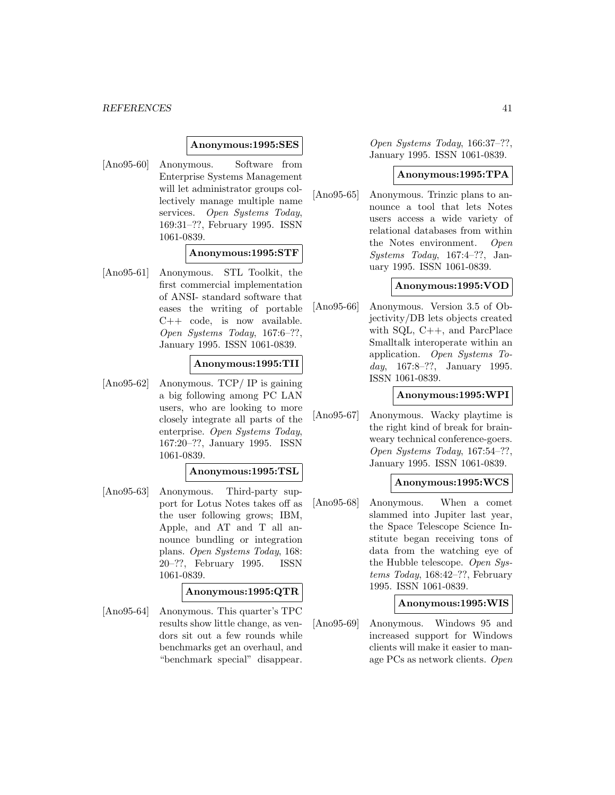#### **Anonymous:1995:SES**

[Ano95-60] Anonymous. Software from Enterprise Systems Management will let administrator groups collectively manage multiple name services. Open Systems Today, 169:31–??, February 1995. ISSN 1061-0839.

#### **Anonymous:1995:STF**

[Ano95-61] Anonymous. STL Toolkit, the first commercial implementation of ANSI- standard software that eases the writing of portable  $C++ \code, \text{ is now available.}$ Open Systems Today, 167:6–??, January 1995. ISSN 1061-0839.

### **Anonymous:1995:TII**

[Ano95-62] Anonymous. TCP/ IP is gaining a big following among PC LAN users, who are looking to more closely integrate all parts of the enterprise. Open Systems Today, 167:20–??, January 1995. ISSN 1061-0839.

### **Anonymous:1995:TSL**

[Ano95-63] Anonymous. Third-party support for Lotus Notes takes off as the user following grows; IBM, Apple, and AT and T all announce bundling or integration plans. Open Systems Today, 168: 20–??, February 1995. ISSN 1061-0839.

#### **Anonymous:1995:QTR**

[Ano95-64] Anonymous. This quarter's TPC results show little change, as vendors sit out a few rounds while benchmarks get an overhaul, and "benchmark special" disappear.

Open Systems Today, 166:37–??, January 1995. ISSN 1061-0839.

#### **Anonymous:1995:TPA**

[Ano95-65] Anonymous. Trinzic plans to announce a tool that lets Notes users access a wide variety of relational databases from within the Notes environment. Open Systems Today, 167:4–??, January 1995. ISSN 1061-0839.

### **Anonymous:1995:VOD**

[Ano95-66] Anonymous. Version 3.5 of Objectivity/DB lets objects created with SQL, C++, and ParcPlace Smalltalk interoperate within an application. Open Systems Today, 167:8–??, January 1995. ISSN 1061-0839.

### **Anonymous:1995:WPI**

[Ano95-67] Anonymous. Wacky playtime is the right kind of break for brainweary technical conference-goers. Open Systems Today, 167:54–??, January 1995. ISSN 1061-0839.

### **Anonymous:1995:WCS**

[Ano95-68] Anonymous. When a comet slammed into Jupiter last year, the Space Telescope Science Institute began receiving tons of data from the watching eye of the Hubble telescope. Open Systems Today, 168:42–??, February 1995. ISSN 1061-0839.

#### **Anonymous:1995:WIS**

[Ano95-69] Anonymous. Windows 95 and increased support for Windows clients will make it easier to manage PCs as network clients. Open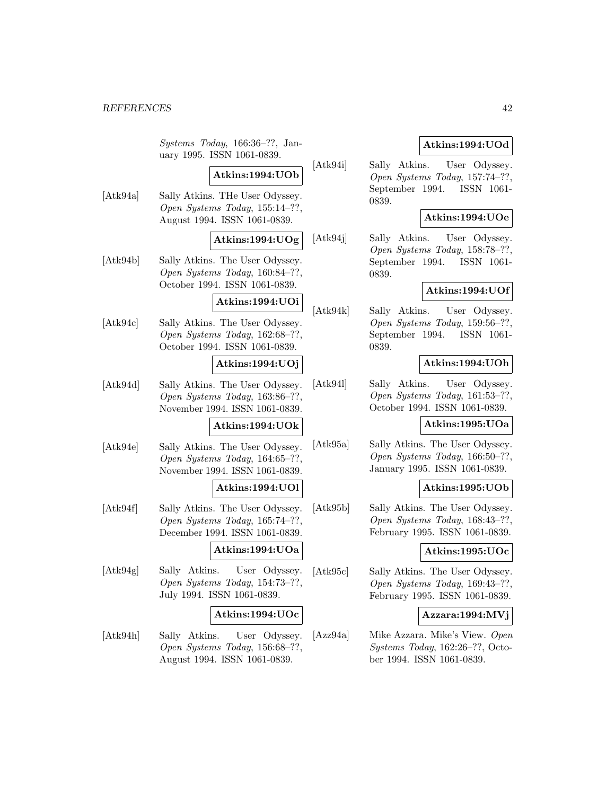Systems Today, 166:36–??, January 1995. ISSN 1061-0839.

# **Atkins:1994:UOb**

[Atk94a] Sally Atkins. THe User Odyssey. Open Systems Today, 155:14–??, August 1994. ISSN 1061-0839.

## **Atkins:1994:UOg**

[Atk94b] Sally Atkins. The User Odyssey. Open Systems Today, 160:84–??, October 1994. ISSN 1061-0839.

### **Atkins:1994:UOi**

[Atk94c] Sally Atkins. The User Odyssey. Open Systems Today, 162:68–??, October 1994. ISSN 1061-0839.

### **Atkins:1994:UOj**

[Atk94d] Sally Atkins. The User Odyssey. Open Systems Today, 163:86–??, November 1994. ISSN 1061-0839.

### **Atkins:1994:UOk**

[Atk94e] Sally Atkins. The User Odyssey. Open Systems Today, 164:65–??, November 1994. ISSN 1061-0839.

### **Atkins:1994:UOl**

[Atk94f] Sally Atkins. The User Odyssey. Open Systems Today, 165:74–??, December 1994. ISSN 1061-0839.

### **Atkins:1994:UOa**

[Atk94g] Sally Atkins. User Odyssey. Open Systems Today, 154:73–??, July 1994. ISSN 1061-0839.

### **Atkins:1994:UOc**

[Atk94h] Sally Atkins. User Odyssey. Open Systems Today, 156:68–??, August 1994. ISSN 1061-0839.

### **Atkins:1994:UOd**

[Atk94i] Sally Atkins. User Odyssey. Open Systems Today, 157:74–??, September 1994. ISSN 1061- 0839.

### **Atkins:1994:UOe**

[Atk94j] Sally Atkins. User Odyssey. Open Systems Today, 158:78–??, September 1994. ISSN 1061- 0839.

### **Atkins:1994:UOf**

[Atk94k] Sally Atkins. User Odyssey. Open Systems Today, 159:56–??, September 1994. ISSN 1061- 0839.

### **Atkins:1994:UOh**

[Atk94l] Sally Atkins. User Odyssey. Open Systems Today, 161:53–??, October 1994. ISSN 1061-0839.

### **Atkins:1995:UOa**

[Atk95a] Sally Atkins. The User Odyssey. Open Systems Today, 166:50–??, January 1995. ISSN 1061-0839.

### **Atkins:1995:UOb**

[Atk95b] Sally Atkins. The User Odyssey. Open Systems Today, 168:43–??, February 1995. ISSN 1061-0839.

### **Atkins:1995:UOc**

[Atk95c] Sally Atkins. The User Odyssey. Open Systems Today, 169:43–??, February 1995. ISSN 1061-0839.

### **Azzara:1994:MVj**

[Azz94a] Mike Azzara. Mike's View. Open Systems Today, 162:26–??, October 1994. ISSN 1061-0839.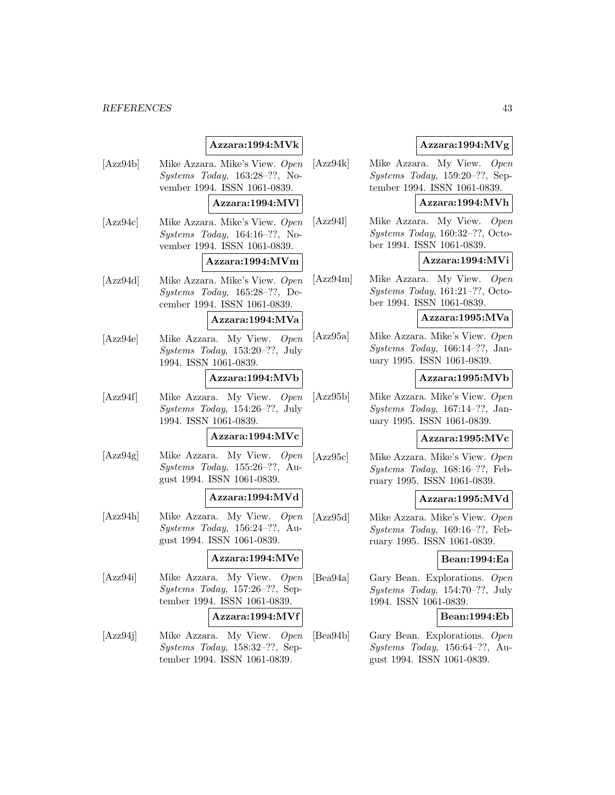# **Azzara:1994:MVk**

[Azz94b] Mike Azzara. Mike's View. Open Systems Today, 163:28–??, November 1994. ISSN 1061-0839.

### **Azzara:1994:MVl**

[Azz94c] Mike Azzara. Mike's View. Open Systems Today, 164:16–??, November 1994. ISSN 1061-0839.

#### **Azzara:1994:MVm**

[Azz94d] Mike Azzara. Mike's View. Open Systems Today, 165:28–??, December 1994. ISSN 1061-0839.

#### **Azzara:1994:MVa**

[Azz94e] Mike Azzara. My View. Open Systems Today, 153:20–??, July 1994. ISSN 1061-0839.

### **Azzara:1994:MVb**

[Azz94f] Mike Azzara. My View. Open Systems Today, 154:26–??, July 1994. ISSN 1061-0839.

#### **Azzara:1994:MVc**

[Azz94g] Mike Azzara. My View. Open Systems Today, 155:26–??, August 1994. ISSN 1061-0839.

### **Azzara:1994:MVd**

[Azz94h] Mike Azzara. My View. Open Systems Today, 156:24–??, August 1994. ISSN 1061-0839.

### **Azzara:1994:MVe**

[Azz94i] Mike Azzara. My View. Open Systems Today, 157:26–??, September 1994. ISSN 1061-0839.

#### **Azzara:1994:MVf**

[Azz94j] Mike Azzara. My View. Open Systems Today, 158:32–??, September 1994. ISSN 1061-0839.

### **Azzara:1994:MVg**

[Azz94k] Mike Azzara. My View. Open Systems Today, 159:20–??, September 1994. ISSN 1061-0839.

### **Azzara:1994:MVh**

[Azz94l] Mike Azzara. My View. Open Systems Today, 160:32–??, October 1994. ISSN 1061-0839.

#### **Azzara:1994:MVi**

[Azz94m] Mike Azzara. My View. Open Systems Today, 161:21–??, October 1994. ISSN 1061-0839.

### **Azzara:1995:MVa**

[Azz95a] Mike Azzara. Mike's View. Open Systems Today, 166:14–??, January 1995. ISSN 1061-0839.

#### **Azzara:1995:MVb**

[Azz95b] Mike Azzara. Mike's View. Open Systems Today, 167:14–??, January 1995. ISSN 1061-0839.

#### **Azzara:1995:MVc**

[Azz95c] Mike Azzara. Mike's View. Open Systems Today, 168:16–??, February 1995. ISSN 1061-0839.

#### **Azzara:1995:MVd**

[Azz95d] Mike Azzara. Mike's View. Open Systems Today, 169:16–??, February 1995. ISSN 1061-0839.

#### **Bean:1994:Ea**

[Bea94a] Gary Bean. Explorations. Open Systems Today, 154:70–??, July 1994. ISSN 1061-0839.

### **Bean:1994:Eb**

[Bea94b] Gary Bean. Explorations. Open Systems Today, 156:64–??, August 1994. ISSN 1061-0839.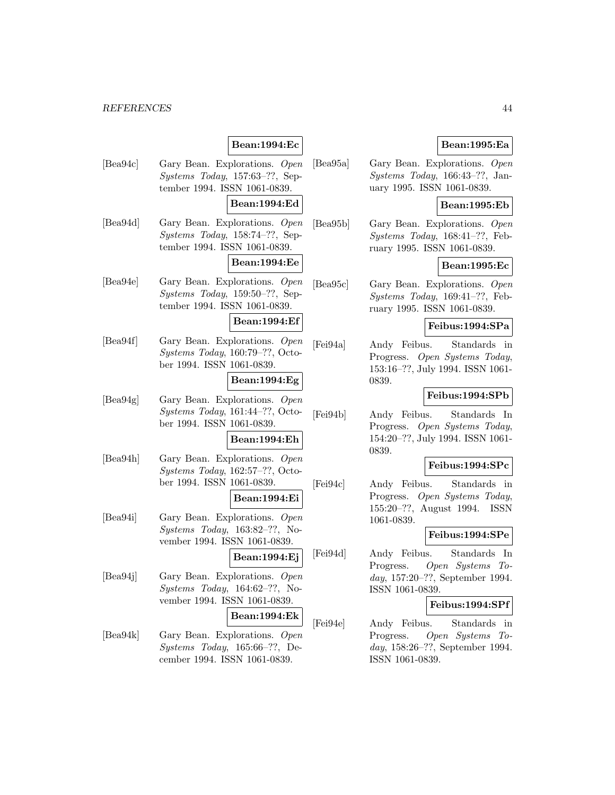### **Bean:1994:Ec**

[Bea94c] Gary Bean. Explorations. Open Systems Today, 157:63–??, September 1994. ISSN 1061-0839.

#### **Bean:1994:Ed**

[Bea94d] Gary Bean. Explorations. Open Systems Today, 158:74–??, September 1994. ISSN 1061-0839.

### **Bean:1994:Ee**

[Bea94e] Gary Bean. Explorations. Open Systems Today, 159:50–??, September 1994. ISSN 1061-0839.

### **Bean:1994:Ef**

[Bea94f] Gary Bean. Explorations. Open Systems Today, 160:79–??, October 1994. ISSN 1061-0839.

### **Bean:1994:Eg**

[Bea94g] Gary Bean. Explorations. Open Systems Today, 161:44–??, October 1994. ISSN 1061-0839.

#### **Bean:1994:Eh**

[Bea94h] Gary Bean. Explorations. Open Systems Today, 162:57–??, October 1994. ISSN 1061-0839.

### **Bean:1994:Ei**

[Bea94i] Gary Bean. Explorations. Open Systems Today, 163:82–??, November 1994. ISSN 1061-0839.

**Bean:1994:Ej**

[Bea94j] Gary Bean. Explorations. Open Systems Today, 164:62–??, November 1994. ISSN 1061-0839.

#### **Bean:1994:Ek**

[Bea94k] Gary Bean. Explorations. Open Systems Today, 165:66–??, December 1994. ISSN 1061-0839.

### **Bean:1995:Ea**

[Bea95a] Gary Bean. Explorations. Open Systems Today, 166:43–??, January 1995. ISSN 1061-0839.

### **Bean:1995:Eb**

[Bea95b] Gary Bean. Explorations. Open Systems Today, 168:41–??, February 1995. ISSN 1061-0839.

### **Bean:1995:Ec**

[Bea95c] Gary Bean. Explorations. Open Systems Today, 169:41–??, February 1995. ISSN 1061-0839.

#### **Feibus:1994:SPa**

[Fei94a] Andy Feibus. Standards in Progress. Open Systems Today, 153:16–??, July 1994. ISSN 1061- 0839.

### **Feibus:1994:SPb**

[Fei94b] Andy Feibus. Standards In Progress. Open Systems Today, 154:20–??, July 1994. ISSN 1061- 0839.

#### **Feibus:1994:SPc**

[Fei94c] Andy Feibus. Standards in Progress. Open Systems Today, 155:20–??, August 1994. ISSN 1061-0839.

#### **Feibus:1994:SPe**

[Fei94d] Andy Feibus. Standards In Progress. Open Systems Today, 157:20–??, September 1994. ISSN 1061-0839.

### **Feibus:1994:SPf**

[Fei94e] Andy Feibus. Standards in Progress. Open Systems Today, 158:26–??, September 1994. ISSN 1061-0839.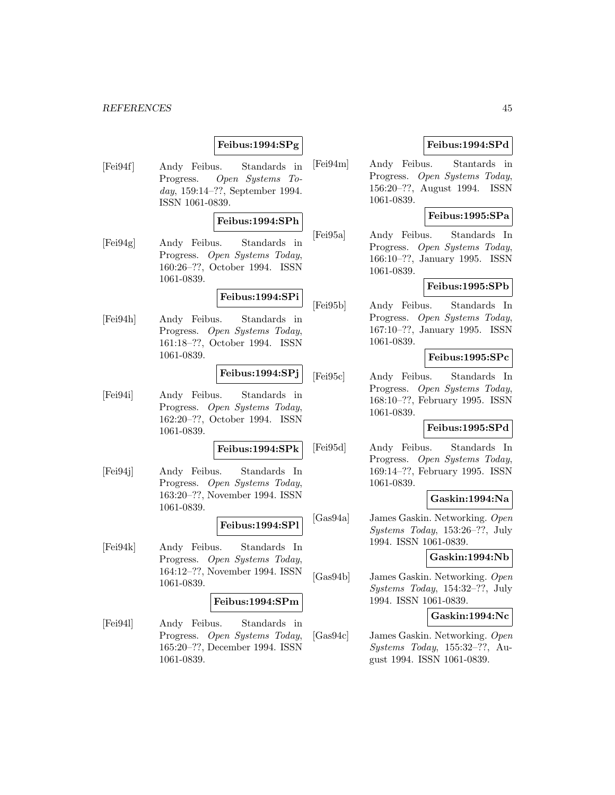### **Feibus:1994:SPg**

[Fei94f] Andy Feibus. Standards in Progress. Open Systems Today, 159:14–??, September 1994. ISSN 1061-0839.

### **Feibus:1994:SPh**

[Fei94g] Andy Feibus. Standards in Progress. Open Systems Today, 160:26–??, October 1994. ISSN 1061-0839.

## **Feibus:1994:SPi**

[Fei94h] Andy Feibus. Standards in Progress. Open Systems Today, 161:18–??, October 1994. ISSN 1061-0839.

### **Feibus:1994:SPj**

[Fei94i] Andy Feibus. Standards in Progress. Open Systems Today, 162:20–??, October 1994. ISSN 1061-0839.

**Feibus:1994:SPk**

[Fei94j] Andy Feibus. Standards In Progress. Open Systems Today, 163:20–??, November 1994. ISSN 1061-0839.

**Feibus:1994:SPl**

[Fei94k] Andy Feibus. Standards In Progress. Open Systems Today, 164:12–??, November 1994. ISSN 1061-0839.

#### **Feibus:1994:SPm**

[Fei94l] Andy Feibus. Standards in Progress. Open Systems Today, 165:20–??, December 1994. ISSN 1061-0839.

### **Feibus:1994:SPd**

[Fei94m] Andy Feibus. Stantards in Progress. Open Systems Today, 156:20–??, August 1994. ISSN 1061-0839.

### **Feibus:1995:SPa**

[Fei95a] Andy Feibus. Standards In Progress. Open Systems Today, 166:10–??, January 1995. ISSN 1061-0839.

### **Feibus:1995:SPb**

[Fei95b] Andy Feibus. Standards In Progress. Open Systems Today, 167:10–??, January 1995. ISSN 1061-0839.

### **Feibus:1995:SPc**

[Fei95c] Andy Feibus. Standards In Progress. Open Systems Today, 168:10–??, February 1995. ISSN 1061-0839.

#### **Feibus:1995:SPd**

[Fei95d] Andy Feibus. Standards In Progress. Open Systems Today, 169:14–??, February 1995. ISSN 1061-0839.

### **Gaskin:1994:Na**

[Gas94a] James Gaskin. Networking. Open Systems Today, 153:26–??, July 1994. ISSN 1061-0839.

### **Gaskin:1994:Nb**

[Gas94b] James Gaskin. Networking. Open Systems Today, 154:32–??, July 1994. ISSN 1061-0839.

#### **Gaskin:1994:Nc**

[Gas94c] James Gaskin. Networking. Open Systems Today, 155:32–??, August 1994. ISSN 1061-0839.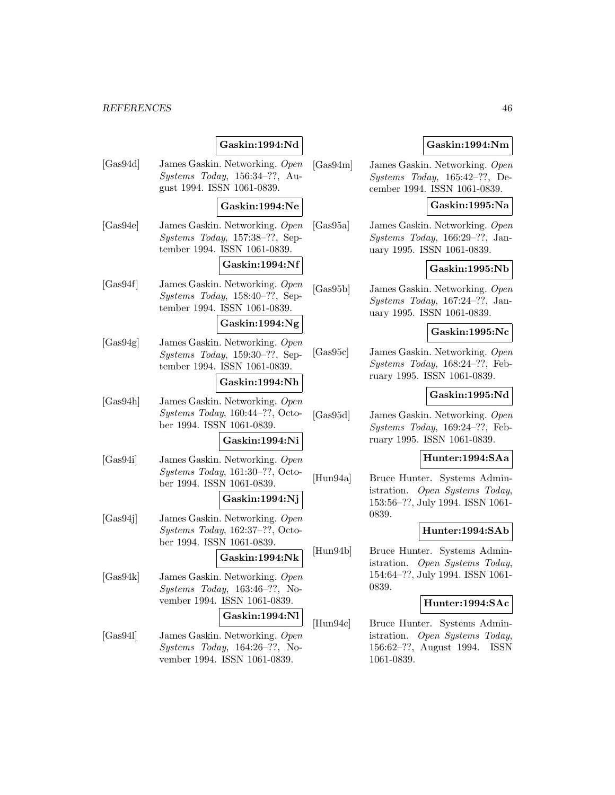### **Gaskin:1994:Nd**

[Gas94d] James Gaskin. Networking. Open Systems Today, 156:34–??, August 1994. ISSN 1061-0839.

#### **Gaskin:1994:Ne**

[Gas94e] James Gaskin. Networking. Open Systems Today, 157:38–??, September 1994. ISSN 1061-0839.

#### **Gaskin:1994:Nf**

[Gas94f] James Gaskin. Networking. Open Systems Today, 158:40–??, September 1994. ISSN 1061-0839.

### **Gaskin:1994:Ng**

[Gas94g] James Gaskin. Networking. Open Systems Today, 159:30–??, September 1994. ISSN 1061-0839.

### **Gaskin:1994:Nh**

[Gas94h] James Gaskin. Networking. Open Systems Today, 160:44–??, October 1994. ISSN 1061-0839.

#### **Gaskin:1994:Ni**

[Gas94i] James Gaskin. Networking. Open Systems Today, 161:30–??, October 1994. ISSN 1061-0839.

### **Gaskin:1994:Nj**

[Gas94j] James Gaskin. Networking. Open Systems Today, 162:37–??, October 1994. ISSN 1061-0839.

### **Gaskin:1994:Nk**

[Gas94k] James Gaskin. Networking. Open Systems Today, 163:46–??, November 1994. ISSN 1061-0839.

### **Gaskin:1994:Nl**

[Gas94l] James Gaskin. Networking. Open Systems Today, 164:26–??, November 1994. ISSN 1061-0839.

### **Gaskin:1994:Nm**

[Gas94m] James Gaskin. Networking. Open Systems Today, 165:42–??, December 1994. ISSN 1061-0839.

### **Gaskin:1995:Na**

[Gas95a] James Gaskin. Networking. Open Systems Today, 166:29–??, January 1995. ISSN 1061-0839.

### **Gaskin:1995:Nb**

[Gas95b] James Gaskin. Networking. Open Systems Today, 167:24–??, January 1995. ISSN 1061-0839.

### **Gaskin:1995:Nc**

[Gas95c] James Gaskin. Networking. Open Systems Today, 168:24–??, February 1995. ISSN 1061-0839.

### **Gaskin:1995:Nd**

[Gas95d] James Gaskin. Networking. Open Systems Today, 169:24–??, February 1995. ISSN 1061-0839.

### **Hunter:1994:SAa**

[Hun94a] Bruce Hunter. Systems Administration. Open Systems Today, 153:56–??, July 1994. ISSN 1061- 0839.

### **Hunter:1994:SAb**

[Hun94b] Bruce Hunter. Systems Administration. Open Systems Today, 154:64–??, July 1994. ISSN 1061- 0839.

#### **Hunter:1994:SAc**

[Hun94c] Bruce Hunter. Systems Administration. Open Systems Today, 156:62–??, August 1994. ISSN 1061-0839.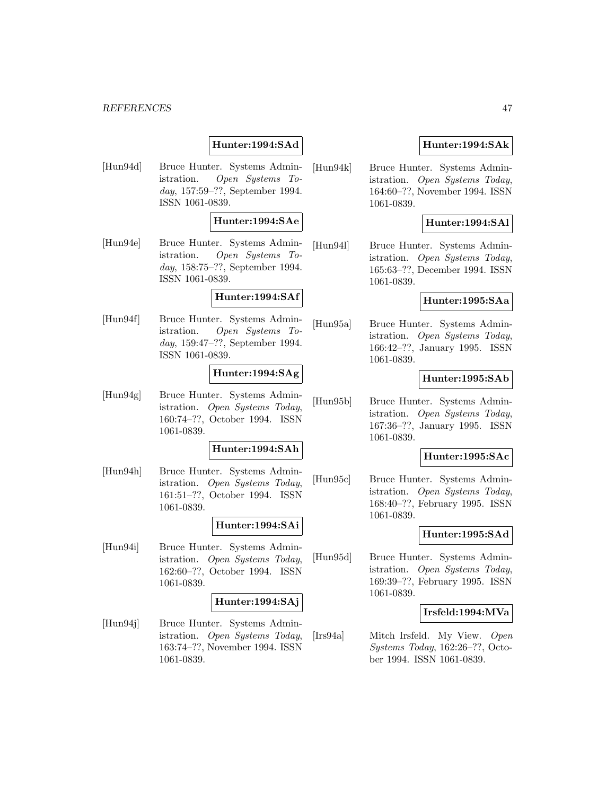### **Hunter:1994:SAd**

[Hun94d] Bruce Hunter. Systems Administration. Open Systems Today, 157:59–??, September 1994. ISSN 1061-0839.

### **Hunter:1994:SAe**

[Hun94e] Bruce Hunter. Systems Administration. Open Systems Today, 158:75–??, September 1994. ISSN 1061-0839.

### **Hunter:1994:SAf**

[Hun94f] Bruce Hunter. Systems Administration. Open Systems Today, 159:47–??, September 1994. ISSN 1061-0839.

### **Hunter:1994:SAg**

[Hun94g] Bruce Hunter. Systems Administration. Open Systems Today, 160:74–??, October 1994. ISSN 1061-0839.

### **Hunter:1994:SAh**

[Hun94h] Bruce Hunter. Systems Administration. Open Systems Today, 161:51–??, October 1994. ISSN 1061-0839.

### **Hunter:1994:SAi**

[Hun94i] Bruce Hunter. Systems Administration. Open Systems Today, 162:60–??, October 1994. ISSN 1061-0839.

#### **Hunter:1994:SAj**

[Hun94j] Bruce Hunter. Systems Administration. Open Systems Today, 163:74–??, November 1994. ISSN 1061-0839.

### **Hunter:1994:SAk**

[Hun94k] Bruce Hunter. Systems Administration. Open Systems Today, 164:60–??, November 1994. ISSN 1061-0839.

### **Hunter:1994:SAl**

[Hun94l] Bruce Hunter. Systems Administration. Open Systems Today, 165:63–??, December 1994. ISSN 1061-0839.

### **Hunter:1995:SAa**

[Hun95a] Bruce Hunter. Systems Administration. Open Systems Today, 166:42–??, January 1995. ISSN 1061-0839.

### **Hunter:1995:SAb**

[Hun95b] Bruce Hunter. Systems Administration. Open Systems Today, 167:36–??, January 1995. ISSN 1061-0839.

### **Hunter:1995:SAc**

[Hun95c] Bruce Hunter. Systems Administration. Open Systems Today, 168:40–??, February 1995. ISSN 1061-0839.

#### **Hunter:1995:SAd**

[Hun95d] Bruce Hunter. Systems Administration. Open Systems Today, 169:39–??, February 1995. ISSN 1061-0839.

### **Irsfeld:1994:MVa**

[Irs94a] Mitch Irsfeld. My View. Open Systems Today, 162:26–??, October 1994. ISSN 1061-0839.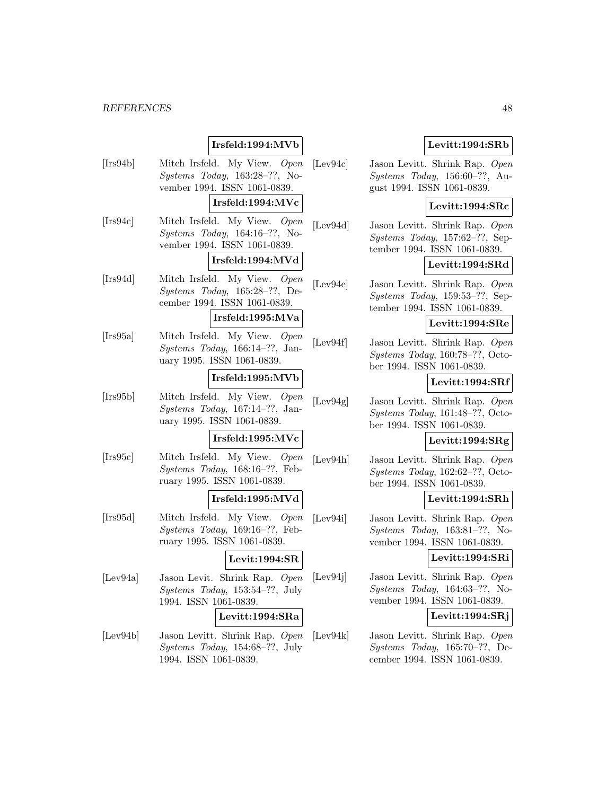# **Irsfeld:1994:MVb**

[Irs94b] Mitch Irsfeld. My View. Open Systems Today, 163:28–??, November 1994. ISSN 1061-0839.

#### **Irsfeld:1994:MVc**

[Irs94c] Mitch Irsfeld. My View. Open Systems Today, 164:16–??, November 1994. ISSN 1061-0839.

### **Irsfeld:1994:MVd**

[Irs94d] Mitch Irsfeld. My View. Open Systems Today, 165:28–??, December 1994. ISSN 1061-0839.

### **Irsfeld:1995:MVa**

[Irs95a] Mitch Irsfeld. My View. Open Systems Today, 166:14–??, January 1995. ISSN 1061-0839.

#### **Irsfeld:1995:MVb**

[Irs95b] Mitch Irsfeld. My View. Open Systems Today, 167:14–??, January 1995. ISSN 1061-0839.

#### **Irsfeld:1995:MVc**

[Irs95c] Mitch Irsfeld. My View. Open Systems Today, 168:16–??, February 1995. ISSN 1061-0839.

### **Irsfeld:1995:MVd**

[Irs95d] Mitch Irsfeld. My View. Open Systems Today, 169:16–??, February 1995. ISSN 1061-0839.

### **Levit:1994:SR**

[Lev94a] Jason Levit. Shrink Rap. Open Systems Today, 153:54–??, July 1994. ISSN 1061-0839.

#### **Levitt:1994:SRa**

[Lev94b] Jason Levitt. Shrink Rap. Open Systems Today, 154:68–??, July 1994. ISSN 1061-0839.

### **Levitt:1994:SRb**

[Lev94c] Jason Levitt. Shrink Rap. Open Systems Today, 156:60–??, August 1994. ISSN 1061-0839.

#### **Levitt:1994:SRc**

[Lev94d] Jason Levitt. Shrink Rap. Open Systems Today, 157:62–??, September 1994. ISSN 1061-0839.

### **Levitt:1994:SRd**

[Lev94e] Jason Levitt. Shrink Rap. Open Systems Today, 159:53–??, September 1994. ISSN 1061-0839.

#### **Levitt:1994:SRe**

[Lev94f] Jason Levitt. Shrink Rap. Open Systems Today, 160:78–??, October 1994. ISSN 1061-0839.

### **Levitt:1994:SRf**

[Lev94g] Jason Levitt. Shrink Rap. Open Systems Today, 161:48–??, October 1994. ISSN 1061-0839.

### **Levitt:1994:SRg**

[Lev94h] Jason Levitt. Shrink Rap. Open Systems Today, 162:62–??, October 1994. ISSN 1061-0839.

### **Levitt:1994:SRh**

[Lev94i] Jason Levitt. Shrink Rap. Open Systems Today, 163:81–??, November 1994. ISSN 1061-0839.

### **Levitt:1994:SRi**

[Lev94j] Jason Levitt. Shrink Rap. Open Systems Today, 164:63–??, November 1994. ISSN 1061-0839.

### **Levitt:1994:SRj**

[Lev94k] Jason Levitt. Shrink Rap. Open Systems Today, 165:70–??, December 1994. ISSN 1061-0839.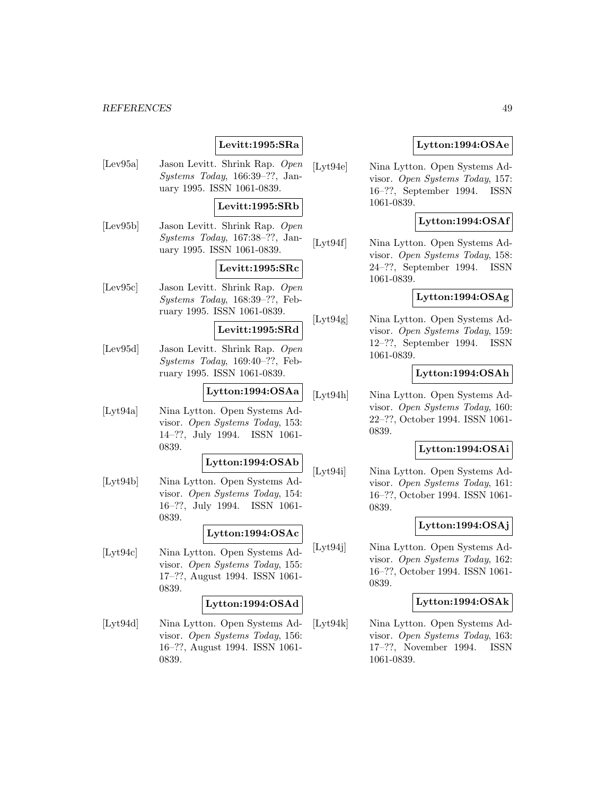### **Levitt:1995:SRa**

[Lev95a] Jason Levitt. Shrink Rap. Open Systems Today, 166:39–??, January 1995. ISSN 1061-0839.

#### **Levitt:1995:SRb**

[Lev95b] Jason Levitt. Shrink Rap. Open Systems Today, 167:38–??, January 1995. ISSN 1061-0839.

### **Levitt:1995:SRc**

[Lev95c] Jason Levitt. Shrink Rap. Open Systems Today, 168:39–??, February 1995. ISSN 1061-0839.

#### **Levitt:1995:SRd**

[Lev95d] Jason Levitt. Shrink Rap. Open Systems Today, 169:40–??, February 1995. ISSN 1061-0839.

### **Lytton:1994:OSAa**

[Lyt94a] Nina Lytton. Open Systems Advisor. Open Systems Today, 153: 14–??, July 1994. ISSN 1061- 0839.

#### **Lytton:1994:OSAb**

[Lyt94b] Nina Lytton. Open Systems Advisor. Open Systems Today, 154: 16–??, July 1994. ISSN 1061- 0839.

### **Lytton:1994:OSAc**

[Lyt94c] Nina Lytton. Open Systems Advisor. Open Systems Today, 155: 17–??, August 1994. ISSN 1061- 0839.

#### **Lytton:1994:OSAd**

[Lyt94d] Nina Lytton. Open Systems Advisor. Open Systems Today, 156: 16–??, August 1994. ISSN 1061- 0839.

### **Lytton:1994:OSAe**

[Lyt94e] Nina Lytton. Open Systems Advisor. Open Systems Today, 157: 16–??, September 1994. ISSN 1061-0839.

### **Lytton:1994:OSAf**

[Lyt94f] Nina Lytton. Open Systems Advisor. Open Systems Today, 158: 24–??, September 1994. ISSN 1061-0839.

### **Lytton:1994:OSAg**

[Lyt94g] Nina Lytton. Open Systems Advisor. Open Systems Today, 159: 12–??, September 1994. ISSN 1061-0839.

### **Lytton:1994:OSAh**

[Lyt94h] Nina Lytton. Open Systems Advisor. Open Systems Today, 160: 22–??, October 1994. ISSN 1061- 0839.

### **Lytton:1994:OSAi**

[Lyt94i] Nina Lytton. Open Systems Advisor. Open Systems Today, 161: 16–??, October 1994. ISSN 1061- 0839.

### **Lytton:1994:OSAj**

[Lyt94j] Nina Lytton. Open Systems Advisor. Open Systems Today, 162: 16–??, October 1994. ISSN 1061- 0839.

### **Lytton:1994:OSAk**

[Lyt94k] Nina Lytton. Open Systems Advisor. Open Systems Today, 163: 17–??, November 1994. ISSN 1061-0839.